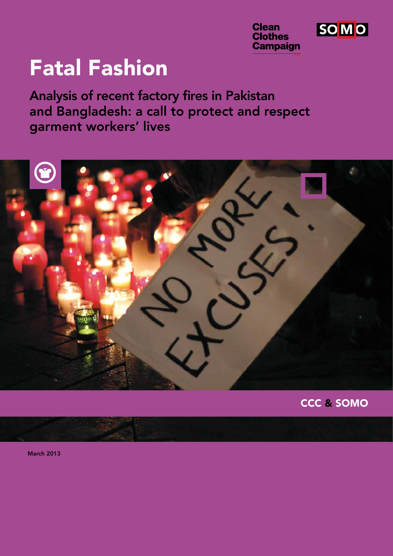

SO M O

# Fatal Fashion

Analysis of recent factory fires in Pakistan and Bangladesh: a call to protect and respect garment workers' lives



CCC & SOMO

March 2013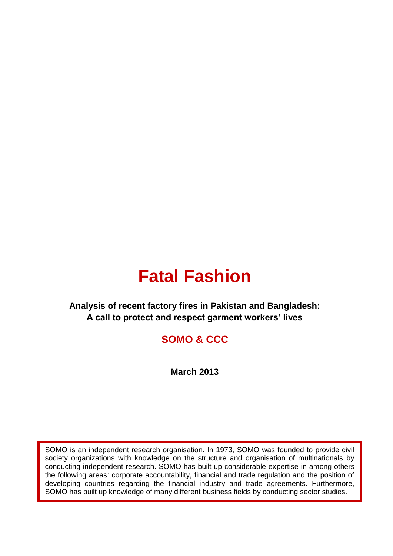# **Fatal Fashion**

# **Analysis of recent factory fires in Pakistan and Bangladesh: A call to protect and respect garment workers' lives**

# **SOMO & CCC**

**March 2013**

SOMO is an independent research organisation. In 1973, SOMO was founded to provide civil society organizations with knowledge on the structure and organisation of multinationals by conducting independent research. SOMO has built up considerable expertise in among others the following areas: corporate accountability, financial and trade regulation and the position of developing countries regarding the financial industry and trade agreements. Furthermore, SOMO has built up knowledge of many different business fields by conducting sector studies.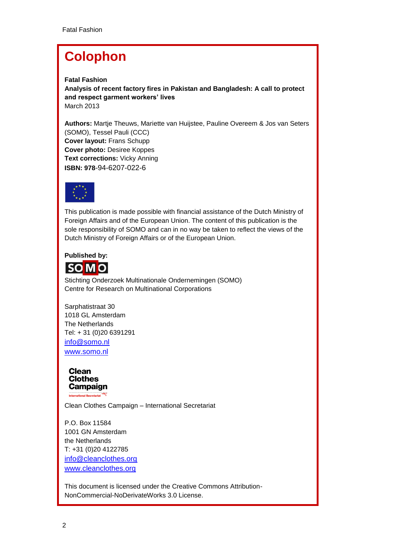# **Colophon**

**Fatal Fashion Analysis of recent factory fires in Pakistan and Bangladesh: A call to protect and respect garment workers' lives** March 2013

**Authors:** Martje Theuws, Mariette van Huijstee, Pauline Overeem & Jos van Seters (SOMO), Tessel Pauli (CCC) **Cover layout:** Frans Schupp **Cover photo:** Desiree Koppes **Text corrections:** Vicky Anning **ISBN: 978**-94-6207-022-6



This publication is made possible with financial assistance of the Dutch Ministry of Foreign Affairs and of the European Union. The content of this publication is the sole responsibility of SOMO and can in no way be taken to reflect the views of the Dutch Ministry of Foreign Affairs or of the European Union.

### **Published by:**



Stichting Onderzoek Multinationale Ondernemingen (SOMO) Centre for Research on Multinational Corporations

Sarphatistraat 30 1018 GL Amsterdam The Netherlands Tel: + 31 (0)20 6391291 [info@somo.nl](mailto:info@somo.nl) [www.somo.nl](http://www.somo.nl/)



Clean Clothes Campaign – International Secretariat

P.O. Box 11584 1001 GN Amsterdam the Netherlands T: +31 (0)20 4122785 [info@cleanclothes.org](mailto:info@cleanclothes.org) [www.cleanclothes.org](http://www.cleanclothes.org/)

This document is licensed under the Creative Commons Attribution-NonCommercial-NoDerivateWorks 3.0 License.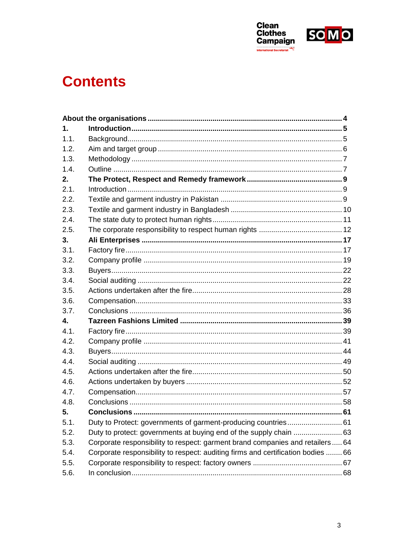



# <span id="page-3-0"></span>**Contents**

| 1.   |                                                                                  |  |
|------|----------------------------------------------------------------------------------|--|
| 1.1. |                                                                                  |  |
| 1.2. |                                                                                  |  |
| 1.3. |                                                                                  |  |
| 1.4. |                                                                                  |  |
| 2.   |                                                                                  |  |
| 2.1. |                                                                                  |  |
| 2.2. |                                                                                  |  |
| 2.3. |                                                                                  |  |
| 2.4. |                                                                                  |  |
| 2.5. |                                                                                  |  |
| 3.   |                                                                                  |  |
| 3.1. |                                                                                  |  |
| 3.2. |                                                                                  |  |
| 3.3. |                                                                                  |  |
| 3.4. |                                                                                  |  |
| 3.5. |                                                                                  |  |
| 3.6. |                                                                                  |  |
| 3.7. |                                                                                  |  |
| 4.   |                                                                                  |  |
| 4.1. |                                                                                  |  |
| 4.2. |                                                                                  |  |
| 4.3. |                                                                                  |  |
| 4.4. |                                                                                  |  |
| 4.5. |                                                                                  |  |
| 4.6. |                                                                                  |  |
| 4.7. |                                                                                  |  |
| 4.8. |                                                                                  |  |
| 5.   |                                                                                  |  |
| 5.1. | Duty to Protect: governments of garment-producing countries 61                   |  |
| 5.2. | Duty to protect: governments at buying end of the supply chain  63               |  |
| 5.3. | Corporate responsibility to respect: garment brand companies and retailers 64    |  |
| 5.4. | Corporate responsibility to respect: auditing firms and certification bodies  66 |  |
| 5.5. |                                                                                  |  |
| 5.6. |                                                                                  |  |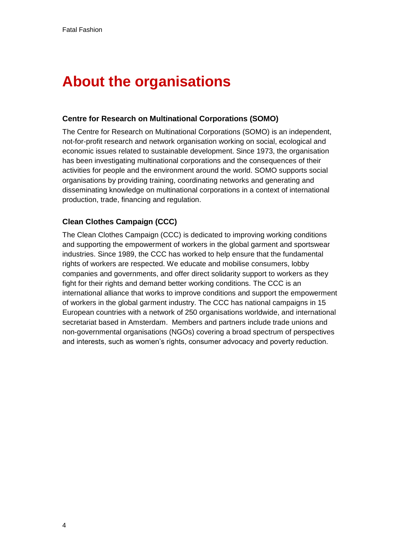# <span id="page-4-0"></span>**About the organisations**

#### <span id="page-4-1"></span>**Centre for Research on Multinational Corporations (SOMO)**

The Centre for Research on Multinational Corporations (SOMO) is an independent, not-for-profit research and network organisation working on social, ecological and economic issues related to sustainable development. Since 1973, the organisation has been investigating multinational corporations and the consequences of their activities for people and the environment around the world. SOMO supports social organisations by providing training, coordinating networks and generating and disseminating knowledge on multinational corporations in a context of international production, trade, financing and regulation.

### **Clean Clothes Campaign (CCC)**

The Clean Clothes Campaign (CCC) is dedicated to improving working conditions and supporting the empowerment of workers in the global garment and sportswear industries. Since 1989, the CCC has worked to help ensure that the fundamental rights of workers are respected. We educate and mobilise consumers, lobby companies and governments, and offer direct solidarity support to workers as they fight for their rights and demand better working conditions. The CCC is an international alliance that works to improve conditions and support the empowerment of workers in the global garment industry. The CCC has national campaigns in 15 European countries with a network of 250 organisations worldwide, and international secretariat based in Amsterdam. Members and partners include trade unions and non-governmental organisations (NGOs) covering a broad spectrum of perspectives and interests, such as women's rights, consumer advocacy and poverty reduction.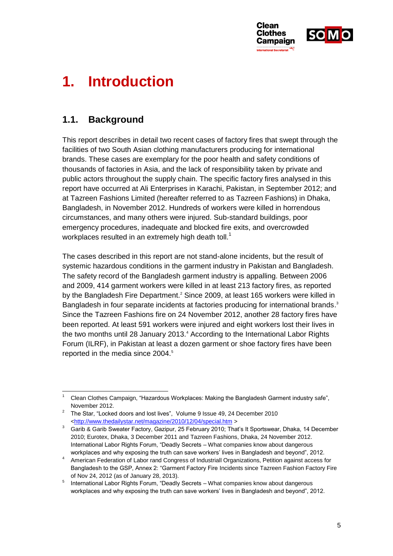

# **1. Introduction**

# **1.1. Background**

This report describes in detail two recent cases of factory fires that swept through the facilities of two South Asian clothing manufacturers producing for international brands. These cases are exemplary for the poor health and safety conditions of thousands of factories in Asia, and the lack of responsibility taken by private and public actors throughout the supply chain. The specific factory fires analysed in this report have occurred at Ali Enterprises in Karachi, Pakistan, in September 2012; and at Tazreen Fashions Limited (hereafter referred to as Tazreen Fashions) in Dhaka, Bangladesh, in November 2012. Hundreds of workers were killed in horrendous circumstances, and many others were injured. Sub-standard buildings, poor emergency procedures, inadequate and blocked fire exits, and overcrowded workplaces resulted in an extremely high death toll.<sup>1</sup>

The cases described in this report are not stand-alone incidents, but the result of systemic hazardous conditions in the garment industry in Pakistan and Bangladesh. The safety record of the Bangladesh garment industry is appalling. Between 2006 and 2009, 414 garment workers were killed in at least 213 factory fires, as reported by the Bangladesh Fire Department.<sup>2</sup> Since 2009, at least 165 workers were killed in Bangladesh in four separate incidents at factories producing for international brands.<sup>3</sup> Since the Tazreen Fashions fire on 24 November 2012, another 28 factory fires have been reported. At least 591 workers were injured and eight workers lost their lives in the two months until 28 January 2013.<sup>4</sup> According to the International Labor Rights Forum (ILRF), in Pakistan at least a dozen garment or shoe factory fires have been reported in the media since 2004.<sup>5</sup>

<span id="page-5-0"></span><sup>-</sup><sup>1</sup> Clean Clothes Campaign, "Hazardous Workplaces: Making the Bangladesh Garment industry safe", November 2012.

<sup>&</sup>lt;sup>2</sup> The Star, "Locked doors and lost lives", Volume 9 Issue 49, 24 December 2010 [<http://www.thedailystar.net/magazine/2010/12/04/special.htm](http://www.thedailystar.net/magazine/2010/12/04/special.htm) >

<sup>&</sup>lt;sup>3</sup> Garib & Garib Sweater Factory, Gazipur, 25 February 2010; That's It Sportswear, Dhaka, 14 December 2010; Eurotex, Dhaka, 3 December 2011 and Tazreen Fashions, Dhaka, 24 November 2012. International Labor Rights Forum, "Deadly Secrets – What companies know about dangerous workplaces and why exposing the truth can save workers' lives in Bangladesh and beyond", 2012.

<sup>4</sup> American Federation of Labor rand Congress of Industriall Organizations, Petition against access for Bangladesh to the GSP, Annex 2: "Garment Factory Fire Incidents since Tazreen Fashion Factory Fire of Nov 24, 2012 (as of January 28, 2013).

<sup>&</sup>lt;sup>5</sup> International Labor Rights Forum, "Deadly Secrets – What companies know about dangerous workplaces and why exposing the truth can save workers' lives in Bangladesh and beyond", 2012.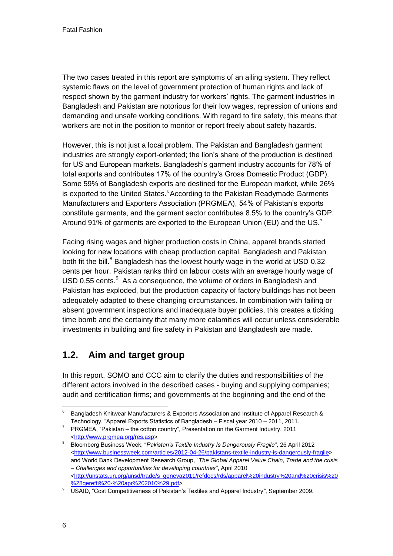The two cases treated in this report are symptoms of an ailing system. They reflect systemic flaws on the level of government protection of human rights and lack of respect shown by the garment industry for workers' rights. The garment industries in Bangladesh and Pakistan are notorious for their low wages, repression of unions and demanding and unsafe working conditions. With regard to fire safety, this means that workers are not in the position to monitor or report freely about safety hazards.

<span id="page-6-0"></span>However, this is not just a local problem. The Pakistan and Bangladesh garment industries are strongly export-oriented; the lion's share of the production is destined for US and European markets. Bangladesh's garment industry accounts for 78% of total exports and contributes 17% of the country's Gross Domestic Product (GDP). Some 59% of Bangladesh exports are destined for the European market, while 26% is exported to the United States.<sup>6</sup> According to the Pakistan Readymade Garments Manufacturers and Exporters Association (PRGMEA), 54% of Pakistan's exports constitute garments, and the garment sector contributes 8.5% to the country's GDP. Around 91% of garments are exported to the European Union (EU) and the US.<sup>7</sup>

Facing rising wages and higher production costs in China, apparel brands started looking for new locations with cheap production capital. Bangladesh and Pakistan both fit the bill.<sup>8</sup> Bangladesh has the lowest hourly wage in the world at USD 0.32 cents per hour. Pakistan ranks third on labour costs with an average hourly wage of USD 0.55 cents. $9$  As a consequence, the volume of orders in Bangladesh and Pakistan has exploded, but the production capacity of factory buildings has not been adequately adapted to these changing circumstances. In combination with failing or absent government inspections and inadequate buyer policies, this creates a ticking time bomb and the certainty that many more calamities will occur unless considerable investments in building and fire safety in Pakistan and Bangladesh are made.

# **1.2. Aim and target group**

<span id="page-6-1"></span>In this report, SOMO and CCC aim to clarify the duties and responsibilities of the different actors involved in the described cases - buying and supplying companies; audit and certification firms; and governments at the beginning and the end of the

<sup>1</sup> <sup>6</sup> Bangladesh Knitwear Manufacturers & Exporters Association and Institute of Apparel Research & Technology, "Apparel Exports Statistics of Bangladesh – Fiscal year 2010 – 2011, 2011.

<sup>&</sup>lt;sup>7</sup> PRGMEA, "Pakistan – the cotton country", Presentation on the Garment Industry, 2011 [<http://www.prgmea.org/res.asp>](http://www.prgmea.org/res.asp)

<sup>8</sup> Bloomberg Business Week, "*Pakistan's Textile Industry Is Dangerously Fragile"*, 26 April 2012 [<http://www.businessweek.com/articles/2012-04-26/pakistans-textile-industry-is-dangerously-fragile>](http://www.businessweek.com/articles/2012-04-26/pakistans-textile-industry-is-dangerously-fragile) and World Bank Development Research Group, "*The Global Apparel Value Chain, Trade and the crisis – Challenges and opportunities for developing countries"*, April 2010 [<http://unstats.un.org/unsd/trade/s\\_geneva2011/refdocs/rds/apparel%20industry%20and%20crisis%20](http://unstats.un.org/unsd/trade/s_geneva2011/refdocs/rds/apparel%20industry%20and%20crisis%20%28gereffi%20-%20apr%202010%29.pdf) [%28gereffi%20-%20apr%202010%29.pdf>](http://unstats.un.org/unsd/trade/s_geneva2011/refdocs/rds/apparel%20industry%20and%20crisis%20%28gereffi%20-%20apr%202010%29.pdf)

<sup>9</sup> USAID, "Cost Competitiveness of Pakistan's Textiles and Apparel Industry*"*, September 2009.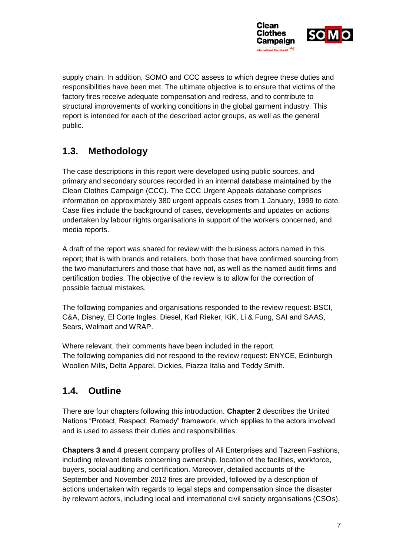

supply chain. In addition, SOMO and CCC assess to which degree these duties and responsibilities have been met. The ultimate objective is to ensure that victims of the factory fires receive adequate compensation and redress, and to contribute to structural improvements of working conditions in the global garment industry. This report is intended for each of the described actor groups, as well as the general public.

# **1.3. Methodology**

The case descriptions in this report were developed using public sources, and primary and secondary sources recorded in an internal database maintained by the Clean Clothes Campaign (CCC). The CCC Urgent Appeals database comprises information on approximately 380 urgent appeals cases from 1 January, 1999 to date. Case files include the background of cases, developments and updates on actions undertaken by labour rights organisations in support of the workers concerned, and media reports.

A draft of the report was shared for review with the business actors named in this report; that is with brands and retailers, both those that have confirmed sourcing from the two manufacturers and those that have not, as well as the named audit firms and certification bodies. The objective of the review is to allow for the correction of possible factual mistakes.

The following companies and organisations responded to the review request: BSCI, C&A, Disney, El Corte Ingles, Diesel, Karl Rieker, KiK, Li & Fung, SAI and SAAS, Sears, Walmart and WRAP.

Where relevant, their comments have been included in the report. The following companies did not respond to the review request: ENYCE, Edinburgh Woollen Mills, Delta Apparel, Dickies, Piazza Italia and Teddy Smith.

# **1.4. Outline**

There are four chapters following this introduction. **Chapter 2** describes the United Nations "Protect, Respect, Remedy" framework, which applies to the actors involved and is used to assess their duties and responsibilities.

**Chapters 3 and 4** present company profiles of Ali Enterprises and Tazreen Fashions, including relevant details concerning ownership, location of the facilities, workforce, buyers, social auditing and certification. Moreover, detailed accounts of the September and November 2012 fires are provided, followed by a description of actions undertaken with regards to legal steps and compensation since the disaster by relevant actors, including local and international civil society organisations (CSOs).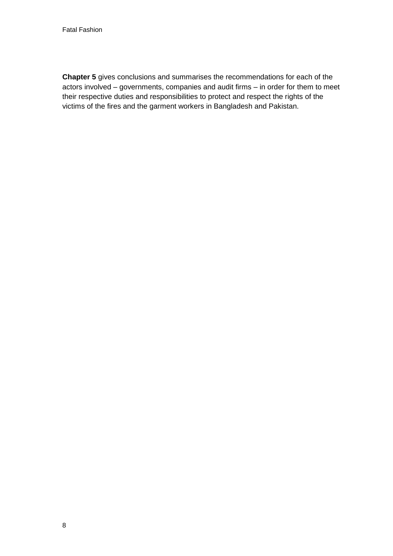<span id="page-8-2"></span><span id="page-8-1"></span><span id="page-8-0"></span>**Chapter 5** gives conclusions and summarises the recommendations for each of the actors involved – governments, companies and audit firms – in order for them to meet their respective duties and responsibilities to protect and respect the rights of the victims of the fires and the garment workers in Bangladesh and Pakistan.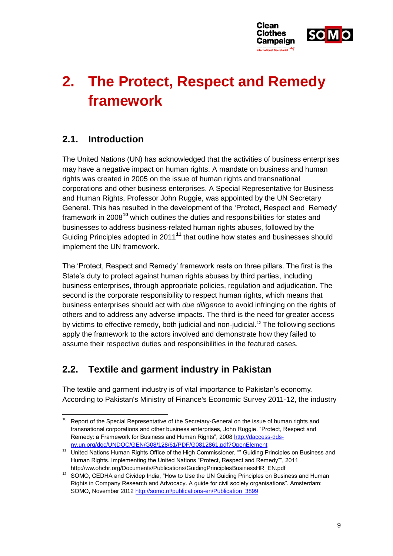

# **2. The Protect, Respect and Remedy framework**

# **2.1. Introduction**

<span id="page-9-0"></span>The United Nations (UN) has acknowledged that the activities of business enterprises may have a negative impact on human rights. A mandate on business and human rights was created in 2005 on the issue of human rights and transnational corporations and other business enterprises. A Special Representative for Business and Human Rights, Professor John Ruggie, was appointed by the UN Secretary General. This has resulted in the development of the 'Protect, Respect and Remedy' framework in 2008**<sup>10</sup>** which outlines the duties and responsibilities for states and businesses to address business-related human rights abuses, followed by the Guiding Principles adopted in 2011**<sup>11</sup>** that outline how states and businesses should implement the UN framework.

The 'Protect, Respect and Remedy' framework rests on three pillars. The first is the State's duty to protect against human rights abuses by third parties, including business enterprises, through appropriate policies, regulation and adjudication. The second is the corporate responsibility to respect human rights, which means that business enterprises should act with *due diligence* to avoid infringing on the rights of others and to address any adverse impacts. The third is the need for greater access by victims to effective remedy, both judicial and non-judicial.<sup>12</sup> The following sections apply the framework to the actors involved and demonstrate how they failed to assume their respective duties and responsibilities in the featured cases.

# **2.2. Textile and garment industry in Pakistan**

The textile and garment industry is of vital importance to Pakistan's economy. According to Pakistan's Ministry of Finance's Economic Survey 2011-12, the industry

 $10\,$ Report of the Special Representative of the Secretary-General on the issue of human rights and transnational corporations and other business enterprises, John Ruggie. "Protect, Respect and Remedy: a Framework for Business and Human Rights", 200[8 http://daccess-dds](http://daccess-dds-ny.un.org/doc/UNDOC/GEN/G08/128/61/PDF/G0812861.pdf?OpenElement)[ny.un.org/doc/UNDOC/GEN/G08/128/61/PDF/G0812861.pdf?OpenElement](http://daccess-dds-ny.un.org/doc/UNDOC/GEN/G08/128/61/PDF/G0812861.pdf?OpenElement)

<sup>&</sup>lt;sup>11</sup> United Nations Human Rights Office of the High Commissioner, "" Guiding Principles on Business and Human Rights. Implementing the United Nations "Protect, Respect and Remedy"", 2011 http://ww.ohchr.org/Documents/Publications/GuidingPrinciplesBusinessHR\_EN.pdf

<sup>&</sup>lt;sup>12</sup> SOMO, CEDHA and Cividep India, "How to Use the UN Guiding Principles on Business and Human Rights in Company Research and Advocacy. A guide for civil society organisations". Amsterdam: SOMO, November 201[2 http://somo.nl/publications-en/Publication\\_3899](http://somo.nl/publications-en/Publication_3899)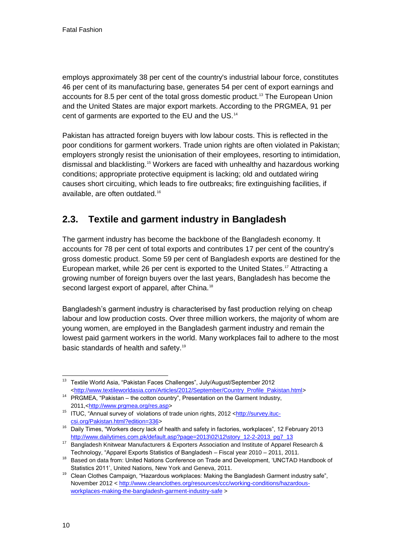employs approximately 38 per cent of the country's industrial labour force, constitutes 46 per cent of its manufacturing base, generates 54 per cent of export earnings and accounts for 8.5 per cent of the total gross domestic product.<sup>13</sup> The European Union and the United States are major export markets. According to the PRGMEA, 91 per cent of garments are exported to the EU and the US.<sup>14</sup>

<span id="page-10-0"></span>Pakistan has attracted foreign buyers with low labour costs. This is reflected in the poor conditions for garment workers. Trade union rights are often violated in Pakistan; employers strongly resist the unionisation of their employees, resorting to intimidation, dismissal and blacklisting.<sup>15</sup> Workers are faced with unhealthy and hazardous working conditions; appropriate protective equipment is lacking; old and outdated wiring causes short circuiting, which leads to fire outbreaks; fire extinguishing facilities, if available, are often outdated.<sup>16</sup>

# **2.3. Textile and garment industry in Bangladesh**

The garment industry has become the backbone of the Bangladesh economy. It accounts for 78 per cent of total exports and contributes 17 per cent of the country's gross domestic product. Some 59 per cent of Bangladesh exports are destined for the European market, while 26 per cent is exported to the United States.<sup>17</sup> Attracting a growing number of foreign buyers over the last years, Bangladesh has become the second largest export of apparel, after China.<sup>18</sup>

Bangladesh's garment industry is characterised by fast production relying on cheap labour and low production costs. Over three million workers, the majority of whom are young women, are employed in the Bangladesh garment industry and remain the lowest paid garment workers in the world. Many workplaces fail to adhere to the most basic standards of health and safety.<sup>19</sup>

<sup>1</sup> <sup>13</sup> Textile World Asia, "Pakistan Faces Challenges", July/August/September 2012 [<http://www.textileworldasia.com/Articles/2012/September/Country\\_Profile\\_Pakistan.html>](http://www.textileworldasia.com/Articles/2012/September/Country_Profile_Pakistan.html)

<sup>14</sup> PRGMEA, "Pakistan – the cotton country", Presentation on the Garment Industry, 2011,[<http://www.prgmea.org/res.asp>](http://www.prgmea.org/res.asp)

<sup>&</sup>lt;sup>15</sup> ITUC, "Annual survey of violations of trade union rights, 2012 [<http://survey.ituc](http://survey.ituc-csi.org/Pakistan.html?edition=336)[csi.org/Pakistan.html?edition=336>](http://survey.ituc-csi.org/Pakistan.html?edition=336)

<sup>&</sup>lt;sup>16</sup> Daily Times, "Workers decry lack of health and safety in factories, workplaces", 12 February 2013 http://www.dailytimes.com.pk/default.asp?page=2013\02\12\story\_12-2-2013\_pg7\_13

<sup>17</sup> Bangladesh Knitwear Manufacturers & Exporters Association and Institute of Apparel Research & Technology, "Apparel Exports Statistics of Bangladesh – Fiscal year 2010 – 2011, 2011.

<sup>18</sup> Based on data from: United Nations Conference on Trade and Development, 'UNCTAD Handbook of Statistics 2011', United Nations, New York and Geneva, 2011.

<sup>&</sup>lt;sup>19</sup> Clean Clothes Campaign, "Hazardous workplaces: Making the Bangladesh Garment industry safe", November 2012 [< http://www.cleanclothes.org/resources/ccc/working-conditions/hazardous](http://www.cleanclothes.org/resources/ccc/working-conditions/hazardous-workplaces-making-the-bangladesh-garment-industry-safe)[workplaces-making-the-bangladesh-garment-industry-safe](http://www.cleanclothes.org/resources/ccc/working-conditions/hazardous-workplaces-making-the-bangladesh-garment-industry-safe) >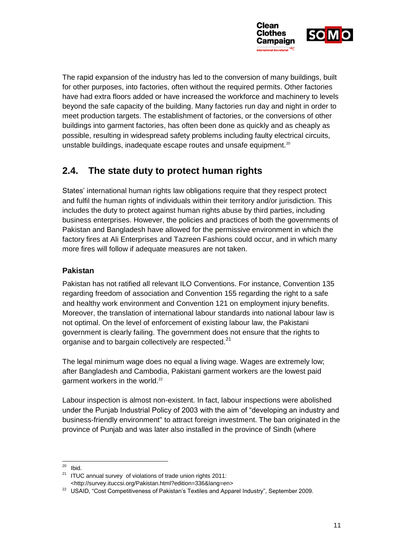

The rapid expansion of the industry has led to the conversion of many buildings, built for other purposes, into factories, often without the required permits. Other factories have had extra floors added or have increased the workforce and machinery to levels beyond the safe capacity of the building. Many factories run day and night in order to meet production targets. The establishment of factories, or the conversions of other buildings into garment factories, has often been done as quickly and as cheaply as possible, resulting in widespread safety problems including faulty electrical circuits, unstable buildings, inadequate escape routes and unsafe equipment.<sup>20</sup>

# **2.4. The state duty to protect human rights**

States' international human rights law obligations require that they respect protect and fulfil the human rights of individuals within their territory and/or jurisdiction. This includes the duty to protect against human rights abuse by third parties, including business enterprises. However, the policies and practices of both the governments of Pakistan and Bangladesh have allowed for the permissive environment in which the factory fires at Ali Enterprises and Tazreen Fashions could occur, and in which many more fires will follow if adequate measures are not taken.

# **Pakistan**

Pakistan has not ratified all relevant ILO Conventions. For instance, Convention 135 regarding freedom of association and Convention 155 regarding the right to a safe and healthy work environment and Convention 121 on employment injury benefits. Moreover, the translation of international labour standards into national labour law is not optimal. On the level of enforcement of existing labour law, the Pakistani government is clearly failing. The government does not ensure that the rights to organise and to bargain collectively are respected.<sup>21</sup>

<span id="page-11-0"></span>The legal minimum wage does no equal a living wage. Wages are extremely low; after Bangladesh and Cambodia, Pakistani garment workers are the lowest paid garment workers in the world.<sup>22</sup>

Labour inspection is almost non-existent. In fact, labour inspections were abolished under the Punjab Industrial Policy of 2003 with the aim of "developing an industry and business-friendly environment" to attract foreign investment. The ban originated in the province of Punjab and was later also installed in the province of Sindh (where

 $20\degree$ Ibid.

 $21$  ITUC annual survey of violations of trade union rights 2011: <http://survey.ituccsi.org/Pakistan.html?edition=336&lang=en>

<sup>&</sup>lt;sup>22</sup> USAID, "Cost Competitiveness of Pakistan's Textiles and Apparel Industry", September 2009.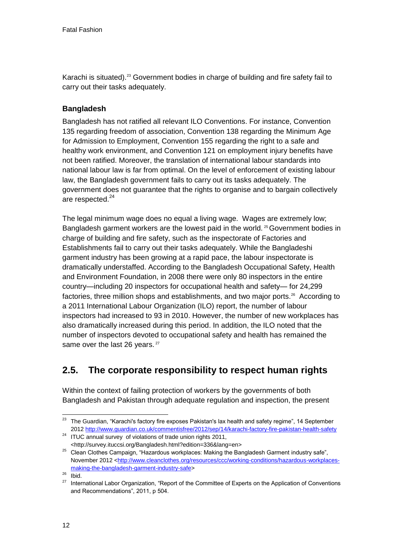Karachi is situated).<sup>23</sup> Government bodies in charge of building and fire safety fail to carry out their tasks adequately.

# **Bangladesh**

Bangladesh has not ratified all relevant ILO Conventions. For instance, Convention 135 regarding freedom of association, Convention 138 regarding the Minimum Age for Admission to Employment, Convention 155 regarding the right to a safe and healthy work environment, and Convention 121 on employment injury benefits have not been ratified. Moreover, the translation of international labour standards into national labour law is far from optimal. On the level of enforcement of existing labour law, the Bangladesh government fails to carry out its tasks adequately. The government does not guarantee that the rights to organise and to bargain collectively are respected.<sup>24</sup>

The legal minimum wage does no equal a living wage. Wages are extremely low; Bangladesh garment workers are the lowest paid in the world. <sup>25</sup> Government bodies in charge of building and fire safety, such as the inspectorate of Factories and Establishments fail to carry out their tasks adequately. While the Bangladeshi garment industry has been growing at a rapid pace, the labour inspectorate is dramatically understaffed. According to the Bangladesh Occupational Safety, Health and Environment Foundation, in 2008 there were only 80 inspectors in the entire country—including 20 inspectors for occupational health and safety— for 24,299 factories, three million shops and establishments, and two major ports.<sup>26</sup> According to a 2011 International Labour Organization (ILO) report, the number of labour inspectors had increased to 93 in 2010. However, the number of new workplaces has also dramatically increased during this period. In addition, the ILO noted that the number of inspectors devoted to occupational safety and health has remained the same over the last 26 years.<sup>27</sup>

# **2.5. The corporate responsibility to respect human rights**

Within the context of failing protection of workers by the governments of both Bangladesh and Pakistan through adequate regulation and inspection, the present

<sup>1</sup>  $23$  The Guardian, "Karachi's factory fire exposes Pakistan's lax health and safety regime", 14 September 201[2 http://www.guardian.co.uk/commentisfree/2012/sep/14/karachi-factory-fire-pakistan-health-safety](http://www.guardian.co.uk/commentisfree/2012/sep/14/karachi-factory-fire-pakistan-health-safety%20) 

<sup>&</sup>lt;sup>24</sup> ITUC annual survey of violations of trade union rights 2011, <http://survey.ituccsi.org/Bangladesh.html?edition=336&lang=en>

<sup>&</sup>lt;sup>25</sup> Clean Clothes Campaign, "Hazardous workplaces: Making the Bangladesh Garment industry safe", November 2012 [<http://www.cleanclothes.org/resources/ccc/working-conditions/hazardous-workplaces](http://www.cleanclothes.org/resources/ccc/working-conditions/hazardous-workplaces-making-the-bangladesh-garment-industry-safe)[making-the-bangladesh-garment-industry-safe>](http://www.cleanclothes.org/resources/ccc/working-conditions/hazardous-workplaces-making-the-bangladesh-garment-industry-safe)

 $26$  Ibid.

<sup>&</sup>lt;sup>27</sup> International Labor Organization, "Report of the Committee of Experts on the Application of Conventions and Recommendations", 2011, p 504.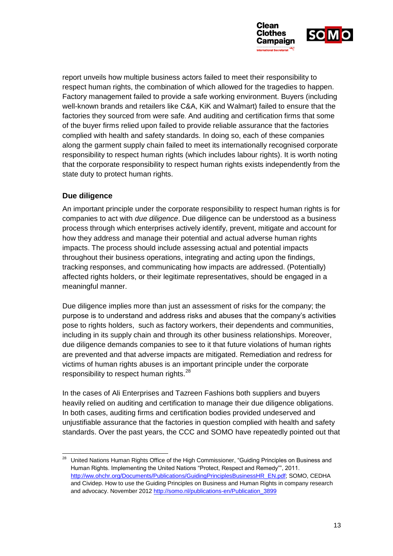

report unveils how multiple business actors failed to meet their responsibility to respect human rights, the combination of which allowed for the tragedies to happen. Factory management failed to provide a safe working environment. Buyers (including well-known brands and retailers like C&A, KiK and Walmart) failed to ensure that the factories they sourced from were safe. And auditing and certification firms that some of the buyer firms relied upon failed to provide reliable assurance that the factories complied with health and safety standards. In doing so, each of these companies along the garment supply chain failed to meet its internationally recognised corporate responsibility to respect human rights (which includes labour rights). It is worth noting that the corporate responsibility to respect human rights exists independently from the state duty to protect human rights.

### **Due diligence**

-

An important principle under the corporate responsibility to respect human rights is for companies to act with *due diligence*. Due diligence can be understood as a business process through which enterprises actively identify, prevent, mitigate and account for how they address and manage their potential and actual adverse human rights impacts. The process should include assessing actual and potential impacts throughout their business operations, integrating and acting upon the findings, tracking responses, and communicating how impacts are addressed. (Potentially) affected rights holders, or their legitimate representatives, should be engaged in a meaningful manner.

Due diligence implies more than just an assessment of risks for the company; the purpose is to understand and address risks and abuses that the company's activities pose to rights holders, such as factory workers, their dependents and communities, including in its supply chain and through its other business relationships. Moreover, due diligence demands companies to see to it that future violations of human rights are prevented and that adverse impacts are mitigated. Remediation and redress for victims of human rights abuses is an important principle under the corporate responsibility to respect human rights.<sup>28</sup>

In the cases of Ali Enterprises and Tazreen Fashions both suppliers and buyers heavily relied on auditing and certification to manage their due diligence obligations. In both cases, auditing firms and certification bodies provided undeserved and unjustifiable assurance that the factories in question complied with health and safety standards. Over the past years, the CCC and SOMO have repeatedly pointed out that

<sup>28</sup> United Nations Human Rights Office of the High Commissioner, "Guiding Principles on Business and Human Rights. Implementing the United Nations "Protect, Respect and Remedy"", 2011. [http://ww.ohchr.org/Documents/Publications/GuidingPrinciplesBusinessHR\\_EN.pdf;](http://ww.ohchr.org/Documents/Publications/GuidingPrinciplesBusinessHR_EN.pdf) SOMO, CEDHA and Cividep. How to use the Guiding Principles on Business and Human Rights in company research and advocacy. November 201[2 http://somo.nl/publications-en/Publication\\_3899](http://somo.nl/publications-en/Publication_3899)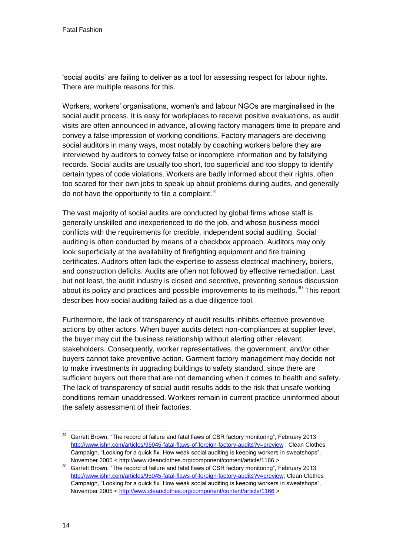'social audits' are failing to deliver as a tool for assessing respect for labour rights. There are multiple reasons for this.

Workers, workers' organisations, women's and labour NGOs are marginalised in the social audit process. It is easy for workplaces to receive positive evaluations, as audit visits are often announced in advance, allowing factory managers time to prepare and convey a false impression of working conditions. Factory managers are deceiving social auditors in many ways, most notably by coaching workers before they are interviewed by auditors to convey false or incomplete information and by falsifying records. Social audits are usually too short, too superficial and too sloppy to identify certain types of code violations. Workers are badly informed about their rights, often too scared for their own jobs to speak up about problems during audits, and generally do not have the opportunity to file a complaint.<sup>29</sup>

The vast majority of social audits are conducted by global firms whose staff is generally unskilled and inexperienced to do the job, and whose business model conflicts with the requirements for credible, independent social auditing. Social auditing is often conducted by means of a checkbox approach. Auditors may only look superficially at the availability of firefighting equipment and fire training certificates. Auditors often lack the expertise to assess electrical machinery, boilers, and construction deficits. Audits are often not followed by effective remediation. Last but not least, the audit industry is closed and secretive, preventing serious discussion about its policy and practices and possible improvements to its methods.<sup>30</sup> This report describes how social auditing failed as a due diligence tool.

Furthermore, the lack of transparency of audit results inhibits effective preventive actions by other actors. When buyer audits detect non-compliances at supplier level, the buyer may cut the business relationship without alerting other relevant stakeholders. Consequently, worker representatives, the government, and/or other buyers cannot take preventive action. Garment factory management may decide not to make investments in upgrading buildings to safety standard, since there are sufficient buyers out there that are not demanding when it comes to health and safety. The lack of transparency of social audit results adds to the risk that unsafe working conditions remain unaddressed. Workers remain in current practice uninformed about the safety assessment of their factories.

 $29\,$ <sup>29</sup> Garrett Brown, "The record of failure and fatal flaws of CSR factory monitoring", February 2013 <http://www.ishn.com/articles/95045-fatal-flaws-of-foreign-factory-audits?v=preview> ; Clean Clothes Campaign, "Looking for a quick fix. How weak social auditing is keeping workers in sweatshops", November 2005 < http://www.cleanclothes.org/component/content/article/1166 >

<sup>30</sup> Garrett Brown, "The record of failure and fatal flaws of CSR factory monitoring", February 2013 [http://www.ishn.com/articles/95045-fatal-flaws-of-foreign-factory-audits?v=preview;](http://www.ishn.com/articles/95045-fatal-flaws-of-foreign-factory-audits?v=preview) Clean Clothes Campaign, "Looking for a quick fix. How weak social auditing is keeping workers in sweatshops", November 2005 [< http://www.cleanclothes.org/component/content/article/1166](http://www.cleanclothes.org/component/content/article/1166) >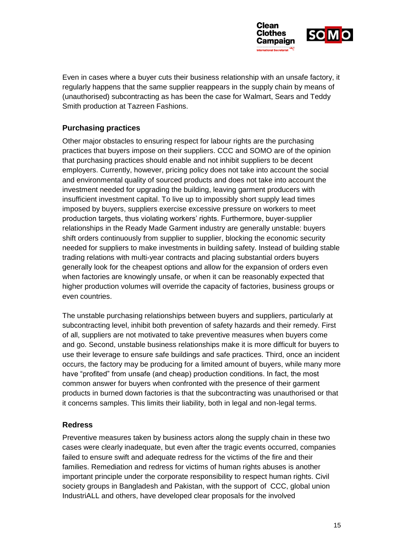

Even in cases where a buyer cuts their business relationship with an unsafe factory, it regularly happens that the same supplier reappears in the supply chain by means of (unauthorised) subcontracting as has been the case for Walmart, Sears and Teddy Smith production at Tazreen Fashions.

### **Purchasing practices**

Other major obstacles to ensuring respect for labour rights are the purchasing practices that buyers impose on their suppliers. CCC and SOMO are of the opinion that purchasing practices should enable and not inhibit suppliers to be decent employers. Currently, however, pricing policy does not take into account the social and environmental quality of sourced products and does not take into account the investment needed for upgrading the building, leaving garment producers with insufficient investment capital. To live up to impossibly short supply lead times imposed by buyers, suppliers exercise excessive pressure on workers to meet production targets, thus violating workers' rights. Furthermore, buyer-supplier relationships in the Ready Made Garment industry are generally unstable: buyers shift orders continuously from supplier to supplier, blocking the economic security needed for suppliers to make investments in building safety. Instead of building stable trading relations with multi-year contracts and placing substantial orders buyers generally look for the cheapest options and allow for the expansion of orders even when factories are knowingly unsafe, or when it can be reasonably expected that higher production volumes will override the capacity of factories, business groups or even countries.

The unstable purchasing relationships between buyers and suppliers, particularly at subcontracting level, inhibit both prevention of safety hazards and their remedy. First of all, suppliers are not motivated to take preventive measures when buyers come and go. Second, unstable business relationships make it is more difficult for buyers to use their leverage to ensure safe buildings and safe practices. Third, once an incident occurs, the factory may be producing for a limited amount of buyers, while many more have "profited" from unsafe (and cheap) production conditions. In fact, the most common answer for buyers when confronted with the presence of their garment products in burned down factories is that the subcontracting was unauthorised or that it concerns samples. This limits their liability, both in legal and non-legal terms.

### **Redress**

Preventive measures taken by business actors along the supply chain in these two cases were clearly inadequate, but even after the tragic events occurred, companies failed to ensure swift and adequate redress for the victims of the fire and their families. Remediation and redress for victims of human rights abuses is another important principle under the corporate responsibility to respect human rights. Civil society groups in Bangladesh and Pakistan, with the support of CCC, global union IndustriALL and others, have developed clear proposals for the involved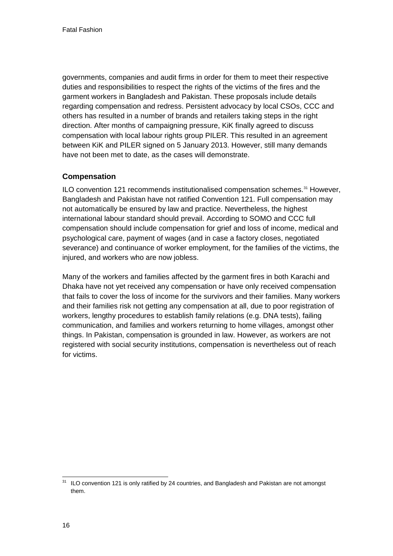<span id="page-16-1"></span><span id="page-16-0"></span>governments, companies and audit firms in order for them to meet their respective duties and responsibilities to respect the rights of the victims of the fires and the garment workers in Bangladesh and Pakistan. These proposals include details regarding compensation and redress. Persistent advocacy by local CSOs, CCC and others has resulted in a number of brands and retailers taking steps in the right direction. After months of campaigning pressure, KiK finally agreed to discuss compensation with local labour rights group PILER. This resulted in an agreement between KiK and PILER signed on 5 January 2013. However, still many demands have not been met to date, as the cases will demonstrate.

# **Compensation**

ILO convention 121 recommends institutionalised compensation schemes.<sup>31</sup> However, Bangladesh and Pakistan have not ratified Convention 121. Full compensation may not automatically be ensured by law and practice. Nevertheless, the highest international labour standard should prevail. According to SOMO and CCC full compensation should include compensation for grief and loss of income, medical and psychological care, payment of wages (and in case a factory closes, negotiated severance) and continuance of worker employment, for the families of the victims, the injured, and workers who are now jobless.

Many of the workers and families affected by the garment fires in both Karachi and Dhaka have not yet received any compensation or have only received compensation that fails to cover the loss of income for the survivors and their families. Many workers and their families risk not getting any compensation at all, due to poor registration of workers, lengthy procedures to establish family relations (e.g. DNA tests), failing communication, and families and workers returning to home villages, amongst other things. In Pakistan, compensation is grounded in law. However, as workers are not registered with social security institutions, compensation is nevertheless out of reach for victims.

<sup>1</sup>  $31$  ILO convention 121 is only ratified by 24 countries, and Bangladesh and Pakistan are not amongst them.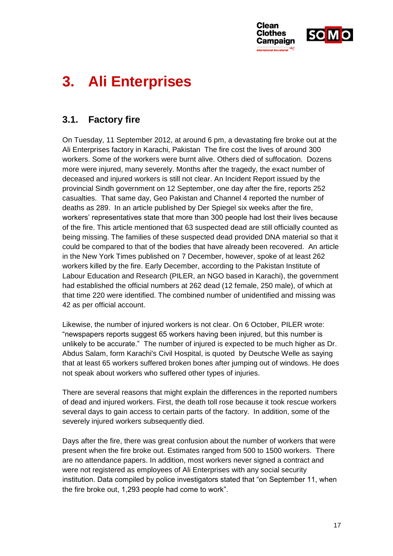

# **3. Ali Enterprises**

# **3.1. Factory fire**

On Tuesday, 11 September 2012, at around 6 pm, a devastating fire broke out at the Ali Enterprises factory in Karachi, Pakistan The fire cost the lives of around 300 workers. Some of the workers were burnt alive. Others died of suffocation. Dozens more were injured, many severely. Months after the tragedy, the exact number of deceased and injured workers is still not clear. An Incident Report issued by the provincial Sindh government on 12 September, one day after the fire, reports 252 casualties. That same day, Geo Pakistan and Channel 4 reported the number of deaths as 289. In an article published by Der Spiegel six weeks after the fire, workers' representatives state that more than 300 people had lost their lives because of the fire. This article mentioned that 63 suspected dead are still officially counted as being missing. The families of these suspected dead provided DNA material so that it could be compared to that of the bodies that have already been recovered. An article in the New York Times published on 7 December, however, spoke of at least 262 workers killed by the fire. Early December, according to the Pakistan Institute of Labour Education and Research (PILER, an NGO based in Karachi), the government had established the official numbers at 262 dead (12 female, 250 male), of which at that time 220 were identified. The combined number of unidentified and missing was 42 as per official account.

Likewise, the number of injured workers is not clear. On 6 October, PILER wrote: "newspapers reports suggest 65 workers having been injured, but this number is unlikely to be accurate." The number of injured is expected to be much higher as Dr. Abdus Salam, form Karachi's Civil Hospital, is quoted by Deutsche Welle as saying that at least 65 workers suffered broken bones after jumping out of windows. He does not speak about workers who suffered other types of injuries.

There are several reasons that might explain the differences in the reported numbers of dead and injured workers. First, the death toll rose because it took rescue workers several days to gain access to certain parts of the factory. In addition, some of the severely injured workers subsequently died.

Days after the fire, there was great confusion about the number of workers that were present when the fire broke out. Estimates ranged from 500 to 1500 workers. There are no attendance papers. In addition, most workers never signed a contract and were not registered as employees of Ali Enterprises with any social security institution. Data compiled by police investigators stated that "on September 11, when the fire broke out, 1,293 people had come to work".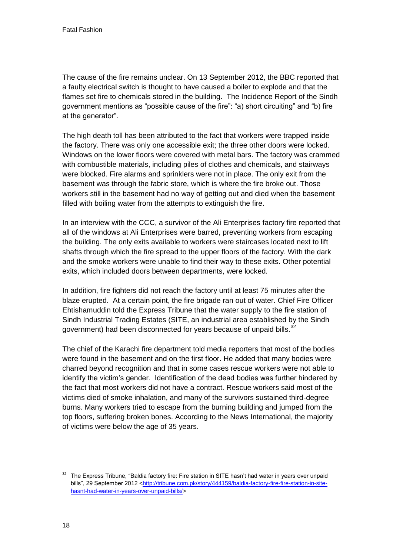The cause of the fire remains unclear. On 13 September 2012, the BBC reported that a faulty electrical switch is thought to have caused a boiler to explode and that the flames set fire to chemicals stored in the building. The Incidence Report of the Sindh government mentions as "possible cause of the fire": "a) short circuiting" and "b) fire at the generator".

The high death toll has been attributed to the fact that workers were trapped inside the factory. There was only one accessible exit; the three other doors were locked. Windows on the lower floors were covered with metal bars. The factory was crammed with combustible materials, including piles of clothes and chemicals, and stairways were blocked. Fire alarms and sprinklers were not in place. The only exit from the basement was through the fabric store, which is where the fire broke out. Those workers still in the basement had no way of getting out and died when the basement filled with boiling water from the attempts to extinguish the fire.

<span id="page-18-0"></span>In an interview with the CCC, a survivor of the Ali Enterprises factory fire reported that all of the windows at Ali Enterprises were barred, preventing workers from escaping the building. The only exits available to workers were staircases located next to lift shafts through which the fire spread to the upper floors of the factory. With the dark and the smoke workers were unable to find their way to these exits. Other potential exits, which included doors between departments, were locked.

In addition, fire fighters did not reach the factory until at least 75 minutes after the blaze erupted. At a certain point, the fire brigade ran out of water. Chief Fire Officer Ehtishamuddin told the Express Tribune that the water supply to the fire station of Sindh Industrial Trading Estates (SITE, an industrial area established by the Sindh government) had been disconnected for years because of unpaid bills. $^{32}$ 

The chief of the Karachi fire department told media reporters that most of the bodies were found in the basement and on the first floor. He added that many bodies were charred beyond recognition and that in some cases rescue workers were not able to identify the victim's gender. Identification of the dead bodies was further hindered by the fact that most workers did not have a contract. Rescue workers said most of the victims died of smoke inhalation, and many of the survivors sustained third-degree burns. Many workers tried to escape from the burning building and jumped from the top floors, suffering broken bones. According to the News International, the majority of victims were below the age of 35 years.

<sup>-</sup> $32$  The Express Tribune, "Baldia factory fire: Fire station in SITE hasn't had water in years over unpaid bills", 29 September 2012 [<http://tribune.com.pk/story/444159/baldia-factory-fire-fire-station-in-site](http://tribune.com.pk/story/444159/baldia-factory-fire-fire-station-in-site-hasnt-had-water-in-years-over-unpaid-bills/)[hasnt-had-water-in-years-over-unpaid-bills/>](http://tribune.com.pk/story/444159/baldia-factory-fire-fire-station-in-site-hasnt-had-water-in-years-over-unpaid-bills/)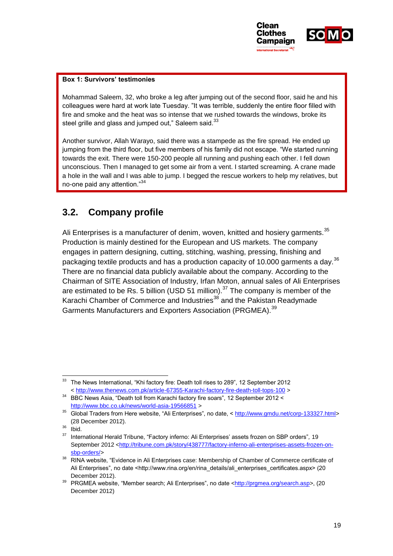

#### **Box 1: Survivors' testimonies**

Mohammad Saleem, 32, who broke a leg after jumping out of the second floor, said he and his colleagues were hard at work late Tuesday. "It was terrible, suddenly the entire floor filled with fire and smoke and the heat was so intense that we rushed towards the windows, broke its steel grille and glass and jumped out," Saleem said. $33$ 

Another survivor, Allah Warayo, said there was a stampede as the fire spread. He ended up jumping from the third floor, but five members of his family did not escape. "We started running towards the exit. There were 150-200 people all running and pushing each other. I fell down unconscious. Then I managed to get some air from a vent. I started screaming. A crane made a hole in the wall and I was able to jump. I begged the rescue workers to help my relatives, but no-one paid any attention."<sup>34</sup>

# **3.2. Company profile**

Ali Enterprises is a manufacturer of denim, woven, knitted and hosiery garments.<sup>35</sup> Production is mainly destined for the European and US markets. The company engages in pattern designing, cutting, stitching, washing, pressing, finishing and packaging textile products and has a production capacity of 10.000 garments a day.<sup>36</sup> There are no financial data publicly available about the company. According to the Chairman of SITE Association of Industry, Irfan Moton, annual sales of Ali Enterprises are estimated to be Rs. 5 billion (USD 51 million). $37$  The company is member of the Karachi Chamber of Commerce and Industries<sup>38</sup> and the Pakistan Readymade Garments Manufacturers and Exporters Association (PRGMEA).<sup>39</sup>

<sup>1</sup> <sup>33</sup> The News International, "Khi factory fire: Death toll rises to 289", 12 September 2012 [< http://www.thenews.com.pk/article-67355-Karachi-factory-fire-death-toll-tops-100](http://www.thenews.com.pk/article-67355-Karachi-factory-fire-death-toll-tops-100) >

<sup>34</sup> BBC News Asia, "Death toll from Karachi factory fire soars", 12 September 2012 < <http://www.bbc.co.uk/news/world-asia-19566851> >

<sup>&</sup>lt;sup>35</sup> Global Traders from Here website, "Ali Enterprises", no date, [< http://www.gmdu.net/corp-133327.html>](http://www.gmdu.net/corp-133327.html) (28 December 2012).

 $\frac{36}{37}$  lbid.

<sup>37</sup> International Herald Tribune, "Factory inferno: Ali Enterprises' assets frozen on SBP orders"*,* 19 September 2012 [<http://tribune.com.pk/story/438777/factory-inferno-ali-enterprises-assets-frozen-on](http://tribune.com.pk/story/438777/factory-inferno-ali-enterprises-assets-frozen-on-sbp-orders/)[sbp-orders/>](http://tribune.com.pk/story/438777/factory-inferno-ali-enterprises-assets-frozen-on-sbp-orders/)

<sup>38</sup> RINA website, "Evidence in Ali Enterprises case: Membership of Chamber of Commerce certificate of Ali Enterprises", no date <http://www.rina.org/en/rina\_details/ali\_enterprises\_certificates.aspx> (20 December 2012).

<sup>39</sup> PRGMEA website, "Member search; Ali Enterprises", no date [<http://prgmea.org/search.asp>](http://prgmea.org/search.asp), (20 December 2012)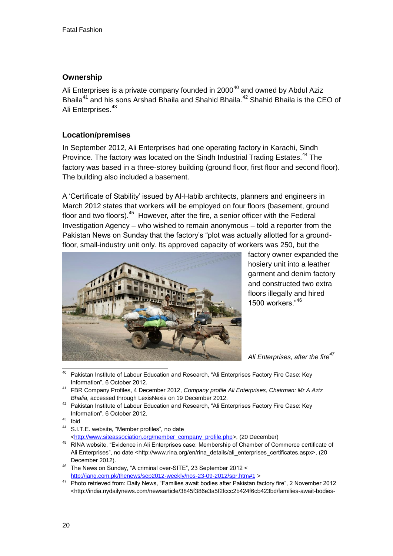### **Ownership**

Ali Enterprises is a private company founded in  $2000^{40}$  and owned by Abdul Aziz Bhaila<sup>41</sup> and his sons Arshad Bhaila and Shahid Bhaila.<sup>42</sup> Shahid Bhaila is the CEO of Ali Enterprises<sup>43</sup>

# **Location/premises**

In September 2012, Ali Enterprises had one operating factory in Karachi, Sindh Province. The factory was located on the Sindh Industrial Trading Estates.<sup>44</sup> The factory was based in a three-storey building (ground floor, first floor and second floor). The building also included a basement.

A 'Certificate of Stability' issued by Al-Habib architects, planners and engineers in March 2012 states that workers will be employed on four floors (basement, ground floor and two floors).<sup>45</sup> However, after the fire, a senior officer with the Federal Investigation Agency – who wished to remain anonymous – told a reporter from the Pakistan News on Sunday that the factory's "plot was actually allotted for a groundfloor, small-industry unit only. Its approved capacity of workers was 250, but the



factory owner expanded the hosiery unit into a leather garment and denim factory and constructed two extra floors illegally and hired 1500 workers."<sup>46</sup>

*Ali Enterprises, after the fire<sup>47</sup>*

- <sup>40</sup> Pakistan Institute of Labour Education and Research, "Ali Enterprises Factory Fire Case: Key Information", 6 October 2012.
- <sup>41</sup> FBR Company Profiles, 4 December 2012, *Company profile Ali Enterprises, Chairman: Mr A Aziz Bhalia*, accessed through LexisNexis on 19 December 2012.
- <sup>42</sup> Pakistan Institute of Labour Education and Research, "Ali Enterprises Factory Fire Case: Key Information", 6 October 2012.
- <sup>43</sup> Ibid
- S.I.T.E. website, "Member profiles", no date [<http://www.siteassociation.org/member\\_company\\_profile.php>](http://www.siteassociation.org/member_company_profile.php), (20 December)
- <sup>45</sup> RINA website, "Evidence in Ali Enterprises case: Membership of Chamber of Commerce certificate of Ali Enterprises", no date <http://www.rina.org/en/rina\_details/ali\_enterprises\_certificates.aspx>, (20 December 2012).
- <sup>46</sup> The News on Sunday, "A criminal over-SITE", 23 September 2012 < <http://jang.com.pk/thenews/sep2012-weekly/nos-23-09-2012/spr.htm#1> >
- <sup>47</sup> Photo retrieved from: Daily News, "Families await bodies after Pakistan factory fire", 2 November 2012 <http://india.nydailynews.com/newsarticle/3845f386e3a5f2fccc2b424f6cb423bd/families-await-bodies-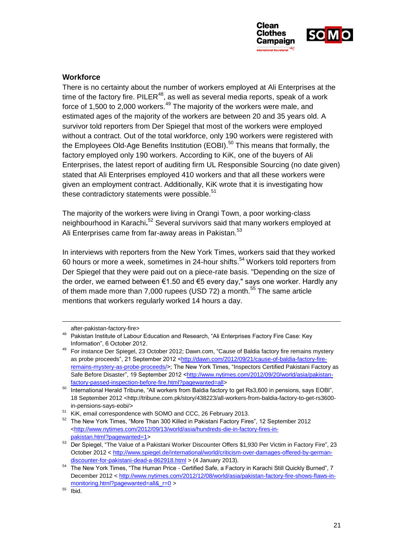

#### <span id="page-21-0"></span>**Workforce**

There is no certainty about the number of workers employed at Ali Enterprises at the time of the factory fire. PILER $^{48}$ , as well as several media reports, speak of a work force of 1,500 to 2,000 workers.<sup>49</sup> The majority of the workers were male, and estimated ages of the majority of the workers are between 20 and 35 years old. A survivor told reporters from Der Spiegel that most of the workers were employed without a contract. Out of the total workforce, only 190 workers were registered with the Employees Old-Age Benefits Institution (EOBI).<sup>50</sup> This means that formally, the factory employed only 190 workers. According to KiK, one of the buyers of Ali Enterprises, the latest report of auditing firm UL Responsible Sourcing (no date given) stated that Ali Enterprises employed 410 workers and that all these workers were given an employment contract. Additionally, KiK wrote that it is investigating how these contradictory statements were possible. $51$ 

The majority of the workers were living in Orangi Town, a poor working-class neighbourhood in Karachi**.** <sup>52</sup> Several survivors said that many workers employed at Ali Enterprises came from far-away areas in Pakistan.<sup>53</sup>

In interviews with reporters from the New York Times, workers said that they worked 60 hours or more a week, sometimes in 24-hour shifts.<sup>54</sup> Workers told reporters from Der Spiegel that they were paid out on a piece-rate basis. "Depending on the size of the order, we earned between €1.50 and €5 every day," says one worker. Hardly any of them made more than 7,000 rupees (USD 72) a month.<sup>55</sup> The same article mentions that workers regularly worked 14 hours a day.

<span id="page-21-1"></span>-

after-pakistan-factory-fire>

<sup>48</sup> Pakistan Institute of Labour Education and Research, "Ali Enterprises Factory Fire Case: Key Information", 6 October 2012.

<sup>&</sup>lt;sup>49</sup> For instance Der Spiegel, 23 October 2012; Dawn.com, "Cause of Baldia factory fire remains mystery as probe proceeds", 21 September 2012 [<http://dawn.com/2012/09/21/cause-of-baldia-factory-fire](http://dawn.com/2012/09/21/cause-of-baldia-factory-fire-remains-mystery-as-probe-proceeds/)[remains-mystery-as-probe-proceeds/>](http://dawn.com/2012/09/21/cause-of-baldia-factory-fire-remains-mystery-as-probe-proceeds/); The New York Times, "Inspectors Certified Pakistani Factory as Safe Before Disaster", 19 September 2012 [<http://www.nytimes.com/2012/09/20/world/asia/pakistan](http://www.nytimes.com/2012/09/20/world/asia/pakistan-factory-passed-inspection-before-fire.html?pagewanted=all)[factory-passed-inspection-before-fire.html?pagewanted=all>](http://www.nytimes.com/2012/09/20/world/asia/pakistan-factory-passed-inspection-before-fire.html?pagewanted=all)

<sup>&</sup>lt;sup>50</sup> International Herald Tribune, "All workers from Baldia factory to get Rs3,600 in pensions, says EOBI", 18 September 2012 <http://tribune.com.pk/story/438223/all-workers-from-baldia-factory-to-get-rs3600in-pensions-says-eobi/>

<sup>&</sup>lt;sup>51</sup> KiK, email correspondence with SOMO and CCC, 26 February 2013.

<sup>52</sup> The New York Times, "More Than 300 Killed in Pakistani Factory Fires", 12 September 2012 [<http://www.nytimes.com/2012/09/13/world/asia/hundreds-die-in-factory-fires-in](http://www.nytimes.com/2012/09/13/world/asia/hundreds-die-in-factory-fires-in-pakistan.html?pagewanted=1)[pakistan.html?pagewanted=1>](http://www.nytimes.com/2012/09/13/world/asia/hundreds-die-in-factory-fires-in-pakistan.html?pagewanted=1)

<sup>53</sup> Der Spiegel, "The Value of a Pakistani Worker Discounter Offers \$1,930 Per Victim in Factory Fire", 23 October 2012 < [http://www.spiegel.de/international/world/criticism-over-damages-offered-by-german](http://www.spiegel.de/international/world/criticism-over-damages-offered-by-german-discounter-for-pakistani-dead-a-862918.html)[discounter-for-pakistani-dead-a-862918.html](http://www.spiegel.de/international/world/criticism-over-damages-offered-by-german-discounter-for-pakistani-dead-a-862918.html) > (4 January 2013).

<sup>54</sup> The New York Times, "The Human Price - Certified Safe, a Factory in Karachi Still Quickly Burned", 7 December 2012 [< http://www.nytimes.com/2012/12/08/world/asia/pakistan-factory-fire-shows-flaws-in](http://www.nytimes.com/2012/12/08/world/asia/pakistan-factory-fire-shows-flaws-in-monitoring.html?pagewanted=all&_r=0)[monitoring.html?pagewanted=all&\\_r=0](http://www.nytimes.com/2012/12/08/world/asia/pakistan-factory-fire-shows-flaws-in-monitoring.html?pagewanted=all&_r=0) >

 $55$  Ibid.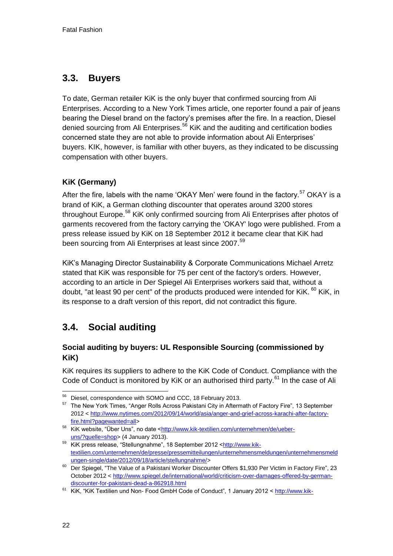# **3.3. Buyers**

To date, German retailer KiK is the only buyer that confirmed sourcing from Ali Enterprises. According to a New York Times article, one reporter found a pair of jeans bearing the Diesel brand on the factory's premises after the fire. In a reaction, Diesel denied sourcing from Ali Enterprises.<sup>56</sup> KiK and the auditing and certification bodies concerned state they are not able to provide information about Ali Enterprises' buyers. KIK, however, is familiar with other buyers, as they indicated to be discussing compensation with other buyers.

# **KiK (Germany)**

After the fire, labels with the name 'OKAY Men' were found in the factory.<sup>57</sup> OKAY is a brand of KiK, a German clothing discounter that operates around 3200 stores throughout Europe.<sup>58</sup> KiK only confirmed sourcing from Ali Enterprises after photos of garments recovered from the factory carrying the 'OKAY' logo were published. From a press release issued by KiK on 18 September 2012 it became clear that KiK had been sourcing from Ali Enterprises at least since 2007.<sup>59</sup>

KiK's Managing Director Sustainability & Corporate Communications Michael Arretz stated that KiK was responsible for 75 per cent of the factory's orders. However, according to an article in Der Spiegel Ali Enterprises workers said that, without a doubt, "at least 90 per cent" of the products produced were intended for KiK. <sup>60</sup> KiK, in its response to a draft version of this report, did not contradict this figure.

# **3.4. Social auditing**

# **Social auditing by buyers: UL Responsible Sourcing (commissioned by KiK)**

KiK requires its suppliers to adhere to the KiK Code of Conduct. Compliance with the Code of Conduct is monitored by KiK or an authorised third party.<sup>61</sup> In the case of Ali

<sup>-</sup><sup>56</sup> Diesel, correspondence with SOMO and CCC, 18 February 2013.

<sup>&</sup>lt;sup>57</sup> The New York Times, "Anger Rolls Across Pakistani City in Aftermath of Factory Fire", 13 September 2012 [< http://www.nytimes.com/2012/09/14/world/asia/anger-and-grief-across-karachi-after-factory](http://www.nytimes.com/2012/09/14/world/asia/anger-and-grief-across-karachi-after-factory-fire.html?pagewanted=all)[fire.html?pagewanted=all>](http://www.nytimes.com/2012/09/14/world/asia/anger-and-grief-across-karachi-after-factory-fire.html?pagewanted=all)

<sup>58</sup> KiK website, "Über Uns", no date [<http://www.kik-textilien.com/unternehmen/de/ueber](http://www.kik-textilien.com/unternehmen/de/ueber-uns/?quelle=shop)[uns/?quelle=shop>](http://www.kik-textilien.com/unternehmen/de/ueber-uns/?quelle=shop) (4 January 2013).

<sup>59</sup> KiK press release, "Stellungnahme", 18 September 2012 [<http://www.kik](http://www.kik-textilien.com/unternehmen/de/presse/pressemitteilungen/unternehmensmeldungen/unternehmensmeldungen-single/date/2012/09/18/article/stellungnahme/)[textilien.com/unternehmen/de/presse/pressemitteilungen/unternehmensmeldungen/unternehmensmeld](http://www.kik-textilien.com/unternehmen/de/presse/pressemitteilungen/unternehmensmeldungen/unternehmensmeldungen-single/date/2012/09/18/article/stellungnahme/) [ungen-single/date/2012/09/18/article/stellungnahme/>](http://www.kik-textilien.com/unternehmen/de/presse/pressemitteilungen/unternehmensmeldungen/unternehmensmeldungen-single/date/2012/09/18/article/stellungnahme/)

<sup>60</sup> Der Spiegel, "The Value of a Pakistani Worker Discounter Offers \$1,930 Per Victim in Factory Fire", 23 October 2012 < [http://www.spiegel.de/international/world/criticism-over-damages-offered-by-german](http://www.spiegel.de/international/world/criticism-over-damages-offered-by-german-discounter-for-pakistani-dead-a-862918.html)[discounter-for-pakistani-dead-a-862918.html](http://www.spiegel.de/international/world/criticism-over-damages-offered-by-german-discounter-for-pakistani-dead-a-862918.html)

<sup>&</sup>lt;sup>61</sup> KiK, "KiK Textilien und Non- Food GmbH Code of Conduct", 1 January 2012 < [http://www.kik-](http://www.kik-textilien.com/unternehmen/fileadmin/media/blaetterkataloge/COC_Eng/index.html)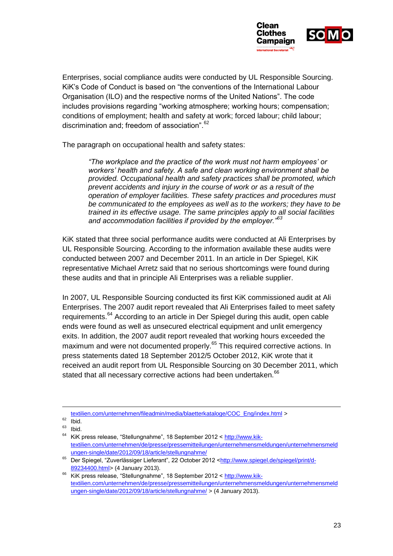

Enterprises, social compliance audits were conducted by UL Responsible Sourcing. KiK's Code of Conduct is based on "the conventions of the International Labour Organisation (ILO) and the respective norms of the United Nations". The code includes provisions regarding "working atmosphere; working hours; compensation; conditions of employment; health and safety at work; forced labour; child labour; discrimination and; freedom of association".<sup>62</sup>

The paragraph on occupational health and safety states:

*"The workplace and the practice of the work must not harm employees' or workers' health and safety. A safe and clean working environment shall be provided. Occupational health and safety practices shall be promoted, which prevent accidents and injury in the course of work or as a result of the operation of employer facilities. These safety practices and procedures must be communicated to the employees as well as to the workers; they have to be trained in its effective usage. The same principles apply to all social facilities and accommodation facilities if provided by the employer."<sup>63</sup>*

KiK stated that three social performance audits were conducted at Ali Enterprises by UL Responsible Sourcing. According to the information available these audits were conducted between 2007 and December 2011. In an article in Der Spiegel, KiK representative Michael Arretz said that no serious shortcomings were found during these audits and that in principle Ali Enterprises was a reliable supplier.

In 2007, UL Responsible Sourcing conducted its first KiK commissioned audit at Ali Enterprises. The 2007 audit report revealed that Ali Enterprises failed to meet safety requirements.<sup>64</sup> According to an article in Der Spiegel during this audit, open cable ends were found as well as unsecured electrical equipment and unlit emergency exits. In addition, the 2007 audit report revealed that working hours exceeded the maximum and were not documented properly.<sup>65</sup> This required corrective actions. In press statements dated 18 September 2012/5 October 2012, KiK wrote that it received an audit report from UL Responsible Sourcing on 30 December 2011, which stated that all necessary corrective actions had been undertaken.<sup>66</sup>

1

[textilien.com/unternehmen/fileadmin/media/blaetterkataloge/COC\\_Eng/index.html](http://www.kik-textilien.com/unternehmen/fileadmin/media/blaetterkataloge/COC_Eng/index.html) >

 $\frac{62}{63}$  Ibid.

 $\begin{array}{c} 63 \\ 64 \end{array}$  Ibid. KiK press release, "Stellungnahme", 18 September 2012 < [http://www.kik](http://www.kik-textilien.com/unternehmen/de/presse/pressemitteilungen/unternehmensmeldungen/unternehmensmeldungen-single/date/2012/09/18/article/stellungnahme/)[textilien.com/unternehmen/de/presse/pressemitteilungen/unternehmensmeldungen/unternehmensmeld](http://www.kik-textilien.com/unternehmen/de/presse/pressemitteilungen/unternehmensmeldungen/unternehmensmeldungen-single/date/2012/09/18/article/stellungnahme/) [ungen-single/date/2012/09/18/article/stellungnahme/](http://www.kik-textilien.com/unternehmen/de/presse/pressemitteilungen/unternehmensmeldungen/unternehmensmeldungen-single/date/2012/09/18/article/stellungnahme/) 

<sup>65</sup> Der Spiegel, "Zuverlässiger Lieferant", 22 October 2012 [<http://www.spiegel.de/spiegel/print/d-](http://www.spiegel.de/spiegel/print/d-89234400.html)[89234400.html>](http://www.spiegel.de/spiegel/print/d-89234400.html) (4 January 2013).

<sup>&</sup>lt;sup>66</sup> KiK press release, "Stellungnahme", 18 September 2012 < [http://www.kik](http://www.kik-textilien.com/unternehmen/de/presse/pressemitteilungen/unternehmensmeldungen/unternehmensmeldungen-single/date/2012/09/18/article/stellungnahme/)[textilien.com/unternehmen/de/presse/pressemitteilungen/unternehmensmeldungen/unternehmensmeld](http://www.kik-textilien.com/unternehmen/de/presse/pressemitteilungen/unternehmensmeldungen/unternehmensmeldungen-single/date/2012/09/18/article/stellungnahme/) [ungen-single/date/2012/09/18/article/stellungnahme/](http://www.kik-textilien.com/unternehmen/de/presse/pressemitteilungen/unternehmensmeldungen/unternehmensmeldungen-single/date/2012/09/18/article/stellungnahme/) > (4 January 2013).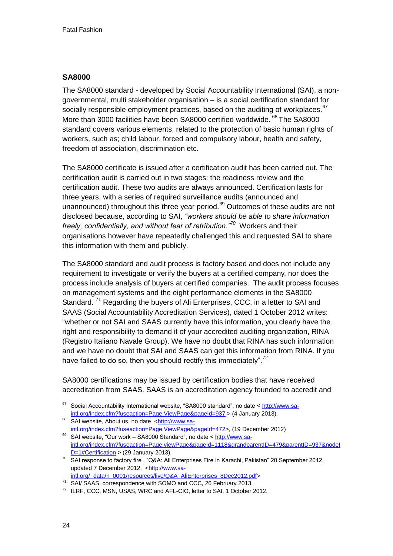#### **SA8000**

The SA8000 standard - developed by Social Accountability International (SAI), a nongovernmental, multi stakeholder organisation – is a social certification standard for socially responsible employment practices, based on the auditing of workplaces.  $67$ More than 3000 facilities have been SA8000 certified worldwide. <sup>68</sup> The SA8000 standard covers various elements, related to the protection of basic human rights of workers, such as; child labour, forced and compulsory labour, health and safety, freedom of association, discrimination etc.

The SA8000 certificate is issued after a certification audit has been carried out. The certification audit is carried out in two stages: the readiness review and the certification audit. These two audits are always announced. Certification lasts for three years, with a series of required surveillance audits (announced and unannounced) throughout this three year period.<sup>69</sup> Outcomes of these audits are not disclosed because, according to SAI, *"workers should be able to share information freely, confidentially, and without fear of retribution."<sup>70</sup>* Workers and their organisations however have repeatedly challenged this and requested SAI to share this information with them and publicly.

The SA8000 standard and audit process is factory based and does not include any requirement to investigate or verify the buyers at a certified company, nor does the process include analysis of buyers at certified companies. The audit process focuses on management systems and the eight performance elements in the SA8000 Standard.<sup>71</sup> Regarding the buyers of Ali Enterprises, CCC, in a letter to SAI and SAAS (Social Accountability Accreditation Services), dated 1 October 2012 writes: "whether or not SAI and SAAS currently have this information, you clearly have the right and responsibility to demand it of your accredited auditing organization, RINA (Registro Italiano Navale Group). We have no doubt that RINA has such information and we have no doubt that SAI and SAAS can get this information from RINA. If you have failed to do so, then you should rectify this immediately".<sup>72</sup>

SA8000 certifications may be issued by certification bodies that have received accreditation from SAAS. SAAS is an accreditation agency founded to accredit and

[intl.org/\\_data/n\\_0001/resources/live/Q&A\\_AliEnterprises\\_8Dec2012.pdf>](http://www.sa-intl.org/_data/n_0001/resources/live/Q&A_AliEnterprises_8Dec2012.pdf)

<sup>67</sup> <sup>67</sup> Social Accountability International website, "SA8000 standard", no date [< http://www.sa](http://www.sa-intl.org/index.cfm?fuseaction=Page.ViewPage&pageId=937)[intl.org/index.cfm?fuseaction=Page.ViewPage&pageId=937](http://www.sa-intl.org/index.cfm?fuseaction=Page.ViewPage&pageId=937) > (4 January 2013).

<sup>68</sup> SAI website, About us, no date [<http://www.sa](http://www.sa-intl.org/index.cfm?fuseaction=Page.ViewPage&pageId=472)[intl.org/index.cfm?fuseaction=Page.ViewPage&pageId=472>](http://www.sa-intl.org/index.cfm?fuseaction=Page.ViewPage&pageId=472), (19 December 2012)

<sup>69</sup> SAI website, "Our work – SA8000 Standard", no date [< http://www.sa](http://www.sa-intl.org/index.cfm?fuseaction=Page.viewPage&pageId=1118&grandparentID=479&parentID=937&nodeID=1#Certification)[intl.org/index.cfm?fuseaction=Page.viewPage&pageId=1118&grandparentID=479&parentID=937&nodeI](http://www.sa-intl.org/index.cfm?fuseaction=Page.viewPage&pageId=1118&grandparentID=479&parentID=937&nodeID=1#Certification) [D=1#Certification](http://www.sa-intl.org/index.cfm?fuseaction=Page.viewPage&pageId=1118&grandparentID=479&parentID=937&nodeID=1#Certification) > (29 January 2013).

<sup>70</sup> SAI response to factory fire , "Q&A: Ali Enterprises Fire in Karachi, Pakistan" 20 September 2012, updated 7 December 2012, [<http://www.sa-](http://www.sa-intl.org/_data/n_0001/resources/live/Q&A_AliEnterprises_8Dec2012.pdf)

<sup>71</sup> SAI/ SAAS, correspondence with SOMO and CCC, 26 February 2013.

<sup>72</sup> ILRF, CCC, MSN, USAS, WRC and AFL-CIO, letter to SAI, 1 October 2012.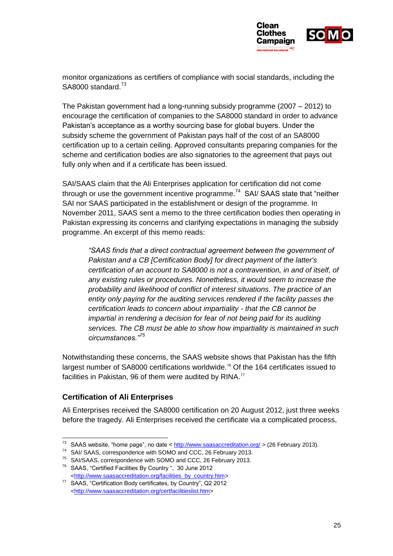

monitor organizations as certifiers of compliance with social standards, including the SA8000 standard.<sup>73</sup>

The Pakistan government had a long-running subsidy programme (2007 – 2012) to encourage the certification of companies to the SA8000 standard in order to advance Pakistan's acceptance as a worthy sourcing base for global buyers. Under the subsidy scheme the government of Pakistan pays half of the cost of an SA8000 certification up to a certain ceiling. Approved consultants preparing companies for the scheme and certification bodies are also signatories to the agreement that pays out fully only when and if a certificate has been issued.

SAI/SAAS claim that the Ali Enterprises application for certification did not come through or use the government incentive programme.<sup>74</sup> SAI/ SAAS state that "neither SAI nor SAAS participated in the establishment or design of the programme. In November 2011, SAAS sent a memo to the three certification bodies then operating in Pakistan expressing its concerns and clarifying expectations in managing the subsidy programme. An excerpt of this memo reads:

*"SAAS finds that a direct contractual agreement between the government of Pakistan and a CB [Certification Body] for direct payment of the latter's certification of an account to SA8000 is not a contravention, in and of itself, of any existing rules or procedures. Nonetheless, it would seem to increase the probability and likelihood of conflict of interest situations. The practice of an entity only paying for the auditing services rendered if the facility passes the certification leads to concern about impartiality - that the CB cannot be impartial in rendering a decision for fear of not being paid for its auditing services. The CB must be able to show how impartiality is maintained in such circumstances."<sup>75</sup>*

Notwithstanding these concerns, the SAAS website shows that Pakistan has the fifth largest number of SA8000 certifications worldwide.<sup>76</sup> Of the 164 certificates issued to facilities in Pakistan, 96 of them were audited by RINA.<sup>77</sup>

### **Certification of Ali Enterprises**

Ali Enterprises received the SA8000 certification on 20 August 2012, just three weeks before the tragedy. Ali Enterprises received the certificate via a complicated process,

<sup>-</sup><sup>73</sup> SAAS website, "home page", no date [< http://www.saasaccreditation.org/](http://www.saasaccreditation.org/) > (26 February 2013).

<sup>74</sup> SAI/ SAAS, correspondence with SOMO and CCC, 26 February 2013.

<sup>75</sup> SAI/SAAS, correspondence with SOMO and CCC, 26 February 2013.

<sup>76</sup> SAAS, "Certified Facilities By Country ", 30 June 2012 [<http://www.saasaccreditation.org/facilities\\_by\\_country.htm>](http://www.saasaccreditation.org/facilities_by_country.htm)

<sup>77</sup> SAAS, "Certification Body certificates, by Country", Q2 2012 [<http://www.saasaccreditation.org/certfacilitieslist.htm>](http://www.saasaccreditation.org/certfacilitieslist.htm)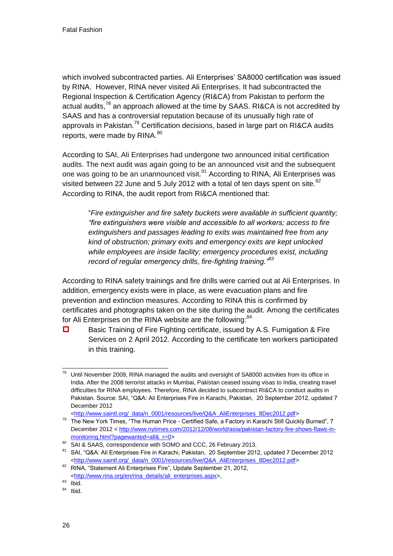which involved subcontracted parties. Ali Enterprises' SA8000 certification was issued by RINA. However, RINA never visited Ali Enterprises. It had subcontracted the Regional Inspection & Certification Agency (RI&CA) from Pakistan to perform the actual audits,<sup>78</sup> an approach allowed at the time by SAAS. RI&CA is not accredited by SAAS and has a controversial reputation because of its unusually high rate of approvals in Pakistan.<sup>79</sup> Certification decisions, based in large part on RI&CA audits reports, were made by RINA.<sup>80</sup>

According to SAI, Ali Enterprises had undergone two announced initial certification audits. The next audit was again going to be an announced visit and the subsequent one was going to be an unannounced visit.<sup>81</sup> According to RINA, Ali Enterprises was visited between 22 June and 5 July 2012 with a total of ten days spent on site. $82$ According to RINA, the audit report from RI&CA mentioned that:

"*Fire extinguisher and fire safety buckets were available in sufficient quantity; "fire extinguishers were visible and accessible to all workers; access to fire extinguishers and passages leading to exits was maintained free from any kind of obstruction; primary exits and emergency exits are kept unlocked while employees are inside facility; emergency procedures exist, including record of regular emergency drills, fire-fighting training."<sup>83</sup>*

According to RINA safety trainings and fire drills were carried out at Ali Enterprises. In addition, emergency exists were in place, as were evacuation plans and fire prevention and extinction measures. According to RINA this is confirmed by certificates and photographs taken on the site during the audit. Among the certificates for Ali Enterprises on the RINA website are the following:<sup>84</sup>

 $\Box$  Basic Training of Fire Fighting certificate, issued by A.S. Fumigation & Fire Services on 2 April 2012. According to the certificate ten workers participated in this training.

<sup>1</sup> Until November 2009, RINA managed the audits and oversight of SA8000 activities from its office in India. After the 2008 terrorist attacks in Mumbai, Pakistan ceased issuing visas to India, creating travel difficulties for RINA employees. Therefore, RINA decided to subcontract RI&CA to conduct audits in Pakistan. Source: SAI, "Q&A: Ali Enterprises Fire in Karachi, Pakistan, 20 September 2012, updated 7 December 2012

[<sup>&</sup>lt;http://www.saintl.org/\\_data/n\\_0001/resources/live/Q&A\\_AliEnterprises\\_8Dec2012.pdf>](http://www.saintl.org/_data/n_0001/resources/live/Q&A_AliEnterprises_8Dec2012.pdf)

<sup>&</sup>lt;sup>79</sup> The New York Times, "The Human Price - Certified Safe, a Factory in Karachi Still Quickly Burned", 7 December 2012 [< http://www.nytimes.com/2012/12/08/world/asia/pakistan-factory-fire-shows-flaws-in](http://www.nytimes.com/2012/12/08/world/asia/pakistan-factory-fire-shows-flaws-in-monitoring.html?pagewanted=all&_r=0)monitoring.html?pagewanted=all&r=0>

<sup>80</sup> SAI & SAAS, correspondence with SOMO and CCC, 26 February 2013.

<sup>81</sup> SAI, "Q&A: Ali Enterprises Fire in Karachi, Pakistan, 20 September 2012, updated 7 December 2012 [<http://www.saintl.org/\\_data/n\\_0001/resources/live/Q&A\\_AliEnterprises\\_8Dec2012.pdf>](http://www.saintl.org/_data/n_0001/resources/live/Q&A_AliEnterprises_8Dec2012.pdf)

<sup>82</sup> RINA, "Statement Ali Enterprises Fire", Update September 21, 2012, [<http://www.rina.org/en/rina\\_details/ali\\_enterprises.aspx>](http://www.rina.org/en/rina_details/ali_enterprises.aspx),

 $83$  Ibid.

 $84$  Ibid.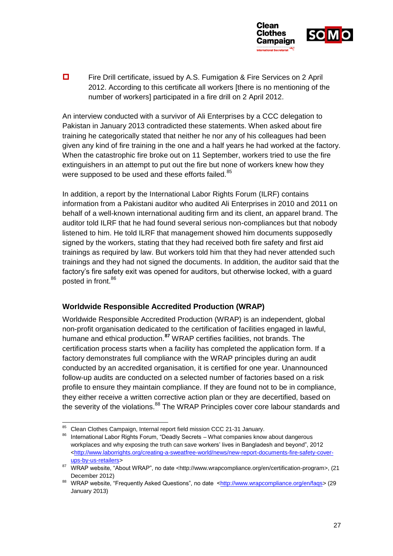

■ Fire Drill certificate, issued by A.S. Fumigation & Fire Services on 2 April 2012. According to this certificate all workers [there is no mentioning of the number of workers] participated in a fire drill on 2 April 2012.

An interview conducted with a survivor of Ali Enterprises by a CCC delegation to Pakistan in January 2013 contradicted these statements. When asked about fire training he categorically stated that neither he nor any of his colleagues had been given any kind of fire training in the one and a half years he had worked at the factory. When the catastrophic fire broke out on 11 September, workers tried to use the fire extinguishers in an attempt to put out the fire but none of workers knew how they were supposed to be used and these efforts failed.<sup>85</sup>

<span id="page-27-0"></span>In addition, a report by the International Labor Rights Forum (ILRF) contains information from a Pakistani auditor who audited Ali Enterprises in 2010 and 2011 on behalf of a well-known international auditing firm and its client, an apparel brand. The auditor told ILRF that he had found several serious non-compliances but that nobody listened to him. He told ILRF that management showed him documents supposedly signed by the workers, stating that they had received both fire safety and first aid trainings as required by law. But workers told him that they had never attended such trainings and they had not signed the documents. In addition, the auditor said that the factory's fire safety exit was opened for auditors, but otherwise locked, with a guard posted in front.<sup>86</sup>

### **Worldwide Responsible Accredited Production (WRAP)**

Worldwide Responsible Accredited Production (WRAP) is an independent, global non-profit organisation dedicated to the certification of facilities engaged in lawful, humane and ethical production.**<sup>87</sup>** WRAP certifies facilities, not brands. The certification process starts when a facility has completed the application form. If a factory demonstrates full compliance with the WRAP principles during an audit conducted by an accredited organisation, it is certified for one year. Unannounced follow-up audits are conducted on a selected number of factories based on a risk profile to ensure they maintain compliance. If they are found not to be in compliance, they either receive a written corrective action plan or they are decertified, based on the severity of the violations.<sup>88</sup> The WRAP Principles cover core labour standards and

<sup>-</sup>Clean Clothes Campaign, Internal report field mission CCC 21-31 January.

<sup>86</sup> International Labor Rights Forum, "Deadly Secrets - What companies know about dangerous workplaces and why exposing the truth can save workers' lives in Bangladesh and beyond", 2012 [<http://www.laborrights.org/creating-a-sweatfree-world/news/new-report-documents-fire-safety-cover](http://www.laborrights.org/creating-a-sweatfree-world/news/new-report-documents-fire-safety-cover-ups-by-us-retailers)[ups-by-us-retailers>](http://www.laborrights.org/creating-a-sweatfree-world/news/new-report-documents-fire-safety-cover-ups-by-us-retailers)

<sup>87</sup> WRAP website, "About WRAP", no date <http://www.wrapcompliance.org/en/certification-program>, (21 December 2012)

<sup>88</sup> WRAP website, "Frequently Asked Questions", no date [<http://www.wrapcompliance.org/en/faqs>](http://www.wrapcompliance.org/en/faqs) (29 January 2013)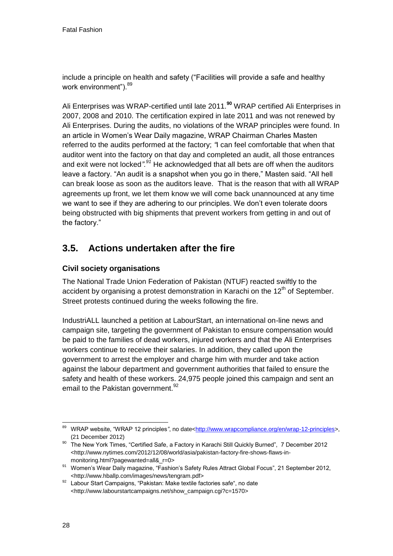include a principle on health and safety ("Facilities will provide a safe and healthy work environment"). <sup>89</sup>

Ali Enterprises was WRAP-certified until late 2011.**<sup>90</sup>** WRAP certified Ali Enterprises in 2007, 2008 and 2010. The certification expired in late 2011 and was not renewed by Ali Enterprises. During the audits, no violations of the WRAP principles were found. In an article in Women's Wear Daily magazine, WRAP Chairman Charles Masten referred to the audits performed at the factory; *"*I can feel comfortable that when that auditor went into the factory on that day and completed an audit, all those entrances and exit were not locked*".<sup>91</sup>* He acknowledged that all bets are off when the auditors leave a factory. "An audit is a snapshot when you go in there," Masten said. "All hell can break loose as soon as the auditors leave. That is the reason that with all WRAP agreements up front, we let them know we will come back unannounced at any time we want to see if they are adhering to our principles. We don't even tolerate doors being obstructed with big shipments that prevent workers from getting in and out of the factory."

# **3.5. Actions undertaken after the fire**

# **Civil society organisations**

The National Trade Union Federation of Pakistan (NTUF) reacted swiftly to the accident by organising a protest demonstration in Karachi on the  $12<sup>th</sup>$  of September. Street protests continued during the weeks following the fire.

IndustriALL launched a petition at LabourStart, an international on-line news and campaign site, targeting the government of Pakistan to ensure compensation would be paid to the families of dead workers, injured workers and that the Ali Enterprises workers continue to receive their salaries. In addition, they called upon the government to arrest the employer and charge him with murder and take action against the labour department and government authorities that failed to ensure the safety and health of these workers. 24,975 people joined this campaign and sent an email to the Pakistan government.<sup>92</sup>

<sup>-</sup>WRAP website, "WRAP 12 principles", no date[<http://www.wrapcompliance.org/en/wrap-12-principles>](http://www.wrapcompliance.org/en/wrap-12-principles), (21 December 2012)

<sup>90</sup> The New York Times, "Certified Safe, a Factory in Karachi Still Quickly Burned", 7 December 2012 <http://www.nytimes.com/2012/12/08/world/asia/pakistan-factory-fire-shows-flaws-inmonitoring.html?pagewanted=all&\_r=0>

<sup>91</sup> Women's Wear Daily magazine, "Fashion's Safety Rules Attract Global Focus", 21 September 2012, <http://www.hballp.com/images/news/tengram.pdf>

 $92$  Labour Start Campaigns, "Pakistan: Make textile factories safe", no date <http://www.labourstartcampaigns.net/show\_campaign.cgi?c=1570>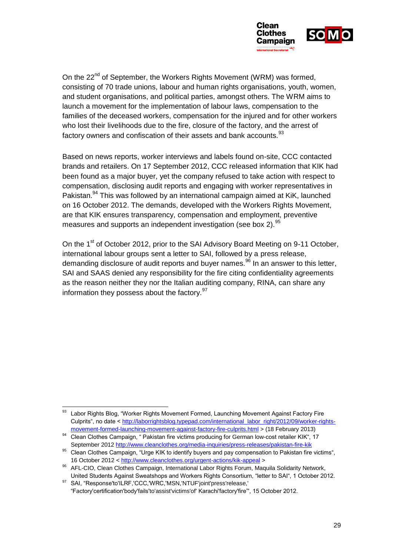

On the 22<sup>nd</sup> of September, the Workers Rights Movement (WRM) was formed, consisting of 70 trade unions, labour and human rights organisations, youth, women, and student organisations, and political parties, amongst others. The WRM aims to launch a movement for the implementation of labour laws, compensation to the families of the deceased workers, compensation for the injured and for other workers who lost their livelihoods due to the fire, closure of the factory, and the arrest of factory owners and confiscation of their assets and bank accounts.<sup>93</sup>

Based on news reports, worker interviews and labels found on-site, CCC contacted brands and retailers. On 17 September 2012, CCC released information that KIK had been found as a major buyer, yet the company refused to take action with respect to compensation, disclosing audit reports and engaging with worker representatives in Pakistan.<sup>94</sup> This was followed by an international campaign aimed at KiK, launched on 16 October 2012. The demands, developed with the Workers Rights Movement, are that KIK ensures transparency, compensation and employment, preventive measures and supports an independent investigation (see box 2).<sup>95</sup>

On the 1<sup>st</sup> of October 2012, prior to the SAI Advisory Board Meeting on 9-11 October. international labour groups sent a letter to SAI, followed by a press release, demanding disclosure of audit reports and buyer names.  $96$  In an answer to this letter, SAI and SAAS denied any responsibility for the fire citing confidentiality agreements as the reason neither they nor the Italian auditing company, RINA, can share any information they possess about the factory.<sup>97</sup>

<sup>1</sup> Labor Rights Blog, "Worker Rights Movement Formed, Launching Movement Against Factory Fire Culprits", no date [< http://laborrightsblog.typepad.com/international\\_labor\\_right/2012/09/worker-rights](http://laborrightsblog.typepad.com/international_labor_right/2012/09/worker-rights-movement-formed-launching-movement-against-factory-fire-culprits.html)[movement-formed-launching-movement-against-factory-fire-culprits.html](http://laborrightsblog.typepad.com/international_labor_right/2012/09/worker-rights-movement-formed-launching-movement-against-factory-fire-culprits.html) > (18 February 2013)

<sup>94</sup> Clean Clothes Campaign, " Pakistan fire victims producing for German low-cost retailer KIK", 17 September 2012<http://www.cleanclothes.org/media-inquiries/press-releases/pakistan-fire-kik>

<sup>95</sup> Clean Clothes Campaign, "Urge KIK to identify buyers and pay compensation to Pakistan fire victims", 16 October 2012 [< http://www.cleanclothes.org/urgent-actions/kik-appeal](http://www.cleanclothes.org/urgent-actions/kik-appeal) >

<sup>96</sup> AFL-CIO, Clean Clothes Campaign, International Labor Rights Forum, Maquila Solidarity Network, United Students Against Sweatshops and Workers Rights Consortium, "letter to SAI", 1 October 2012.

<sup>97</sup> SAI, "Response'to'ILRF,'CCC,'WRC,'MSN,'NTUF'joint'press'release,' "Factory'certification'body'fails'to'assist'victims'of' Karachi'factory'fire"', 15 October 2012.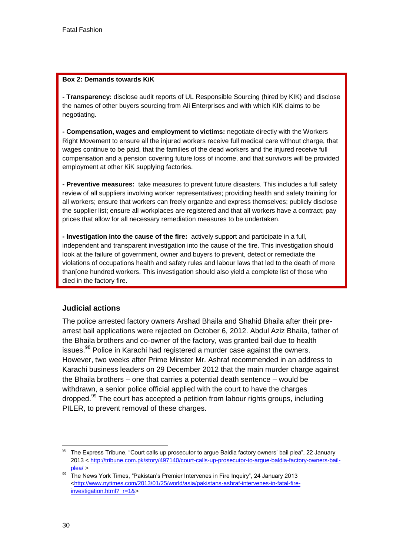#### **Box 2: Demands towards KiK**

**- Transparency:** disclose audit reports of UL Responsible Sourcing (hired by KIK) and disclose the names of other buyers sourcing from Ali Enterprises and with which KIK claims to be negotiating.

**- Compensation, wages and employment to victims:** negotiate directly with the Workers Right Movement to ensure all the injured workers receive full medical care without charge, that wages continue to be paid, that the families of the dead workers and the injured receive full compensation and a pension covering future loss of income, and that survivors will be provided employment at other KiK supplying factories.

**- Preventive measures:** take measures to prevent future disasters. This includes a full safety review of all suppliers involving worker representatives; providing health and safety training for all workers; ensure that workers can freely organize and express themselves; publicly disclose the supplier list; ensure all workplaces are registered and that all workers have a contract; pay prices that allow for all necessary remediation measures to be undertaken.

**- Investigation into the cause of the fire:** actively support and participate in a full, independent and transparent investigation into the cause of the fire. This investigation should look at the failure of government, owner and buyers to prevent, detect or remediate the violations of occupations health and safety rules and labour laws that led to the death of more than[one hundred workers. This investigation should also yield a complete list of those who died in the factory fire.

#### **Judicial actions**

The police arrested factory owners Arshad Bhaila and Shahid Bhaila after their prearrest bail applications were rejected on October 6, 2012. Abdul Aziz Bhaila, father of the Bhaila brothers and co-owner of the factory, was granted bail due to health issues.<sup>98</sup> Police in Karachi had registered a murder case against the owners. However, two weeks after Prime Minster Mr. Ashraf recommended in an address to Karachi business leaders on 29 December 2012 that the main murder charge against the Bhaila brothers – one that carries a potential death sentence – would be withdrawn, a senior police official applied with the court to have the charges dropped.<sup>99</sup> The court has accepted a petition from labour rights groups, including PILER, to prevent removal of these charges.

<sup>1</sup> <sup>98</sup> The Express Tribune, "Court calls up prosecutor to argue Baldia factory owners' bail plea", 22 January 2013 [< http://tribune.com.pk/story/497140/court-calls-up-prosecutor-to-argue-baldia-factory-owners-bail](http://tribune.com.pk/story/497140/court-calls-up-prosecutor-to-argue-baldia-factory-owners-bail-plea/)[plea/](http://tribune.com.pk/story/497140/court-calls-up-prosecutor-to-argue-baldia-factory-owners-bail-plea/) >

<sup>99</sup> The News York Times, "Pakistan's Premier Intervenes in Fire Inquiry", 24 January 2013 [<http://www.nytimes.com/2013/01/25/world/asia/pakistans-ashraf-intervenes-in-fatal-fire](http://www.nytimes.com/2013/01/25/world/asia/pakistans-ashraf-intervenes-in-fatal-fire-investigation.html?_r=1&)[investigation.html?\\_r=1&>](http://www.nytimes.com/2013/01/25/world/asia/pakistans-ashraf-intervenes-in-fatal-fire-investigation.html?_r=1&)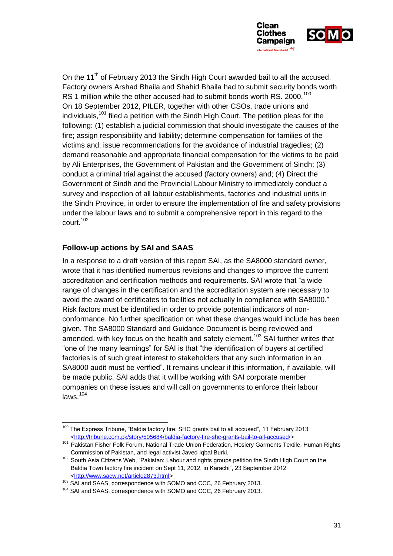

On the 11<sup>th</sup> of February 2013 the Sindh High Court awarded bail to all the accused. Factory owners Arshad Bhaila and Shahid Bhaila had to submit security bonds worth RS 1 million while the other accused had to submit bonds worth RS. 2000.<sup>100</sup> On 18 September 2012, PILER, together with other CSOs, trade unions and  $i$ ndividuals,<sup>101</sup> filed a petition with the Sindh High Court. The petition pleas for the following: (1) establish a judicial commission that should investigate the causes of the fire; assign responsibility and liability; determine compensation for families of the victims and; issue recommendations for the avoidance of industrial tragedies; (2) demand reasonable and appropriate financial compensation for the victims to be paid by Ali Enterprises, the Government of Pakistan and the Government of Sindh; (3) conduct a criminal trial against the accused (factory owners) and; (4) Direct the Government of Sindh and the Provincial Labour Ministry to immediately conduct a survey and inspection of all labour establishments, factories and industrial units in the Sindh Province, in order to ensure the implementation of fire and safety provisions under the labour laws and to submit a comprehensive report in this regard to the court. 102

### **Follow-up actions by SAI and SAAS**

In a response to a draft version of this report SAI, as the SA8000 standard owner, wrote that it has identified numerous revisions and changes to improve the current accreditation and certification methods and requirements. SAI wrote that "a wide range of changes in the certification and the accreditation system are necessary to avoid the award of certificates to facilities not actually in compliance with SA8000." Risk factors must be identified in order to provide potential indicators of nonconformance. No further specification on what these changes would include has been given. The SA8000 Standard and Guidance Document is being reviewed and amended, with key focus on the health and safety element.<sup>103</sup> SAI further writes that "one of the many learnings" for SAI is that "the identification of buyers at certified factories is of such great interest to stakeholders that any such information in an SA8000 audit must be verified". It remains unclear if this information, if available, will be made public. SAI adds that it will be working with SAI corporate member companies on these issues and will call on governments to enforce their labour  $laws.<sup>104</sup>$ 

<sup>-</sup><sup>100</sup> The Express Tribune, "Baldia factory fire: SHC grants bail to all accused", 11 February 2013 [<http://tribune.com.pk/story/505684/baldia-factory-fire-shc-grants-bail-to-all-accused/>](http://tribune.com.pk/story/505684/baldia-factory-fire-shc-grants-bail-to-all-accused/)

<sup>&</sup>lt;sup>101</sup> Pakistan Fisher Folk Forum, National Trade Union Federation, Hosiery Garments Textile, Human Rights Commission of Pakistan, and legal activist Javed Iqbal Burki.

<sup>&</sup>lt;sup>102</sup> South Asia Citizens Web, "Pakistan: Labour and rights groups petition the Sindh High Court on the Baldia Town factory fire incident on Sept 11, 2012, in Karachi", 23 September 2012 [<http://www.sacw.net/article2873.html>](http://www.sacw.net/article2873.html)

<sup>103</sup> SAI and SAAS, correspondence with SOMO and CCC, 26 February 2013.

<sup>&</sup>lt;sup>104</sup> SAI and SAAS, correspondence with SOMO and CCC, 26 February 2013.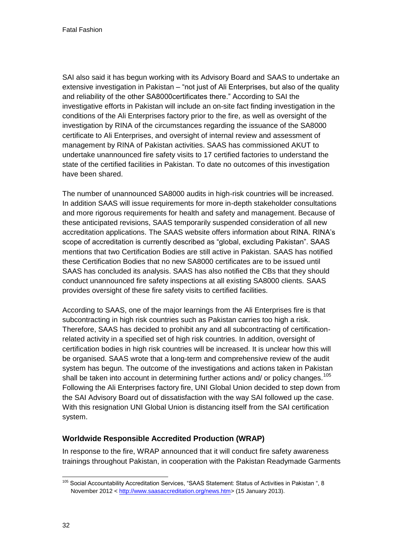SAI also said it has begun working with its Advisory Board and SAAS to undertake an extensive investigation in Pakistan – "not just of Ali Enterprises, but also of the quality and reliability of the other SA8000certificates there." According to SAI the investigative efforts in Pakistan will include an on-site fact finding investigation in the conditions of the Ali Enterprises factory prior to the fire, as well as oversight of the investigation by RINA of the circumstances regarding the issuance of the SA8000 certificate to Ali Enterprises, and oversight of internal review and assessment of management by RINA of Pakistan activities. SAAS has commissioned AKUT to undertake unannounced fire safety visits to 17 certified factories to understand the state of the certified facilities in Pakistan. To date no outcomes of this investigation have been shared.

<span id="page-32-0"></span>The number of unannounced SA8000 audits in high-risk countries will be increased. In addition SAAS will issue requirements for more in-depth stakeholder consultations and more rigorous requirements for health and safety and management. Because of these anticipated revisions, SAAS temporarily suspended consideration of all new accreditation applications. The SAAS website offers information about RINA. RINA's scope of accreditation is currently described as "global, excluding Pakistan". SAAS mentions that two Certification Bodies are still active in Pakistan. SAAS has notified these Certification Bodies that no new SA8000 certificates are to be issued until SAAS has concluded its analysis. SAAS has also notified the CBs that they should conduct unannounced fire safety inspections at all existing SA8000 clients. SAAS provides oversight of these fire safety visits to certified facilities.

According to SAAS, one of the major learnings from the Ali Enterprises fire is that subcontracting in high risk countries such as Pakistan carries too high a risk. Therefore, SAAS has decided to prohibit any and all subcontracting of certificationrelated activity in a specified set of high risk countries. In addition, oversight of certification bodies in high risk countries will be increased. It is unclear how this will be organised. SAAS wrote that a long-term and comprehensive review of the audit system has begun. The outcome of the investigations and actions taken in Pakistan shall be taken into account in determining further actions and/ or policy changes.<sup>105</sup> Following the Ali Enterprises factory fire, UNI Global Union decided to step down from the SAI Advisory Board out of dissatisfaction with the way SAI followed up the case. With this resignation UNI Global Union is distancing itself from the SAI certification system.

# **Worldwide Responsible Accredited Production (WRAP)**

In response to the fire, WRAP announced that it will conduct fire safety awareness trainings throughout Pakistan, in cooperation with the Pakistan Readymade Garments

<sup>1</sup> <sup>105</sup> Social Accountability Accreditation Services, "SAAS Statement: Status of Activities in Pakistan ", 8 November 2012 [< http://www.saasaccreditation.org/news.htm>](http://www.saasaccreditation.org/news.htm) (15 January 2013).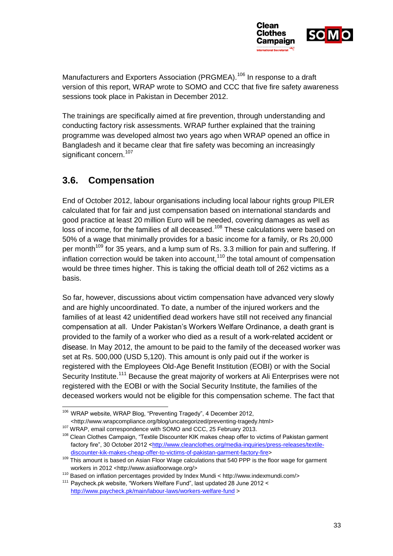

Manufacturers and Exporters Association (PRGMEA).<sup>106</sup> In response to a draft version of this report, WRAP wrote to SOMO and CCC that five fire safety awareness sessions took place in Pakistan in December 2012.

The trainings are specifically aimed at fire prevention, through understanding and conducting factory risk assessments. WRAP further explained that the training programme was developed almost two years ago when WRAP opened an office in Bangladesh and it became clear that fire safety was becoming an increasingly significant concern.<sup>107</sup>

# **3.6. Compensation**

End of October 2012, labour organisations including local labour rights group PILER calculated that for fair and just compensation based on international standards and good practice at least 20 million Euro will be needed, covering damages as well as loss of income, for the families of all deceased.<sup>108</sup> These calculations were based on 50% of a wage that minimally provides for a basic income for a family, or Rs 20,000 per month<sup>109</sup> for 35 years, and a lump sum of Rs. 3.3 million for pain and suffering. If inflation correction would be taken into account, $110$  the total amount of compensation would be three times higher. This is taking the official death toll of 262 victims as a basis.

So far, however, discussions about victim compensation have advanced very slowly and are highly uncoordinated. To date, a number of the injured workers and the families of at least 42 unidentified dead workers have still not received any financial compensation at all. Under Pakistan's Workers Welfare Ordinance, a death grant is provided to the family of a worker who died as a result of a work-related accident or disease. In May 2012, the amount to be paid to the family of the deceased worker was set at Rs. 500,000 (USD 5,120). This amount is only paid out if the worker is registered with the Employees Old-Age Benefit Institution (EOBI) or with the Social Security Institute.<sup>111</sup> Because the great majority of workers at Ali Enterprises were not registered with the EOBI or with the Social Security Institute, the families of the deceased workers would not be eligible for this compensation scheme. The fact that

<sup>1</sup> <sup>106</sup> WRAP website, WRAP Blog, "Preventing Tragedy", 4 December 2012, <http://www.wrapcompliance.org/blog/uncategorized/preventing-tragedy.html>

<sup>107</sup> WRAP, email correspondence with SOMO and CCC, 25 February 2013.

<sup>&</sup>lt;sup>108</sup> Clean Clothes Campaign, "Textile Discounter KIK makes cheap offer to victims of Pakistan garment factory fire", 30 October 2012 [<http://www.cleanclothes.org/media-inquiries/press-releases/textile](http://www.cleanclothes.org/media-inquiries/press-releases/textile-discounter-kik-makes-cheap-offer-to-victims-of-pakistan-garment-factory-fire)[discounter-kik-makes-cheap-offer-to-victims-of-pakistan-garment-factory-fire>](http://www.cleanclothes.org/media-inquiries/press-releases/textile-discounter-kik-makes-cheap-offer-to-victims-of-pakistan-garment-factory-fire)

<sup>109</sup> This amount is based on Asian Floor Wage calculations that 540 PPP is the floor wage for garment workers in 2012 <http://www.asiafloorwage.org/>

<sup>110</sup> Based on inflation percentages provided by Index Mundi < http://www.indexmundi.com/>

<sup>&</sup>lt;sup>111</sup> Paycheck.pk website, "Workers Welfare Fund", last updated 28 June 2012 < <http://www.paycheck.pk/main/labour-laws/workers-welfare-fund> >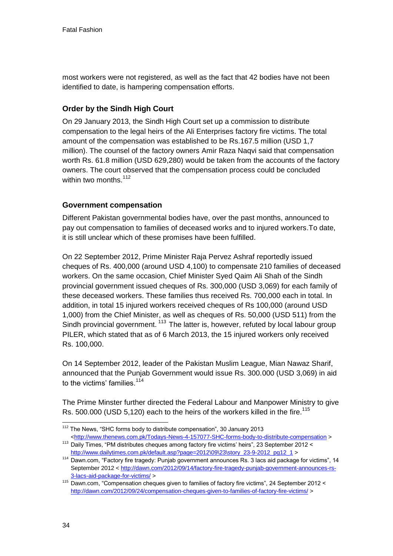most workers were not registered, as well as the fact that 42 bodies have not been identified to date, is hampering compensation efforts.

# **Order by the Sindh High Court**

On 29 January 2013, the Sindh High Court set up a commission to distribute compensation to the legal heirs of the Ali Enterprises factory fire victims. The total amount of the compensation was established to be Rs.167.5 million (USD 1,7 million). The counsel of the factory owners Amir Raza Naqvi said that compensation worth Rs. 61.8 million (USD 629,280) would be taken from the accounts of the factory owners. The court observed that the compensation process could be concluded within two months.<sup>112</sup>

### **Government compensation**

Different Pakistan governmental bodies have, over the past months, announced to pay out compensation to families of deceased works and to injured workers.To date, it is still unclear which of these promises have been fulfilled.

On 22 September 2012, Prime Minister Raja Pervez Ashraf reportedly issued cheques of Rs. 400,000 (around USD 4,100) to compensate 210 families of deceased workers. On the same occasion, Chief Minister Syed Qaim Ali Shah of the Sindh provincial government issued cheques of Rs. 300,000 (USD 3,069) for each family of these deceased workers. These families thus received Rs. 700,000 each in total. In addition, in total 15 injured workers received cheques of Rs 100,000 (around USD 1,000) from the Chief Minister, as well as cheques of Rs. 50,000 (USD 511) from the Sindh provincial government. <sup>113</sup> The latter is, however, refuted by local labour group PILER, which stated that as of 6 March 2013, the 15 injured workers only received Rs. 100,000.

On 14 September 2012, leader of the Pakistan Muslim League, Mian Nawaz Sharif, announced that the Punjab Government would issue Rs. 300.000 (USD 3,069) in aid to the victims' families.<sup>114</sup>

The Prime Minster further directed the Federal Labour and Manpower Ministry to give Rs. 500.000 (USD 5,120) each to the heirs of the workers killed in the fire.<sup>115</sup>

<sup>-</sup><sup>112</sup> The News, "SHC forms body to distribute compensation", 30 January 2013 [<http://www.thenews.com.pk/Todays-News-4-157077-SHC-forms-body-to-distribute-compensation](http://www.thenews.com.pk/Todays-News-4-157077-SHC-forms-body-to-distribute-compensation) >

<sup>113</sup> Daily Times, "PM distributes cheques among factory fire victims' heirs", 23 September 2012 < [http://www.dailytimes.com.pk/default.asp?page=2012\09\23\story\\_23-9-2012\\_pg12\\_1](http://www.dailytimes.com.pk/default.asp?page=2012%5C09%5C23%5Cstory_23-9-2012_pg12_1) >

<sup>114</sup> Dawn.com, "Factory fire tragedy: Punjab government announces Rs. 3 lacs aid package for victims", 14 September 2012 [< http://dawn.com/2012/09/14/factory-fire-tragedy-punjab-government-announces-rs-](http://dawn.com/2012/09/14/factory-fire-tragedy-punjab-government-announces-rs-3-lacs-aid-package-for-victims/)[3-lacs-aid-package-for-victims/](http://dawn.com/2012/09/14/factory-fire-tragedy-punjab-government-announces-rs-3-lacs-aid-package-for-victims/) >

<sup>115</sup> Dawn.com, "Compensation cheques given to families of factory fire victims", 24 September 2012 < <http://dawn.com/2012/09/24/compensation-cheques-given-to-families-of-factory-fire-victims/> >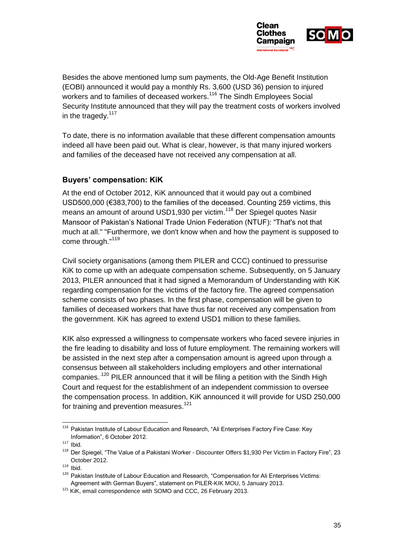

Besides the above mentioned lump sum payments, the Old-Age Benefit Institution (EOBI) announced it would pay a monthly Rs. 3,600 (USD 36) pension to injured workers and to families of deceased workers.<sup>116</sup> The Sindh Employees Social Security Institute announced that they will pay the treatment costs of workers involved in the tragedy. $117$ 

<span id="page-35-0"></span>To date, there is no information available that these different compensation amounts indeed all have been paid out. What is clear, however, is that many injured workers and families of the deceased have not received any compensation at all.

### **Buyers' compensation: KiK**

At the end of October 2012, KiK announced that it would pay out a combined USD500,000 (€383,700) to the families of the deceased. Counting 259 victims, this means an amount of around USD1,930 per victim.<sup>118</sup> Der Spiegel quotes Nasir Mansoor of Pakistan's National Trade Union Federation (NTUF): "That's not that much at all." "Furthermore, we don't know when and how the payment is supposed to come through."<sup>119</sup>

Civil society organisations (among them PILER and CCC) continued to pressurise KiK to come up with an adequate compensation scheme. Subsequently, on 5 January 2013, PILER announced that it had signed a Memorandum of Understanding with KiK regarding compensation for the victims of the factory fire. The agreed compensation scheme consists of two phases. In the first phase, compensation will be given to families of deceased workers that have thus far not received any compensation from the government. KiK has agreed to extend USD1 million to these families.

KIK also expressed a willingness to compensate workers who faced severe injuries in the fire leading to disability and loss of future employment. The remaining workers will be assisted in the next step after a compensation amount is agreed upon through a consensus between all stakeholders including employers and other international companies.<sup>120</sup> PILER announced that it will be filing a petition with the Sindh High Court and request for the establishment of an independent commission to oversee the compensation process. In addition, KiK announced it will provide for USD 250,000 for training and prevention measures.<sup>121</sup>

<sup>-</sup><sup>116</sup> Pakistan Institute of Labour Education and Research, "Ali Enterprises Factory Fire Case: Key Information", 6 October 2012.

 $117$  Ibid.

<sup>&</sup>lt;sup>118</sup> Der Spiegel, "The Value of a Pakistani Worker - Discounter Offers \$1,930 Per Victim in Factory Fire", 23 October 2012.

 $119$  Ibid.

<sup>&</sup>lt;sup>120</sup> Pakistan Institute of Labour Education and Research, "Compensation for Ali Enterprises Victims: Agreement with German Buyers", statement on PILER-KIK MOU, 5 January 2013.

<sup>&</sup>lt;sup>121</sup> KiK, email correspondence with SOMO and CCC, 26 February 2013.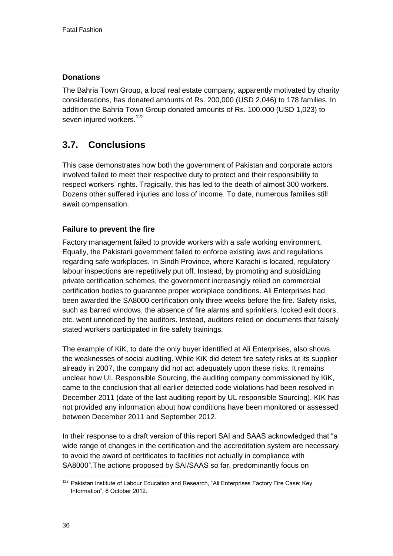# **Donations**

The Bahria Town Group, a local real estate company, apparently motivated by charity considerations, has donated amounts of Rs. 200,000 (USD 2,046) to 178 families. In addition the Bahria Town Group donated amounts of Rs. 100,000 (USD 1,023) to seven injured workers.<sup>122</sup>

# **3.7. Conclusions**

This case demonstrates how both the government of Pakistan and corporate actors involved failed to meet their respective duty to protect and their responsibility to respect workers' rights. Tragically, this has led to the death of almost 300 workers. Dozens other suffered injuries and loss of income. To date, numerous families still await compensation.

# **Failure to prevent the fire**

Factory management failed to provide workers with a safe working environment. Equally, the Pakistani government failed to enforce existing laws and regulations regarding safe workplaces. In Sindh Province, where Karachi is located, regulatory labour inspections are repetitively put off. Instead, by promoting and subsidizing private certification schemes, the government increasingly relied on commercial certification bodies to guarantee proper workplace conditions. Ali Enterprises had been awarded the SA8000 certification only three weeks before the fire. Safety risks, such as barred windows, the absence of fire alarms and sprinklers, locked exit doors, etc. went unnoticed by the auditors. Instead, auditors relied on documents that falsely stated workers participated in fire safety trainings.

The example of KiK, to date the only buyer identified at Ali Enterprises, also shows the weaknesses of social auditing. While KiK did detect fire safety risks at its supplier already in 2007, the company did not act adequately upon these risks. It remains unclear how UL Responsible Sourcing, the auditing company commissioned by KiK, came to the conclusion that all earlier detected code violations had been resolved in December 2011 (date of the last auditing report by UL responsible Sourcing). KIK has not provided any information about how conditions have been monitored or assessed between December 2011 and September 2012.

In their response to a draft version of this report SAI and SAAS acknowledged that "a wide range of changes in the certification and the accreditation system are necessary to avoid the award of certificates to facilities not actually in compliance with SA8000".The actions proposed by SAI/SAAS so far, predominantly focus on

<sup>1</sup> <sup>122</sup> Pakistan Institute of Labour Education and Research, "Ali Enterprises Factory Fire Case: Key Information", 6 October 2012.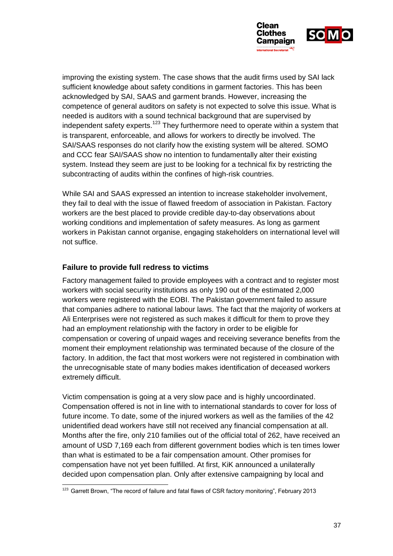

improving the existing system. The case shows that the audit firms used by SAI lack sufficient knowledge about safety conditions in garment factories. This has been acknowledged by SAI, SAAS and garment brands. However, increasing the competence of general auditors on safety is not expected to solve this issue. What is needed is auditors with a sound technical background that are supervised by independent safety experts.<sup>123</sup> They furthermore need to operate within a system that is transparent, enforceable, and allows for workers to directly be involved. The SAI/SAAS responses do not clarify how the existing system will be altered. SOMO and CCC fear SAI/SAAS show no intention to fundamentally alter their existing system. Instead they seem are just to be looking for a technical fix by restricting the subcontracting of audits within the confines of high-risk countries.

While SAI and SAAS expressed an intention to increase stakeholder involvement, they fail to deal with the issue of flawed freedom of association in Pakistan. Factory workers are the best placed to provide credible day-to-day observations about working conditions and implementation of safety measures. As long as garment workers in Pakistan cannot organise, engaging stakeholders on international level will not suffice.

### **Failure to provide full redress to victims**

1

Factory management failed to provide employees with a contract and to register most workers with social security institutions as only 190 out of the estimated 2,000 workers were registered with the EOBI. The Pakistan government failed to assure that companies adhere to national labour laws. The fact that the majority of workers at Ali Enterprises were not registered as such makes it difficult for them to prove they had an employment relationship with the factory in order to be eligible for compensation or covering of unpaid wages and receiving severance benefits from the moment their employment relationship was terminated because of the closure of the factory. In addition, the fact that most workers were not registered in combination with the unrecognisable state of many bodies makes identification of deceased workers extremely difficult.

Victim compensation is going at a very slow pace and is highly uncoordinated. Compensation offered is not in line with to international standards to cover for loss of future income. To date, some of the injured workers as well as the families of the 42 unidentified dead workers have still not received any financial compensation at all. Months after the fire, only 210 families out of the official total of 262, have received an amount of USD 7,169 each from different government bodies which is ten times lower than what is estimated to be a fair compensation amount. Other promises for compensation have not yet been fulfilled. At first, KiK announced a unilaterally decided upon compensation plan. Only after extensive campaigning by local and

 $123$  Garrett Brown, "The record of failure and fatal flaws of CSR factory monitoring", February 2013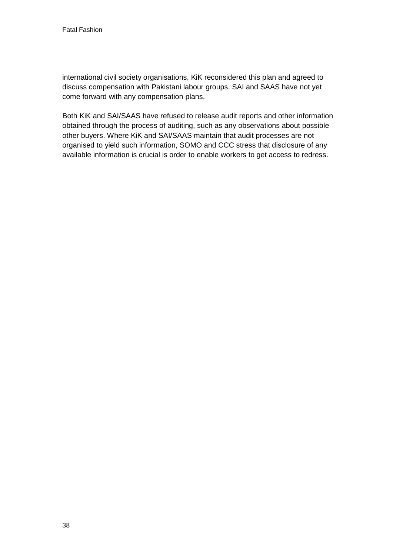<span id="page-38-0"></span>international civil society organisations, KiK reconsidered this plan and agreed to discuss compensation with Pakistani labour groups. SAI and SAAS have not yet come forward with any compensation plans.

<span id="page-38-1"></span>Both KiK and SAI/SAAS have refused to release audit reports and other information obtained through the process of auditing, such as any observations about possible other buyers. Where KiK and SAI/SAAS maintain that audit processes are not organised to yield such information, SOMO and CCC stress that disclosure of any available information is crucial is order to enable workers to get access to redress.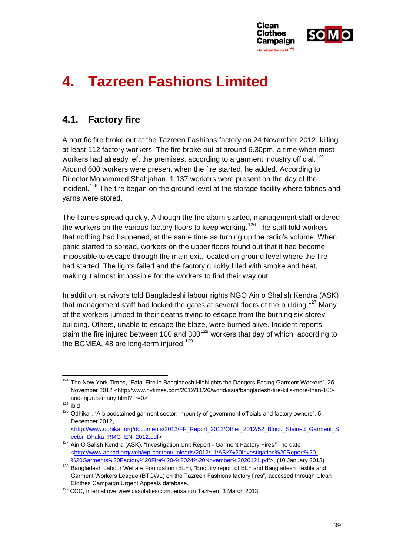

# **4. Tazreen Fashions Limited**

# **4.1. Factory fire**

A horrific fire broke out at the Tazreen Fashions factory on 24 November 2012, killing at least 112 factory workers. The fire broke out at around 6.30pm, a time when most workers had already left the premises, according to a garment industry official.<sup>124</sup> Around 600 workers were present when the fire started, he added. According to Director Mohammed Shahjahan, 1,137 workers were present on the day of the incident.<sup>125</sup> The fire began on the ground level at the storage facility where fabrics and yarns were stored.

The flames spread quickly. Although the fire alarm started, management staff ordered the workers on the various factory floors to keep working.<sup>126</sup> The staff told workers that nothing had happened, at the same time as turning up the radio's volume. When panic started to spread, workers on the upper floors found out that it had become impossible to escape through the main exit, located on ground level where the fire had started. The lights failed and the factory quickly filled with smoke and heat, making it almost impossible for the workers to find their way out.

In addition, survivors told Bangladeshi labour rights NGO Ain o Shalish Kendra (ASK) that management staff had locked the gates at several floors of the building.<sup>127</sup> Many of the workers jumped to their deaths trying to escape from the burning six storey building. Others, unable to escape the blaze, were burned alive. Incident reports claim the fire injured between 100 and  $300^{128}$  workers that day of which, according to the BGMEA, 48 are long-term injured.<sup>129</sup>

<sup>1</sup> <sup>124</sup> The New York Times, "Fatal Fire in Bangladesh Highlights the Dangers Facing Garment Workers", 25 November 2012 <http://www.nytimes.com/2012/11/26/world/asia/bangladesh-fire-kills-more-than-100 and-injures-many.html?\_r=0>

 $125$  ibid

<sup>&</sup>lt;sup>126</sup> Odhikar, "A bloodstained garment sector: impunity of government officials and factory owners", 5 December 2012,

[<sup>&</sup>lt;http://www.odhikar.org/documents/2012/FF\\_Report\\_2012/Other\\_2012/52\\_Blood\\_Stained\\_Garment\\_S](http://www.odhikar.org/documents/2012/FF_Report_2012/Other_2012/52_Blood_Stained_Garment_Sector_Dhaka_RMG_EN_2012.pdf) [ector\\_Dhaka\\_RMG\\_EN\\_2012.pdf>](http://www.odhikar.org/documents/2012/FF_Report_2012/Other_2012/52_Blood_Stained_Garment_Sector_Dhaka_RMG_EN_2012.pdf)

<sup>127</sup> Ain O Salish Kendra (ASK), "Investigation Unit Report - Garment Factory Fires*"*, no date [<http://www.askbd.org/web/wp-content/uploads/2012/11/ASK%20Investigation%20Report%20-](http://www.askbd.org/web/wp-content/uploads/2012/11/ASK%20Investigation%20Report%20-%20Garments%20Factory%20Fire%20-%2024%20November%2020121.pdf) [%20Garments%20Factory%20Fire%20-%2024%20November%2020121.pdf>](http://www.askbd.org/web/wp-content/uploads/2012/11/ASK%20Investigation%20Report%20-%20Garments%20Factory%20Fire%20-%2024%20November%2020121.pdf), (10 January 2013)

<sup>128</sup> Bangladesh Labour Welfare Foundation (BLF), "Enquiry report of BLF and Bangladesh Textile and Garment Workers League (BTGWL) on the Tazreen Fashions factory fires"*,* accessed through Clean Clothes Campaign Urgent Appeals database.

<sup>&</sup>lt;sup>129</sup> CCC, internal overview casulaties/compensation Tazreen, 3 March 2013.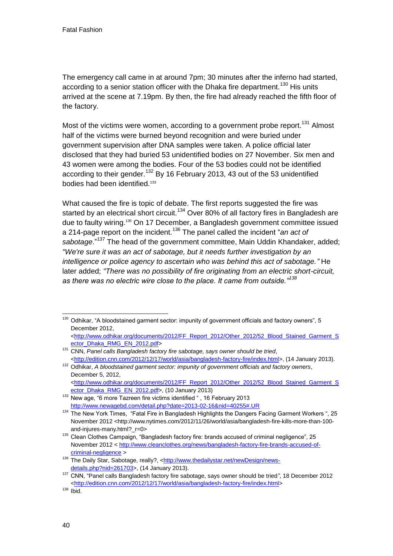The emergency call came in at around 7pm; 30 minutes after the inferno had started, according to a senior station officer with the Dhaka fire department.<sup>130</sup> His units arrived at the scene at 7.19pm. By then, the fire had already reached the fifth floor of the factory.

Most of the victims were women, according to a government probe report.<sup>131</sup> Almost half of the victims were burned beyond recognition and were buried under government supervision after DNA samples were taken. A police official later disclosed that they had buried 53 unidentified bodies on 27 November. Six men and 43 women were among the bodies. Four of the 53 bodies could not be identified according to their gender.<sup>132</sup> By 16 February 2013, 43 out of the 53 unidentified bodies had been identified.<sup>133</sup>

What caused the fire is topic of debate. The first reports suggested the fire was started by an electrical short circuit.<sup>134</sup> Over 80% of all factory fires in Bangladesh are due to faulty wiring.<sup>135</sup> On 17 December, a Bangladesh government committee issued a 214-page report on the incident.<sup>136</sup> The panel called the incident "*an act of sabotage*."<sup>137</sup> The head of the government committee, Main Uddin Khandaker, added; *"We're sure it was an act of sabotage, but it needs further investigation by an intelligence or police agency to ascertain who was behind this act of sabotage."* He later added; *"There was no possibility of fire originating from an electric short-circuit, as there was no electric wire close to the place. It came from outside."<sup>138</sup>*

<sup>-</sup><sup>130</sup> Odhikar, "A bloodstained garment sector: impunity of government officials and factory owners", 5 December 2012,

[<sup>&</sup>lt;http://www.odhikar.org/documents/2012/FF\\_Report\\_2012/Other\\_2012/52\\_Blood\\_Stained\\_Garment\\_S](http://www.odhikar.org/documents/2012/FF_Report_2012/Other_2012/52_Blood_Stained_Garment_Sector_Dhaka_RMG_EN_2012.pdf) [ector\\_Dhaka\\_RMG\\_EN\\_2012.pdf>](http://www.odhikar.org/documents/2012/FF_Report_2012/Other_2012/52_Blood_Stained_Garment_Sector_Dhaka_RMG_EN_2012.pdf)

<span id="page-40-0"></span><sup>131</sup> CNN, *Panel calls Bangladesh factory fire sabotage, says owner should be tried*, [<http://edition.cnn.com/2012/12/17/world/asia/bangladesh-factory-fire/index.html>](http://edition.cnn.com/2012/12/17/world/asia/bangladesh-factory-fire/index.html), (14 January 2013).

<sup>132</sup> Odhikar, *A bloodstained garment sector: impunity of government officials and factory owners*, December 5, 2012, [<http://www.odhikar.org/documents/2012/FF\\_Report\\_2012/Other\\_2012/52\\_Blood\\_Stained\\_Garment\\_S](http://www.odhikar.org/documents/2012/FF_Report_2012/Other_2012/52_Blood_Stained_Garment_Sector_Dhaka_RMG_EN_2012.pdf) [ector\\_Dhaka\\_RMG\\_EN\\_2012.pdf>](http://www.odhikar.org/documents/2012/FF_Report_2012/Other_2012/52_Blood_Stained_Garment_Sector_Dhaka_RMG_EN_2012.pdf), (10 January 2013)

<sup>&</sup>lt;sup>133</sup> New age, "6 more Tazreen fire victims identified ", 16 February 2013 <http://www.newagebd.com/detail.php?date=2013-02-16&nid=40255#.UR>

<sup>134</sup> The New York Times, "Fatal Fire in Bangladesh Highlights the Dangers Facing Garment Workers ", 25 November 2012 <http://www.nytimes.com/2012/11/26/world/asia/bangladesh-fire-kills-more-than-100 and-injures-many.html?\_r=0>

<sup>&</sup>lt;sup>135</sup> Clean Clothes Campaign, "Bangladesh factory fire: brands accused of criminal negligence", 25 November 2012 [< http://www.cleanclothes.org/news/bangladesh-factory-fire-brands-accused-of](http://www.cleanclothes.org/news/bangladesh-factory-fire-brands-accused-of-criminal-negligence)[criminal-negligence](http://www.cleanclothes.org/news/bangladesh-factory-fire-brands-accused-of-criminal-negligence) >

<sup>136</sup> The Daily Star, Sabotage, really?, [<http://www.thedailystar.net/newDesign/news](http://www.thedailystar.net/newDesign/news-details.php?nid=261703)[details.php?nid=261703>](http://www.thedailystar.net/newDesign/news-details.php?nid=261703), (14 January 2013).

<sup>137</sup> CNN, "Panel calls Bangladesh factory fire sabotage, says owner should be tried*"*, 18 December 2012 [<http://edition.cnn.com/2012/12/17/world/asia/bangladesh-factory-fire/index.html>](http://edition.cnn.com/2012/12/17/world/asia/bangladesh-factory-fire/index.html)

 $138$  Ibid.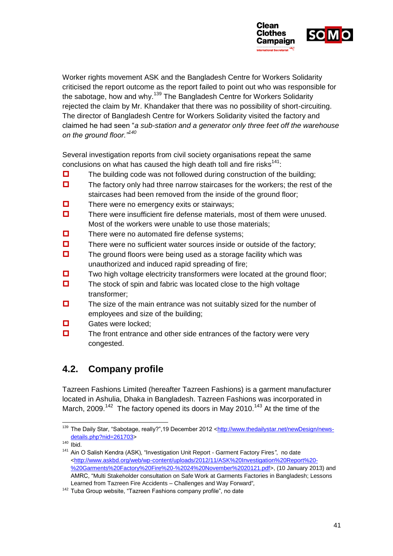

Worker rights movement ASK and the Bangladesh Centre for Workers Solidarity criticised the report outcome as the report failed to point out who was responsible for the sabotage, how and why.<sup>139</sup> The Bangladesh Centre for Workers Solidarity rejected the claim by Mr. Khandaker that there was no possibility of short-circuiting. The director of Bangladesh Centre for Workers Solidarity visited the factory and claimed he had seen "*a sub-station and a generator only three feet off the warehouse on the ground floor."<sup>140</sup>*

Several investigation reports from civil society organisations repeat the same conclusions on what has caused the high death toll and fire risks $^{141}$ :

- $\Box$  The building code was not followed during construction of the building;
- $\Box$  The factory only had three narrow staircases for the workers; the rest of the staircases had been removed from the inside of the ground floor;
- $\Box$  There were no emergency exits or stairways;
- $\Box$  There were insufficient fire defense materials, most of them were unused. Most of the workers were unable to use those materials;
- $\Box$  There were no automated fire defense systems;
- $\Box$  There were no sufficient water sources inside or outside of the factory;
- $\Box$  The ground floors were being used as a storage facility which was unauthorized and induced rapid spreading of fire;
- $\Box$  Two high voltage electricity transformers were located at the ground floor;
- $\Box$  The stock of spin and fabric was located close to the high voltage transformer;
- $\Box$  The size of the main entrance was not suitably sized for the number of employees and size of the building;
- **D** Gates were locked:
- $\Box$  The front entrance and other side entrances of the factory were very congested.

# **4.2. Company profile**

Tazreen Fashions Limited (hereafter Tazreen Fashions) is a garment manufacturer located in Ashulia, Dhaka in Bangladesh. Tazreen Fashions was incorporated in March, 2009.<sup>142</sup> The factory opened its doors in May 2010.<sup>143</sup> At the time of the

-

<sup>139</sup> The Daily Star, "Sabotage, really?", 19 December 2012 [<http://www.thedailystar.net/newDesign/news](http://www.thedailystar.net/newDesign/news-details.php?nid=261703)[details.php?nid=261703>](http://www.thedailystar.net/newDesign/news-details.php?nid=261703)

 $140$  Ibid.

<sup>141</sup> Ain O Salish Kendra (ASK), "Investigation Unit Report - Garment Factory Fires*"*, no date [<http://www.askbd.org/web/wp-content/uploads/2012/11/ASK%20Investigation%20Report%20-](http://www.askbd.org/web/wp-content/uploads/2012/11/ASK%20Investigation%20Report%20-%20Garments%20Factory%20Fire%20-%2024%20November%2020121.pdf) [%20Garments%20Factory%20Fire%20-%2024%20November%2020121.pdf>](http://www.askbd.org/web/wp-content/uploads/2012/11/ASK%20Investigation%20Report%20-%20Garments%20Factory%20Fire%20-%2024%20November%2020121.pdf), (10 January 2013) and AMRC, "Multi Stakeholder consultation on Safe Work at Garments Factories in Bangladesh; Lessons Learned from Tazreen Fire Accidents – Challenges and Way Forward"*,*

<sup>&</sup>lt;sup>142</sup> Tuba Group website, "Tazreen Fashions company profile", no date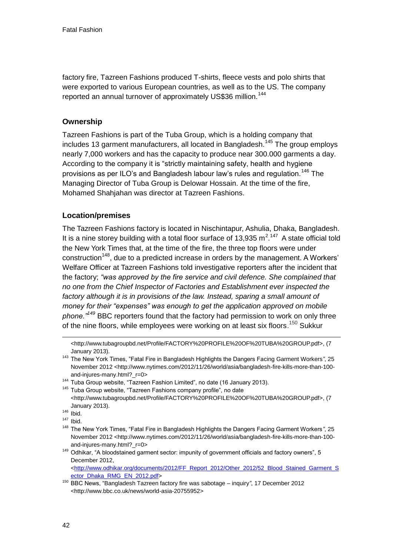factory fire, Tazreen Fashions produced T-shirts, fleece vests and polo shirts that were exported to various European countries, as well as to the US. The company reported an annual turnover of approximately US\$36 million.<sup>144</sup>

### **Ownership**

Tazreen Fashions is part of the Tuba Group, which is a holding company that includes 13 garment manufacturers, all located in Bangladesh.<sup>145</sup> The group employs nearly 7,000 workers and has the capacity to produce near 300.000 garments a day. According to the company it is "strictly maintaining safety, health and hygiene provisions as per ILO's and Bangladesh labour law's rules and regulation.<sup>146</sup> The Managing Director of Tuba Group is Delowar Hossain. At the time of the fire, Mohamed Shahjahan was director at Tazreen Fashions.

# **Location/premises**

The Tazreen Fashions factory is located in Nischintapur, Ashulia, Dhaka, Bangladesh. It is a nine storey building with a total floor surface of 13,935  $m^2$ .<sup>147</sup> A state official told the New York Times that, at the time of the fire, the three top floors were under construction<sup>148</sup>, due to a predicted increase in orders by the management. A Workers' Welfare Officer at Tazreen Fashions told investigative reporters after the incident that the factory; *"was approved by the fire service and civil defence. She complained that no one from the Chief Inspector of Factories and Establishment ever inspected the*  factory although it is in provisions of the law. Instead, sparing a small amount of *money for their "expenses" was enough to get the application approved on mobile phone."<sup>149</sup>* BBC reporters found that the factory had permission to work on only three of the nine floors, while employees were working on at least six floors.<sup>150</sup> Sukkur

1

<sup>149</sup> Odhikar, "A bloodstained garment sector: impunity of government officials and factory owners", 5 December 2012, [<http://www.odhikar.org/documents/2012/FF\\_Report\\_2012/Other\\_2012/52\\_Blood\\_Stained\\_Garment\\_S](http://www.odhikar.org/documents/2012/FF_Report_2012/Other_2012/52_Blood_Stained_Garment_Sector_Dhaka_RMG_EN_2012.pdf) [ector\\_Dhaka\\_RMG\\_EN\\_2012.pdf>](http://www.odhikar.org/documents/2012/FF_Report_2012/Other_2012/52_Blood_Stained_Garment_Sector_Dhaka_RMG_EN_2012.pdf)

<sup>&</sup>lt;http://www.tubagroupbd.net/Profile/FACTORY%20PROFILE%20OF%20TUBA%20GROUP.pdf>, (7 January 2013).

<sup>143</sup> The New York Times, "Fatal Fire in Bangladesh Highlights the Dangers Facing Garment Workers*"*, 25 November 2012 <http://www.nytimes.com/2012/11/26/world/asia/bangladesh-fire-kills-more-than-100 and-injures-many.html? r=0>

<sup>&</sup>lt;sup>144</sup> Tuba Group website, "Tazreen Fashion Limited", no date (16 January 2013).

<sup>&</sup>lt;sup>145</sup> Tuba Group website, "Tazreen Fashions company profile", no date <http://www.tubagroupbd.net/Profile/FACTORY%20PROFILE%20OF%20TUBA%20GROUP.pdf>, (7 January 2013).

 $146$  Ibid.

 $147$  Ibid.

<sup>148</sup> The New York Times, "Fatal Fire in Bangladesh Highlights the Dangers Facing Garment Workers*"*, 25 November 2012 <http://www.nytimes.com/2012/11/26/world/asia/bangladesh-fire-kills-more-than-100 and-injures-many.html? r=0>

<sup>150</sup> BBC News, "Bangladesh Tazreen factory fire was sabotage – inquiry*"*, 17 December 2012 <http://www.bbc.co.uk/news/world-asia-20755952>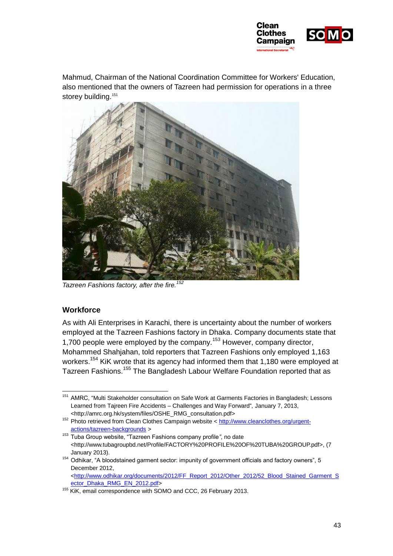

Mahmud, Chairman of the National Coordination Committee for Workers' Education, also mentioned that the owners of Tazreen had permission for operations in a three storey building.<sup>151</sup>



*Tazreen Fashions factory, after the fire.<sup>152</sup>*

#### <span id="page-43-0"></span>**Workforce**

-

As with Ali Enterprises in Karachi, there is uncertainty about the number of workers employed at the Tazreen Fashions factory in Dhaka. Company documents state that 1,700 people were employed by the company.<sup>153</sup> However, company director, Mohammed Shahjahan, told reporters that Tazreen Fashions only employed 1,163 workers.<sup>154</sup> KiK wrote that its agency had informed them that 1,180 were employed at Tazreen Fashions.<sup>155</sup> The Bangladesh Labour Welfare Foundation reported that as

<sup>&</sup>lt;sup>151</sup> AMRC, "Multi Stakeholder consultation on Safe Work at Garments Factories in Bangladesh; Lessons Learned from Tajreen Fire Accidents – Challenges and Way Forward"*,* January 7, 2013, <http://amrc.org.hk/system/files/OSHE\_RMG\_consultation.pdf>

<sup>&</sup>lt;sup>152</sup> Photo retrieved from Clean Clothes Campaign website < [http://www.cleanclothes.org/urgent](http://www.cleanclothes.org/urgent-actions/tazreen-backgrounds)[actions/tazreen-backgrounds](http://www.cleanclothes.org/urgent-actions/tazreen-backgrounds) *>* 

<sup>153</sup> Tuba Group website, "Tazreen Fashions company profile*"*, no date <http://www.tubagroupbd.net/Profile/FACTORY%20PROFILE%20OF%20TUBA%20GROUP.pdf>, (7 January 2013).

<sup>154</sup> Odhikar, "A bloodstained garment sector: impunity of government officials and factory owners", 5 December 2012,

[<sup>&</sup>lt;http://www.odhikar.org/documents/2012/FF\\_Report\\_2012/Other\\_2012/52\\_Blood\\_Stained\\_Garment\\_S](http://www.odhikar.org/documents/2012/FF_Report_2012/Other_2012/52_Blood_Stained_Garment_Sector_Dhaka_RMG_EN_2012.pdf) [ector\\_Dhaka\\_RMG\\_EN\\_2012.pdf>](http://www.odhikar.org/documents/2012/FF_Report_2012/Other_2012/52_Blood_Stained_Garment_Sector_Dhaka_RMG_EN_2012.pdf)

<sup>&</sup>lt;sup>155</sup> KiK, email correspondence with SOMO and CCC, 26 February 2013.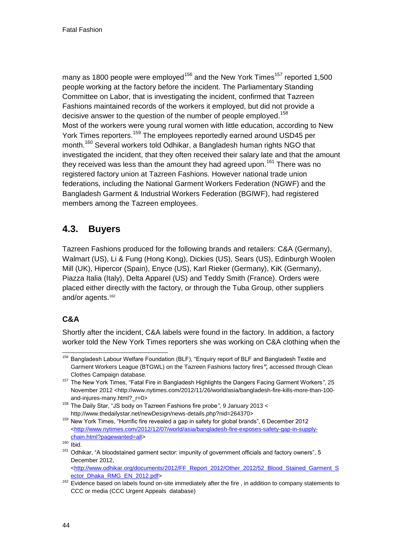many as 1800 people were employed<sup>156</sup> and the New York Times<sup>157</sup> reported 1,500 people working at the factory before the incident. The Parliamentary Standing Committee on Labor, that is investigating the incident, confirmed that Tazreen Fashions maintained records of the workers it employed, but did not provide a decisive answer to the question of the number of people employed.<sup>158</sup> Most of the workers were young rural women with little education, according to New York Times reporters.<sup>159</sup> The employees reportedly earned around USD45 per month.<sup>160</sup> Several workers told Odhikar, a Bangladesh human rights NGO that investigated the incident, that they often received their salary late and that the amount they received was less than the amount they had agreed upon.<sup>161</sup> There was no registered factory union at Tazreen Fashions. However national trade union federations, including the National Garment Workers Federation (NGWF) and the Bangladesh Garment & Industrial Workers Federation (BGIWF), had registered members among the Tazreen employees.

# **4.3. Buyers**

Tazreen Fashions produced for the following brands and retailers: C&A (Germany), Walmart (US), Li & Fung (Hong Kong), Dickies (US), Sears (US), Edinburgh Woolen Mill (UK), Hipercor (Spain), Enyce (US), Karl Rieker (Germany), KiK (Germany), Piazza Italia (Italy), Delta Apparel (US) and Teddy Smith (France). Orders were placed either directly with the factory, or through the Tuba Group, other suppliers and/or agents.<sup>162</sup>

# **C&A**

Shortly after the incident, C&A labels were found in the factory. In addition, a factory worker told the New York Times reporters she was working on C&A clothing when the

<sup>-</sup><sup>156</sup> Bangladesh Labour Welfare Foundation (BLF), "Enquiry report of BLF and Bangladesh Textile and Garment Workers League (BTGWL) on the Tazreen Fashions factory fires*",* accessed through Clean Clothes Campaign database.

<sup>157</sup> The New York Times, "Fatal Fire in Bangladesh Highlights the Dangers Facing Garment Workers*"*, 25 November 2012 <http://www.nytimes.com/2012/11/26/world/asia/bangladesh-fire-kills-more-than-100 and-injures-many.html?\_r=0>

<sup>158</sup> The Daily Star, "JS body on Tazreen Fashions fire probe*"*, 9 January 2013 < http://www.thedailystar.net/newDesign/news-details.php?nid=264370>

<sup>&</sup>lt;sup>159</sup> New York Times, "Horrific fire revealed a gap in safety for global brands", 6 December 2012 [<http://www.nytimes.com/2012/12/07/world/asia/bangladesh-fire-exposes-safety-gap-in-supply](http://www.nytimes.com/2012/12/07/world/asia/bangladesh-fire-exposes-safety-gap-in-supply-chain.html?pagewanted=all)[chain.html?pagewanted=all>](http://www.nytimes.com/2012/12/07/world/asia/bangladesh-fire-exposes-safety-gap-in-supply-chain.html?pagewanted=all)

 $160$  Ibid.

<sup>&</sup>lt;sup>161</sup> Odhikar, "A bloodstained garment sector: impunity of government officials and factory owners", 5 December 2012,

[<sup>&</sup>lt;http://www.odhikar.org/documents/2012/FF\\_Report\\_2012/Other\\_2012/52\\_Blood\\_Stained\\_Garment\\_S](http://www.odhikar.org/documents/2012/FF_Report_2012/Other_2012/52_Blood_Stained_Garment_Sector_Dhaka_RMG_EN_2012.pdf) [ector\\_Dhaka\\_RMG\\_EN\\_2012.pdf>](http://www.odhikar.org/documents/2012/FF_Report_2012/Other_2012/52_Blood_Stained_Garment_Sector_Dhaka_RMG_EN_2012.pdf)

<sup>&</sup>lt;sup>162</sup> Evidence based on labels found on-site immediately after the fire, in addition to company statements to CCC or media (CCC Urgent Appeals database)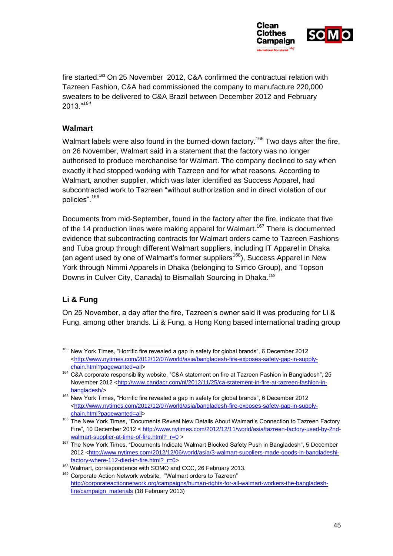

fire started.<sup>163</sup> On 25 November 2012, C&A confirmed the contractual relation with Tazreen Fashion, C&A had commissioned the company to manufacture 220,000 sweaters to be delivered to C&A Brazil between December 2012 and February 2013."*<sup>164</sup>*

#### **Walmart**

Walmart labels were also found in the burned-down factory.<sup>165</sup> Two days after the fire, on 26 November, Walmart said in a statement that the factory was no longer authorised to produce merchandise for Walmart. The company declined to say when exactly it had stopped working with Tazreen and for what reasons. According to Walmart, another supplier, which was later identified as Success Apparel, had subcontracted work to Tazreen "without authorization and in direct violation of our policies".<sup>166</sup>

Documents from mid-September, found in the factory after the fire, indicate that five of the 14 production lines were making apparel for Walmart.<sup>167</sup> There is documented evidence that subcontracting contracts for Walmart orders came to Tazreen Fashions and Tuba group through different Walmart suppliers, including IT Apparel in Dhaka (an agent used by one of Walmart's former suppliers<sup>168</sup>), Success Apparel in New York through Nimmi Apparels in Dhaka (belonging to Simco Group), and Topson Downs in Culver City, Canada) to Bismallah Sourcing in Dhaka.<sup>169</sup>

# **Li & Fung**

On 25 November, a day after the fire, Tazreen's owner said it was producing for Li & Fung, among other brands. Li & Fung, a Hong Kong based international trading group

<sup>1</sup> <sup>163</sup> New York Times, "Horrific fire revealed a gap in safety for global brands", 6 December 2012 [<http://www.nytimes.com/2012/12/07/world/asia/bangladesh-fire-exposes-safety-gap-in-supply](http://www.nytimes.com/2012/12/07/world/asia/bangladesh-fire-exposes-safety-gap-in-supply-chain.html?pagewanted=all)[chain.html?pagewanted=all>](http://www.nytimes.com/2012/12/07/world/asia/bangladesh-fire-exposes-safety-gap-in-supply-chain.html?pagewanted=all)

<sup>164</sup> C&A corporate responsibility website, "C&A statement on fire at Tazreen Fashion in Bangladesh", 25 November 2012 [<http://www.candacr.com/nl/2012/11/25/ca-statement-in-fire-at-tazreen-fashion-in](http://www.candacr.com/nl/2012/11/25/ca-statement-in-fire-at-tazreen-fashion-in-bangladesh/)[bangladesh/>](http://www.candacr.com/nl/2012/11/25/ca-statement-in-fire-at-tazreen-fashion-in-bangladesh/)

<sup>165</sup> New York Times, "Horrific fire revealed a gap in safety for global brands", 6 December 2012 [<http://www.nytimes.com/2012/12/07/world/asia/bangladesh-fire-exposes-safety-gap-in-supply](http://www.nytimes.com/2012/12/07/world/asia/bangladesh-fire-exposes-safety-gap-in-supply-chain.html?pagewanted=all)[chain.html?pagewanted=all>](http://www.nytimes.com/2012/12/07/world/asia/bangladesh-fire-exposes-safety-gap-in-supply-chain.html?pagewanted=all)

<sup>166</sup> The New York Times, "Documents Reveal New Details About Walmart's Connection to Tazreen Factory Fire", 10 December 2012 [< http://www.nytimes.com/2012/12/11/world/asia/tazreen-factory-used-by-2nd](http://www.nytimes.com/2012/12/11/world/asia/tazreen-factory-used-by-2nd-walmart-supplier-at-time-of-fire.html?_r=0)walmart-supplier-at-time-of-fire.html?  $r=0$  >

<sup>167</sup> The New York Times, "Documents Indicate Walmart Blocked Safety Push in Bangladesh*"*, 5 December 2012 [<http://www.nytimes.com/2012/12/06/world/asia/3-walmart-suppliers-made-goods-in-bangladeshi](http://www.nytimes.com/2012/12/06/world/asia/3-walmart-suppliers-made-goods-in-bangladeshi-factory-where-112-died-in-fire.html?_r=0)[factory-where-112-died-in-fire.html?\\_r=0>](http://www.nytimes.com/2012/12/06/world/asia/3-walmart-suppliers-made-goods-in-bangladeshi-factory-where-112-died-in-fire.html?_r=0)

<sup>168</sup> Walmart, correspondence with SOMO and CCC, 26 February 2013.

<sup>169</sup> Corporate Action Network website, "Walmart orders to Tazreen" [http://corporateactionnetwork.org/campaigns/human-rights-for-all-walmart-workers-the-bangladesh](http://corporateactionnetwork.org/campaigns/human-rights-for-all-walmart-workers-the-bangladesh-fire/campaign_materials)[fire/campaign\\_materials](http://corporateactionnetwork.org/campaigns/human-rights-for-all-walmart-workers-the-bangladesh-fire/campaign_materials) (18 February 2013)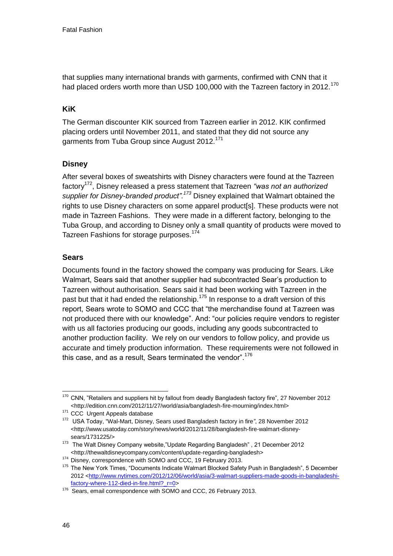that supplies many international brands with garments, confirmed with CNN that it had placed orders worth more than USD 100,000 with the Tazreen factory in 2012.<sup>170</sup>

### **KiK**

The German discounter KIK sourced from Tazreen earlier in 2012. KIK confirmed placing orders until November 2011, and stated that they did not source any garments from Tuba Group since August 2012.<sup>171</sup>

# **Disney**

After several boxes of sweatshirts with Disney characters were found at the Tazreen factory<sup>172</sup>, Disney released a press statement that Tazreen *"was not an authorized supplier for Disney-branded product".<sup>173</sup>* Disney explained that Walmart obtained the rights to use Disney characters on some apparel product[s]. These products were not made in Tazreen Fashions. They were made in a different factory, belonging to the Tuba Group, and according to Disney only a small quantity of products were moved to Tazreen Fashions for storage purposes.<sup>174</sup>

### **Sears**

Documents found in the factory showed the company was producing for Sears. Like Walmart, Sears said that another supplier had subcontracted Sear's production to Tazreen without authorisation. Sears said it had been working with Tazreen in the past but that it had ended the relationship.<sup>175</sup> In response to a draft version of this report, Sears wrote to SOMO and CCC that "the merchandise found at Tazreen was not produced there with our knowledge". And: "our policies require vendors to register with us all factories producing our goods, including any goods subcontracted to another production facility. We rely on our vendors to follow policy, and provide us accurate and timely production information. These requirements were not followed in this case, and as a result, Sears terminated the vendor".<sup>176</sup>

<sup>-</sup> $170$  CNN, "Retailers and suppliers hit by fallout from deadly Bangladesh factory fire", 27 November 2012 <http://edition.cnn.com/2012/11/27/world/asia/bangladesh-fire-mourning/index.html>

<sup>&</sup>lt;sup>171</sup> CCC Urgent Appeals database

<sup>172</sup> USA Today, "Wal-Mart, Disney, Sears used Bangladesh factory in fire*"*, 28 November 2012 <http://www.usatoday.com/story/news/world/2012/11/28/bangladesh-fire-walmart-disneysears/1731225/>

<sup>173</sup> The Walt Disney Company website, "Update Regarding Bangladesh", 21 December 2012 <http://thewaltdisneycompany.com/content/update-regarding-bangladesh>

<sup>174</sup> Disney, correspondence with SOMO and CCC, 19 February 2013.

<sup>&</sup>lt;sup>175</sup> The New York Times, "Documents Indicate Walmart Blocked Safety Push in Bangladesh", 5 December 2012 [<http://www.nytimes.com/2012/12/06/world/asia/3-walmart-suppliers-made-goods-in-bangladeshi](http://www.nytimes.com/2012/12/06/world/asia/3-walmart-suppliers-made-goods-in-bangladeshi-factory-where-112-died-in-fire.html?_r=0)[factory-where-112-died-in-fire.html?\\_r=0>](http://www.nytimes.com/2012/12/06/world/asia/3-walmart-suppliers-made-goods-in-bangladeshi-factory-where-112-died-in-fire.html?_r=0)

<sup>&</sup>lt;sup>176</sup> Sears, email correspondence with SOMO and CCC, 26 February 2013.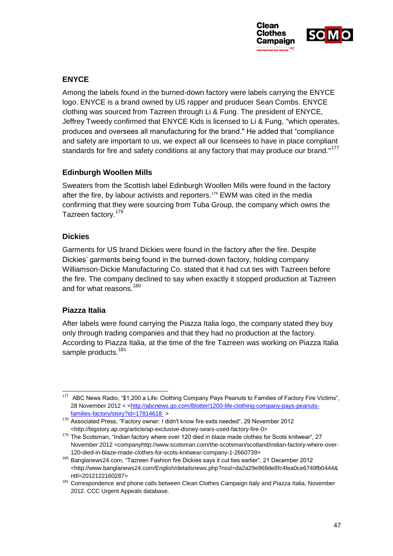

### **ENYCE**

Among the labels found in the burned-down factory were labels carrying the ENYCE logo. ENYCE is a brand owned by US rapper and producer Sean Combs. ENYCE clothing was sourced from Tazreen through Li & Fung. The president of ENYCE, Jeffrey Tweedy confirmed that ENYCE Kids is licensed to Li & Fung, "which operates, produces and oversees all manufacturing for the brand." He added that "compliance and safety are important to us, we expect all our licensees to have in place compliant standards for fire and safety conditions at any factory that may produce our brand."<sup>177</sup>

#### **Edinburgh Woollen Mills**

Sweaters from the Scottish label Edinburgh Woollen Mills were found in the factory after the fire, by labour activists and reporters.<sup>178</sup> EWM was cited in the media confirming that they were sourcing from Tuba Group, the company which owns the Tazreen factory.<sup>179</sup>

#### **Dickies**

Garments for US brand Dickies were found in the factory after the fire. Despite Dickies' garments being found in the burned-down factory, holding company Williamson-Dickie Manufacturing Co. stated that it had cut ties with Tazreen before the fire. The company declined to say when exactly it stopped production at Tazreen and for what reasons.<sup>180</sup>

#### **Piazza Italia**

-

After labels were found carrying the Piazza Italia logo, the company stated they buy only through trading companies and that they had no production at the factory. According to Piazza Italia, at the time of the fire Tazreen was working on Piazza Italia sample products.<sup>181</sup>

<sup>&</sup>lt;sup>177</sup> ABC News Radio, "\$1,200 a Life: Clothing Company Pays Peanuts to Families of Factory Fire Victims", 28 November 2012 < [<http://abcnews.go.com/Blotter/1200-life-clothing-company-pays-peanuts](http://abcnews.go.com/Blotter/1200-life-clothing-company-pays-peanuts-families-factory/story?id=17814618%20)[families-factory/story?id=17814618](http://abcnews.go.com/Blotter/1200-life-clothing-company-pays-peanuts-families-factory/story?id=17814618%20) >

<sup>&</sup>lt;sup>178</sup> Associated Press, "Factory owner: I didn't know fire exits needed", 29 November 2012 <http://bigstory.ap.org/article/ap-exclusive-disney-sears-used-factory-fire-0>

<sup>179</sup> The Scotsman, "Indian factory where over 120 died in blaze made clothes for Scots knitwear", 27 November 2012 <companyhttp://www.scotsman.com/the-scotsman/scotland/indian-factory-where-over-120-died-in-blaze-made-clothes-for-scots-knitwear-company-1-2660739>

<sup>180</sup> Banglanews24.com, "Tazreen Fashion fire Dickies says it cut ties earlier", 21 December 2012 <http://www.banglanews24.com/English/detailsnews.php?nssl=da2a29e969de8fc4fea0ce6749fb0444& nttl=2012122160287>

<sup>&</sup>lt;sup>181</sup> Correspondence and phone calls between Clean Clothes Campaign Italy and Piazza Italia, November 2012. CCC Urgent Appeals database.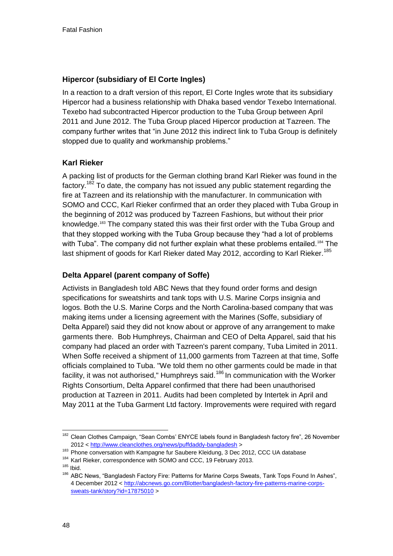### **Hipercor (subsidiary of El Corte Ingles)**

In a reaction to a draft version of this report, El Corte Ingles wrote that its subsidiary Hipercor had a business relationship with Dhaka based vendor Texebo International. Texebo had subcontracted Hipercor production to the Tuba Group between April 2011 and June 2012. The Tuba Group placed Hipercor production at Tazreen. The company further writes that "in June 2012 this indirect link to Tuba Group is definitely stopped due to quality and workmanship problems."

# **Karl Rieker**

<span id="page-48-0"></span>A packing list of products for the German clothing brand Karl Rieker was found in the factory.<sup>182</sup> To date, the company has not issued any public statement regarding the fire at Tazreen and its relationship with the manufacturer. In communication with SOMO and CCC, Karl Rieker confirmed that an order they placed with Tuba Group in the beginning of 2012 was produced by Tazreen Fashions, but without their prior knowledge.<sup>183</sup> The company stated this was their first order with the Tuba Group and that they stopped working with the Tuba Group because they "had a lot of problems with Tuba". The company did not further explain what these problems entailed.<sup>184</sup> The last shipment of goods for Karl Rieker dated May 2012, according to Karl Rieker.<sup>185</sup>

# **Delta Apparel (parent company of Soffe)**

Activists in Bangladesh told ABC News that they found order forms and design specifications for sweatshirts and tank tops with U.S. Marine Corps insignia and logos. Both the U.S. Marine Corps and the North Carolina-based company that was making items under a licensing agreement with the Marines (Soffe, subsidiary of Delta Apparel) said they did not know about or approve of any arrangement to make garments there. Bob Humphreys, Chairman and CEO of Delta Apparel, said that his company had placed an order with Tazreen's parent company, Tuba Limited in 2011. When Soffe received a shipment of 11,000 garments from Tazreen at that time, Soffe officials complained to Tuba. "We told them no other garments could be made in that facility, it was not authorised," Humphreys said.<sup>186</sup> In communication with the Worker Rights Consortium, Delta Apparel confirmed that there had been unauthorised production at Tazreen in 2011. Audits had been completed by Intertek in April and May 2011 at the Tuba Garment Ltd factory. Improvements were required with regard

<sup>-</sup><sup>182</sup> Clean Clothes Campaign, "Sean Combs' ENYCE labels found in Bangladesh factory fire", 26 November 2012 [< http://www.cleanclothes.org/news/puffdaddy-bangladesh](http://www.cleanclothes.org/news/puffdaddy-bangladesh) >

<sup>&</sup>lt;sup>183</sup> Phone conversation with Kampagne fur Saubere Kleidung, 3 Dec 2012, CCC UA database

<sup>184</sup> Karl Rieker, correspondence with SOMO and CCC, 19 February 2013.

<sup>185</sup> Ibid.

<sup>&</sup>lt;sup>186</sup> ABC News, "Bangladesh Factory Fire: Patterns for Marine Corps Sweats, Tank Tops Found In Ashes", 4 December 2012 [< http://abcnews.go.com/Blotter/bangladesh-factory-fire-patterns-marine-corps](http://abcnews.go.com/Blotter/bangladesh-factory-fire-patterns-marine-corps-sweats-tank/story?id=17875010)[sweats-tank/story?id=17875010](http://abcnews.go.com/Blotter/bangladesh-factory-fire-patterns-marine-corps-sweats-tank/story?id=17875010) >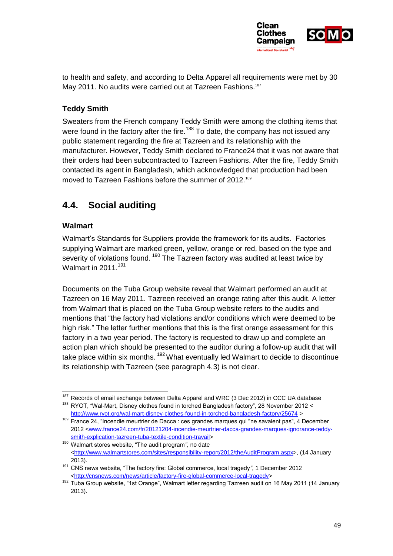

to health and safety, and according to Delta Apparel all requirements were met by 30 May 2011. No audits were carried out at Tazreen Fashions.<sup>187</sup>

# **Teddy Smith**

Sweaters from the French company Teddy Smith were among the clothing items that were found in the factory after the fire.<sup>188</sup> To date, the company has not issued any public statement regarding the fire at Tazreen and its relationship with the manufacturer. However, Teddy Smith declared to France24 that it was not aware that their orders had been subcontracted to Tazreen Fashions. After the fire, Teddy Smith contacted its agent in Bangladesh, which acknowledged that production had been moved to Tazreen Fashions before the summer of 2012.<sup>189</sup>

# **4.4. Social auditing**

# **Walmart**

-

Walmart's Standards for Suppliers provide the framework for its audits. Factories supplying Walmart are marked green, yellow, orange or red, based on the type and severity of violations found. <sup>190</sup> The Tazreen factory was audited at least twice by Walmart in 2011.<sup>191</sup>

<span id="page-49-0"></span>Documents on the Tuba Group website reveal that Walmart performed an audit at Tazreen on 16 May 2011. Tazreen received an orange rating after this audit. A letter from Walmart that is placed on the Tuba Group website refers to the audits and mentions that "the factory had violations and/or conditions which were deemed to be high risk." The letter further mentions that this is the first orange assessment for this factory in a two year period. The factory is requested to draw up and complete an action plan which should be presented to the auditor during a follow-up audit that will take place within six months.  $192$  What eventually led Walmart to decide to discontinue its relationship with Tazreen (see paragraph 4.3) is not clear.

<sup>&</sup>lt;sup>187</sup> Records of email exchange between Delta Apparel and WRC (3 Dec 2012) in CCC UA database <sup>188</sup> RYOT, "Wal-Mart, Disney clothes found in torched Bangladesh factory", 28 November 2012 <

<http://www.ryot.org/wal-mart-disney-clothes-found-in-torched-bangladesh-factory/25674> >

<sup>&</sup>lt;sup>189</sup> France 24, "Incendie meurtrier de Dacca : ces grandes marques qui "ne savaient pas", 4 December 2012 [<www.france24.com/fr/20121204-incendie-meurtrier-dacca-grandes-marques-ignorance-teddy](http://www.france24.com/fr/20121204-incendie-meurtrier-dacca-grandes-marques-ignorance-teddy-smith-explication-tazreen-tuba-textile-condition-travail)[smith-explication-tazreen-tuba-textile-condition-travail>](http://www.france24.com/fr/20121204-incendie-meurtrier-dacca-grandes-marques-ignorance-teddy-smith-explication-tazreen-tuba-textile-condition-travail)

<sup>190</sup> Walmart stores website, "The audit program*"*, no date [<http://www.walmartstores.com/sites/responsibility-report/2012/theAuditProgram.aspx>](http://www.walmartstores.com/sites/responsibility-report/2012/theAuditProgram.aspx), (14 January 2013).

<sup>191</sup> CNS news website, "The factory fire: Global commerce, local tragedy*"*, 1 December 2012 [<http://cnsnews.com/news/article/factory-fire-global-commerce-local-tragedy>](http://cnsnews.com/news/article/factory-fire-global-commerce-local-tragedy)

<sup>192</sup> Tuba Group website, "1st Orange", Walmart letter regarding Tazreen audit on 16 May 2011 (14 January 2013).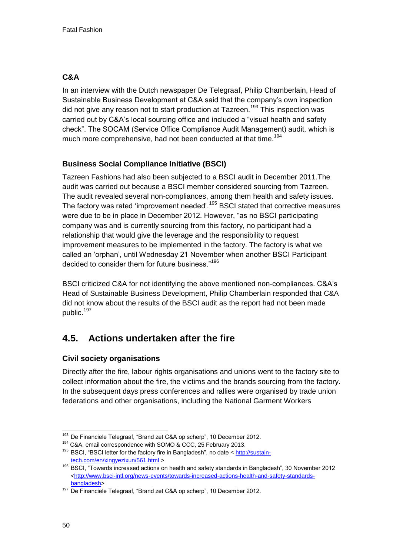# **C&A**

In an interview with the Dutch newspaper De Telegraaf, Philip Chamberlain, Head of Sustainable Business Development at C&A said that the company's own inspection did not give any reason not to start production at Tazreen.<sup>193</sup> This inspection was carried out by C&A's local sourcing office and included a "visual health and safety check". The SOCAM (Service Office Compliance Audit Management) audit, which is much more comprehensive, had not been conducted at that time.<sup>194</sup>

# **Business Social Compliance Initiative (BSCI)**

Tazreen Fashions had also been subjected to a BSCI audit in December 2011.The audit was carried out because a BSCI member considered sourcing from Tazreen. The audit revealed several non-compliances, among them health and safety issues. The factory was rated 'improvement needed'.<sup>195</sup> BSCI stated that corrective measures were due to be in place in December 2012. However, "as no BSCI participating company was and is currently sourcing from this factory, no participant had a relationship that would give the leverage and the responsibility to request improvement measures to be implemented in the factory. The factory is what we called an 'orphan', until Wednesday 21 November when another BSCI Participant decided to consider them for future business."<sup>196</sup>

BSCI criticized C&A for not identifying the above mentioned non-compliances. C&A's Head of Sustainable Business Development, Philip Chamberlain responded that C&A did not know about the results of the BSCI audit as the report had not been made public.<sup>197</sup>

# **4.5. Actions undertaken after the fire**

# **Civil society organisations**

Directly after the fire, labour rights organisations and unions went to the factory site to collect information about the fire, the victims and the brands sourcing from the factory. In the subsequent days press conferences and rallies were organised by trade union federations and other organisations, including the National Garment Workers

<sup>-</sup><sup>193</sup> De Financiele Telegraaf, "Brand zet C&A op scherp", 10 December 2012.

<sup>&</sup>lt;sup>194</sup> C&A, email correspondence with SOMO & CCC, 25 February 2013.

<sup>&</sup>lt;sup>195</sup> BSCI, "BSCI letter for the factory fire in Bangladesh", no date [< http://sustain](http://sustain-tech.com/en/xingyezixun/561.html)[tech.com/en/xingyezixun/561.html](http://sustain-tech.com/en/xingyezixun/561.html) >

<sup>196</sup> BSCI, "Towards increased actions on health and safety standards in Bangladesh", 30 November 2012 [<http://www.bsci-intl.org/news-events/towards-increased-actions-health-and-safety-standards](http://www.bsci-intl.org/news-events/towards-increased-actions-health-and-safety-standards-bangladesh)[bangladesh>](http://www.bsci-intl.org/news-events/towards-increased-actions-health-and-safety-standards-bangladesh)

<sup>&</sup>lt;sup>197</sup> De Financiele Telegraaf, "Brand zet C&A op scherp", 10 December 2012.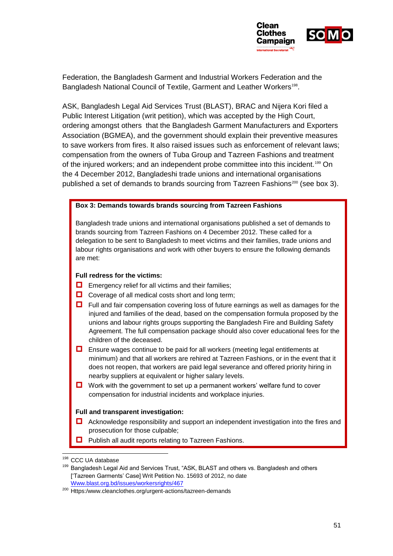

Federation, the Bangladesh Garment and Industrial Workers Federation and the Bangladesh National Council of Textile, Garment and Leather Workers<sup>198</sup>.

ASK, Bangladesh Legal Aid Services Trust (BLAST), BRAC and Nijera Kori filed a Public Interest Litigation (writ petition), which was accepted by the High Court, ordering amongst others that the Bangladesh Garment Manufacturers and Exporters Association (BGMEA), and the government should explain their preventive measures to save workers from fires. It also raised issues such as enforcement of relevant laws; compensation from the owners of Tuba Group and Tazreen Fashions and treatment of the injured workers; and an independent probe committee into this incident.<sup>199</sup> On the 4 December 2012, Bangladeshi trade unions and international organisations published a set of demands to brands sourcing from Tazreen Fashions<sup>200</sup> (see box 3).

#### **Box 3: Demands towards brands sourcing from Tazreen Fashions**

Bangladesh trade unions and international organisations published a set of demands to brands sourcing from Tazreen Fashions on 4 December 2012. These called for a delegation to be sent to Bangladesh to meet victims and their families, trade unions and labour rights organisations and work with other buyers to ensure the following demands are met:

#### <span id="page-51-0"></span>**Full redress for the victims:**

- $\Box$  Emergency relief for all victims and their families;
- $\Box$  Coverage of all medical costs short and long term;
- $\Box$  Full and fair compensation covering loss of future earnings as well as damages for the injured and families of the dead, based on the compensation formula proposed by the unions and labour rights groups supporting the Bangladesh Fire and Building Safety Agreement. The full compensation package should also cover educational fees for the children of the deceased.
- $\Box$  Ensure wages continue to be paid for all workers (meeting legal entitlements at minimum) and that all workers are rehired at Tazreen Fashions, or in the event that it does not reopen, that workers are paid legal severance and offered priority hiring in nearby suppliers at equivalent or higher salary levels.
- $\Box$  Work with the government to set up a permanent workers' welfare fund to cover compensation for industrial incidents and workplace injuries.

#### **Full and transparent investigation:**

- Acknowledge responsibility and support an independent investigation into the fires and prosecution for those culpable;
- $\Box$  Publish all audit reports relating to Tazreen Fashions.

<sup>198</sup> CCC UA database

<sup>199</sup> Bangladesh Legal Aid and Services Trust, "ASK, BLAST and others vs. Bangladesh and others ['Tazreen Garments' Case] Writ Petition No. 15693 of 2012, no date [Www.blast.org.bd/issues/workersrights/467](http://www.blast.org.bd/issues/workersrights/467)

<sup>200</sup> Https:/www.cleanclothes.org/urgent-actions/tazreen-demands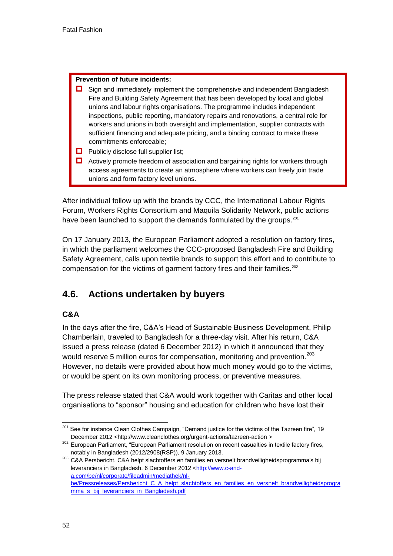#### **Prevention of future incidents:**

- $\Box$  Sign and immediately implement the comprehensive and independent Bangladesh Fire and Building Safety Agreement that has been developed by local and global unions and labour rights organisations. The programme includes independent inspections, public reporting, mandatory repairs and renovations, a central role for workers and unions in both oversight and implementation, supplier contracts with sufficient financing and adequate pricing, and a binding contract to make these commitments enforceable;
- $\Box$  Publicly disclose full supplier list;
- $\Box$  Actively promote freedom of association and bargaining rights for workers through access agreements to create an atmosphere where workers can freely join trade unions and form factory level unions.

After individual follow up with the brands by CCC, the International Labour Rights Forum, Workers Rights Consortium and Maquila Solidarity Network, public actions have been launched to support the demands formulated by the groups.<sup>201</sup>

On 17 January 2013, the European Parliament adopted a resolution on factory fires, in which the parliament welcomes the CCC-proposed Bangladesh Fire and Building Safety Agreement, calls upon textile brands to support this effort and to contribute to compensation for the victims of garment factory fires and their families.<sup>202</sup>

# **4.6. Actions undertaken by buyers**

#### **C&A**

In the days after the fire, C&A's Head of Sustainable Business Development, Philip Chamberlain, traveled to Bangladesh for a three-day visit. After his return, C&A issued a press release (dated 6 December 2012) in which it announced that they would reserve 5 million euros for compensation, monitoring and prevention.<sup>203</sup> However, no details were provided about how much money would go to the victims, or would be spent on its own monitoring process, or preventive measures.

The press release stated that C&A would work together with Caritas and other local organisations to "sponsor" housing and education for children who have lost their

<sup>203</sup> C&A Persbericht, C&A helpt slachtoffers en families en versnelt brandveiligheidsprogramma's bij leveranciers in Bangladesh, 6 December 2012 [<http://www.c-and](http://www.c-and-a.com/be/nl/corporate/fileadmin/mediathek/nl-be/Pressreleases/Persbericht_C_A_helpt_slachtoffers_en_families_en_versnelt_brandveiligheidsprogramma_s_bij_leveranciers_in_Bangladesh.pdf)[a.com/be/nl/corporate/fileadmin/mediathek/nl](http://www.c-and-a.com/be/nl/corporate/fileadmin/mediathek/nl-be/Pressreleases/Persbericht_C_A_helpt_slachtoffers_en_families_en_versnelt_brandveiligheidsprogramma_s_bij_leveranciers_in_Bangladesh.pdf)[be/Pressreleases/Persbericht\\_C\\_A\\_helpt\\_slachtoffers\\_en\\_families\\_en\\_versnelt\\_brandveiligheidsprogra](http://www.c-and-a.com/be/nl/corporate/fileadmin/mediathek/nl-be/Pressreleases/Persbericht_C_A_helpt_slachtoffers_en_families_en_versnelt_brandveiligheidsprogramma_s_bij_leveranciers_in_Bangladesh.pdf) [mma\\_s\\_bij\\_leveranciers\\_in\\_Bangladesh.pdf](http://www.c-and-a.com/be/nl/corporate/fileadmin/mediathek/nl-be/Pressreleases/Persbericht_C_A_helpt_slachtoffers_en_families_en_versnelt_brandveiligheidsprogramma_s_bij_leveranciers_in_Bangladesh.pdf)

<sup>-</sup><sup>201</sup> See for instance Clean Clothes Campaign, "Demand justice for the victims of the Tazreen fire", 19 December 2012 <http://www.cleanclothes.org/urgent-actions/tazreen-action >

<sup>&</sup>lt;sup>202</sup> European Parliament, "European Parliament resolution on recent casualties in textile factory fires, notably in Bangladesh (2012/2908(RSP)), 9 January 2013.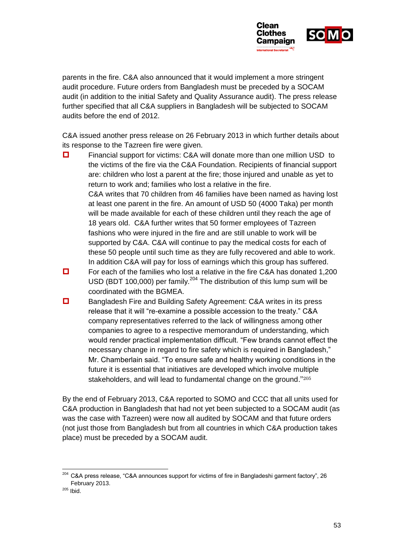

parents in the fire. C&A also announced that it would implement a more stringent audit procedure. Future orders from Bangladesh must be preceded by a SOCAM audit (in addition to the initial Safety and Quality Assurance audit). The press release further specified that all C&A suppliers in Bangladesh will be subjected to SOCAM audits before the end of 2012.

C&A issued another press release on 26 February 2013 in which further details about its response to the Tazreen fire were given.

- **D** Financial support for victims: C&A will donate more than one million USD to the victims of the fire via the C&A Foundation. Recipients of financial support are: children who lost a parent at the fire; those injured and unable as yet to return to work and; families who lost a relative in the fire. C&A writes that 70 children from 46 families have been named as having lost at least one parent in the fire. An amount of USD 50 (4000 Taka) per month will be made available for each of these children until they reach the age of 18 years old. C&A further writes that 50 former employees of Tazreen fashions who were injured in the fire and are still unable to work will be supported by C&A. C&A will continue to pay the medical costs for each of these 50 people until such time as they are fully recovered and able to work. In addition C&A will pay for loss of earnings which this group has suffered.
- $\Box$  For each of the families who lost a relative in the fire C&A has donated 1,200 USD (BDT 100,000) per family.<sup>204</sup> The distribution of this lump sum will be coordinated with the BGMEA.
- Bangladesh Fire and Building Safety Agreement: C&A writes in its press release that it will "re-examine a possible accession to the treaty." C&A company representatives referred to the lack of willingness among other companies to agree to a respective memorandum of understanding, which would render practical implementation difficult. "Few brands cannot effect the necessary change in regard to fire safety which is required in Bangladesh," Mr. Chamberlain said. "To ensure safe and healthy working conditions in the future it is essential that initiatives are developed which involve multiple stakeholders, and will lead to fundamental change on the ground."<sup>205</sup>

By the end of February 2013, C&A reported to SOMO and CCC that all units used for C&A production in Bangladesh that had not yet been subjected to a SOCAM audit (as was the case with Tazreen) were now all audited by SOCAM and that future orders (not just those from Bangladesh but from all countries in which C&A production takes place) must be preceded by a SOCAM audit.

-

<sup>&</sup>lt;sup>204</sup> C&A press release, "C&A announces support for victims of fire in Bangladeshi garment factory", 26 February 2013.

 $205$  Ibid.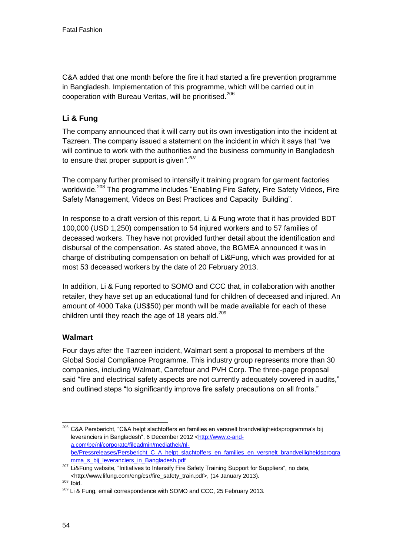C&A added that one month before the fire it had started a fire prevention programme in Bangladesh. Implementation of this programme, which will be carried out in cooperation with Bureau Veritas, will be prioritised. 206

# **Li & Fung**

The company announced that it will carry out its own investigation into the incident at Tazreen. The company issued a statement on the incident in which it says that "we will continue to work with the authorities and the business community in Bangladesh to ensure that proper support is given*"*. *207*

The company further promised to intensify it training program for garment factories worldwide.<sup>208</sup> The programme includes "Enabling Fire Safety, Fire Safety Videos, Fire Safety Management, Videos on Best Practices and Capacity Building".

In response to a draft version of this report, Li & Fung wrote that it has provided BDT 100,000 (USD 1,250) compensation to 54 injured workers and to 57 families of deceased workers. They have not provided further detail about the identification and disbursal of the compensation. As stated above, the BGMEA announced it was in charge of distributing compensation on behalf of Li&Fung, which was provided for at most 53 deceased workers by the date of 20 February 2013.

In addition, Li & Fung reported to SOMO and CCC that, in collaboration with another retailer, they have set up an educational fund for children of deceased and injured. An amount of 4000 Taka (US\$50) per month will be made available for each of these children until they reach the age of 18 years old. $209$ 

# **Walmart**

Four days after the Tazreen incident, Walmart sent a proposal to members of the Global Social Compliance Programme. This industry group represents more than 30 companies, including Walmart, Carrefour and PVH Corp. The three-page proposal said "fire and electrical safety aspects are not currently adequately covered in audits," and outlined steps "to significantly improve fire safety precautions on all fronts."

<sup>-</sup><sup>206</sup> C&A Persbericht, "C&A helpt slachtoffers en families en versnelt brandveiligheidsprogramma's bij leveranciers in Bangladesh", 6 December 2012 [<http://www.c-and](http://www.c-and-a.com/be/nl/corporate/fileadmin/mediathek/nl-be/Pressreleases/Persbericht_C_A_helpt_slachtoffers_en_families_en_versnelt_brandveiligheidsprogramma_s_bij_leveranciers_in_Bangladesh.pdf)[a.com/be/nl/corporate/fileadmin/mediathek/nl](http://www.c-and-a.com/be/nl/corporate/fileadmin/mediathek/nl-be/Pressreleases/Persbericht_C_A_helpt_slachtoffers_en_families_en_versnelt_brandveiligheidsprogramma_s_bij_leveranciers_in_Bangladesh.pdf)be/Pressreleases/Persbericht C\_A\_helpt\_slachtoffers\_en\_families\_en\_versnelt\_brandveiligheidsprogra [mma\\_s\\_bij\\_leveranciers\\_in\\_Bangladesh.pdf](http://www.c-and-a.com/be/nl/corporate/fileadmin/mediathek/nl-be/Pressreleases/Persbericht_C_A_helpt_slachtoffers_en_families_en_versnelt_brandveiligheidsprogramma_s_bij_leveranciers_in_Bangladesh.pdf)

<sup>&</sup>lt;sup>207</sup> Li&Fung website, "Initiatives to Intensify Fire Safety Training Support for Suppliers", no date, <http://www.lifung.com/eng/csr/fire\_safety\_train.pdf>, (14 January 2013).

<sup>208</sup> Ibid.

<sup>&</sup>lt;sup>209</sup> Li & Fung, email correspondence with SOMO and CCC, 25 February 2013.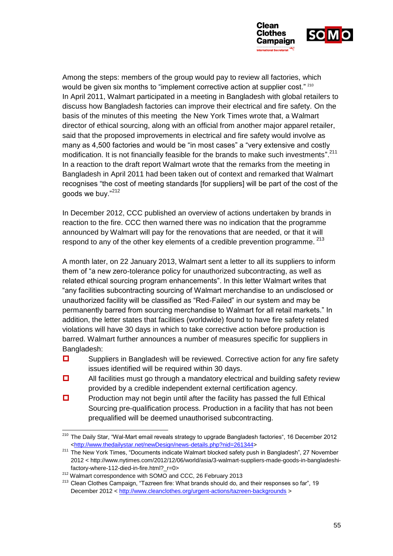

Among the steps: members of the group would pay to review all factories, which would be given six months to "implement corrective action at supplier cost." <sup>210</sup> In April 2011, Walmart participated in a meeting in Bangladesh with global retailers to discuss how Bangladesh factories can improve their electrical and fire safety. On the basis of the minutes of this meeting the New York Times wrote that, a Walmart director of ethical sourcing, along with an official from another major apparel retailer, said that the proposed improvements in electrical and fire safety would involve as many as 4,500 factories and would be "in most cases" a "very extensive and costly modification. It is not financially feasible for the brands to make such investments".<sup>211</sup> In a reaction to the draft report Walmart wrote that the remarks from the meeting in Bangladesh in April 2011 had been taken out of context and remarked that Walmart recognises "the cost of meeting standards [for suppliers] will be part of the cost of the goods we buy."<sup>212</sup>

In December 2012, CCC published an overview of actions undertaken by brands in reaction to the fire. CCC then warned there was no indication that the programme announced by Walmart will pay for the renovations that are needed, or that it will respond to any of the other key elements of a credible prevention programme.  $213$ 

A month later, on 22 January 2013, Walmart sent a letter to all its suppliers to inform them of "a new zero-tolerance policy for unauthorized subcontracting, as well as related ethical sourcing program enhancements". In this letter Walmart writes that "any facilities subcontracting sourcing of Walmart merchandise to an undisclosed or unauthorized facility will be classified as "Red-Failed" in our system and may be permanently barred from sourcing merchandise to Walmart for all retail markets." In addition, the letter states that facilities (worldwide) found to have fire safety related violations will have 30 days in which to take corrective action before production is barred. Walmart further announces a number of measures specific for suppliers in Bangladesh:

- $\square$  Suppliers in Bangladesh will be reviewed. Corrective action for any fire safety issues identified will be required within 30 days.
- $\Box$  All facilities must go through a mandatory electrical and building safety review provided by a credible independent external certification agency.
- $\Box$  Production may not begin until after the facility has passed the full Ethical Sourcing pre-qualification process. Production in a facility that has not been prequalified will be deemed unauthorised subcontracting.

<sup>-</sup><sup>210</sup> The Daily Star, "Wal-Mart email reveals strategy to upgrade Bangladesh factories", 16 December 2012 [<http://www.thedailystar.net/newDesign/news-details.php?nid=261344>](http://www.thedailystar.net/newDesign/news-details.php?nid=261344)

<sup>&</sup>lt;sup>211</sup> The New York Times, "Documents indicate Walmart blocked safety push in Bangladesh", 27 November 2012 < http://www.nytimes.com/2012/12/06/world/asia/3-walmart-suppliers-made-goods-in-bangladeshifactory-where-112-died-in-fire.html?\_r=0>

<sup>&</sup>lt;sup>212</sup> Walmart correspondence with SOMO and CCC, 26 February 2013

<sup>&</sup>lt;sup>213</sup> Clean Clothes Campaign, "Tazreen fire: What brands should do, and their responses so far", 19 December 2012 [< http://www.cleanclothes.org/urgent-actions/tazreen-backgrounds](http://www.cleanclothes.org/urgent-actions/tazreen-backgrounds) >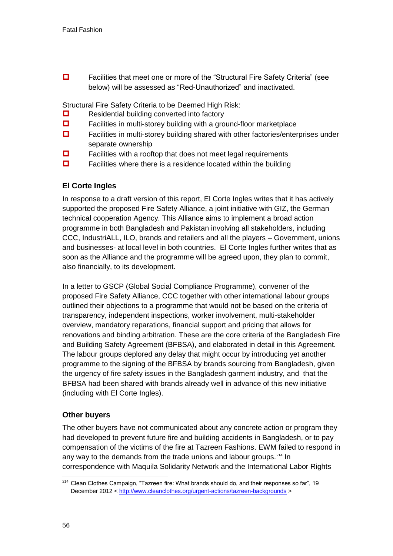□ Facilities that meet one or more of the "Structural Fire Safety Criteria" (see below) will be assessed as "Red-Unauthorized" and inactivated.

Structural Fire Safety Criteria to be Deemed High Risk:

- $\Box$  Residential building converted into factory
- $\Box$  Facilities in multi-storey building with a ground-floor marketplace
- Facilities in multi-storey building shared with other factories/enterprises under separate ownership
- $\Box$  Facilities with a rooftop that does not meet legal requirements
- $\Box$  Facilities where there is a residence located within the building

### **El Corte Ingles**

In response to a draft version of this report, El Corte Ingles writes that it has actively supported the proposed Fire Safety Alliance, a joint initiative with GIZ, the German technical cooperation Agency. This Alliance aims to implement a broad action programme in both Bangladesh and Pakistan involving all stakeholders, including CCC, IndustriALL, ILO, brands and retailers and all the players – Government, unions and businesses- at local level in both countries. El Corte Ingles further writes that as soon as the Alliance and the programme will be agreed upon, they plan to commit, also financially, to its development.

In a letter to GSCP (Global Social Compliance Programme), convener of the proposed Fire Safety Alliance, CCC together with other international labour groups outlined their objections to a programme that would not be based on the criteria of transparency, independent inspections, worker involvement, multi-stakeholder overview, mandatory reparations, financial support and pricing that allows for renovations and binding arbitration. These are the core criteria of the Bangladesh Fire and Building Safety Agreement (BFBSA), and elaborated in detail in this Agreement. The labour groups deplored any delay that might occur by introducing yet another programme to the signing of the BFBSA by brands sourcing from Bangladesh, given the urgency of fire safety issues in the Bangladesh garment industry, and that the BFBSA had been shared with brands already well in advance of this new initiative (including with El Corte Ingles).

### <span id="page-56-0"></span>**Other buyers**

The other buyers have not communicated about any concrete action or program they had developed to prevent future fire and building accidents in Bangladesh, or to pay compensation of the victims of the fire at Tazreen Fashions. EWM failed to respond in any way to the demands from the trade unions and labour groups.<sup>214</sup> In correspondence with Maquila Solidarity Network and the International Labor Rights

<sup>1</sup> <sup>214</sup> Clean Clothes Campaign, "Tazreen fire: What brands should do, and their responses so far", 19 December 2012 [< http://www.cleanclothes.org/urgent-actions/tazreen-backgrounds](http://www.cleanclothes.org/urgent-actions/tazreen-backgrounds) >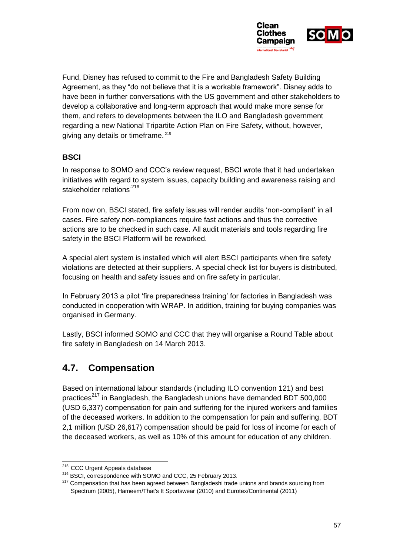

Fund, Disney has refused to commit to the Fire and Bangladesh Safety Building Agreement, as they "do not believe that it is a workable framework". Disney adds to have been in further conversations with the US government and other stakeholders to develop a collaborative and long-term approach that would make more sense for them, and refers to developments between the ILO and Bangladesh government regarding a new National Tripartite Action Plan on Fire Safety, without, however, giving any details or timeframe.<sup>215</sup>

# **BSCI**

In response to SOMO and CCC's review request, BSCI wrote that it had undertaken initiatives with regard to system issues, capacity building and awareness raising and stakeholder relations<sup>.216</sup>

<span id="page-57-0"></span>From now on, BSCI stated, fire safety issues will render audits 'non-compliant' in all cases. Fire safety non-compliances require fast actions and thus the corrective actions are to be checked in such case. All audit materials and tools regarding fire safety in the BSCI Platform will be reworked.

A special alert system is installed which will alert BSCI participants when fire safety violations are detected at their suppliers. A special check list for buyers is distributed, focusing on health and safety issues and on fire safety in particular.

In February 2013 a pilot 'fire preparedness training' for factories in Bangladesh was conducted in cooperation with WRAP. In addition, training for buying companies was organised in Germany.

Lastly, BSCI informed SOMO and CCC that they will organise a Round Table about fire safety in Bangladesh on 14 March 2013.

# **4.7. Compensation**

Based on international labour standards (including ILO convention 121) and best practices<sup>217</sup> in Bangladesh, the Bangladesh unions have demanded BDT 500,000 (USD 6,337) compensation for pain and suffering for the injured workers and families of the deceased workers. In addition to the compensation for pain and suffering, BDT 2,1 million (USD 26,617) compensation should be paid for loss of income for each of the deceased workers, as well as 10% of this amount for education of any children.

<sup>-</sup><sup>215</sup> CCC Urgent Appeals database

<sup>&</sup>lt;sup>216</sup> BSCI, correspondence with SOMO and CCC, 25 February 2013.

<sup>&</sup>lt;sup>217</sup> Compensation that has been agreed between Bangladeshi trade unions and brands sourcing from Spectrum (2005), Hameem/That's It Sportswear (2010) and Eurotex/Continental (2011)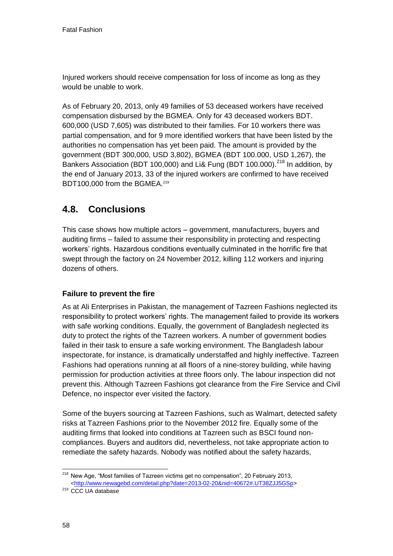Injured workers should receive compensation for loss of income as long as they would be unable to work.

As of February 20, 2013, only 49 families of 53 deceased workers have received compensation disbursed by the BGMEA. Only for 43 deceased workers BDT. 600,000 (USD 7,605) was distributed to their families. For 10 workers there was partial compensation, and for 9 more identified workers that have been listed by the authorities no compensation has yet been paid. The amount is provided by the government (BDT 300,000, USD 3,802), BGMEA (BDT 100.000, USD 1,267), the Bankers Association (BDT 100,000) and Li& Fung (BDT 100,000).<sup>218</sup> In addition, by the end of January 2013, 33 of the injured workers are confirmed to have received BDT100,000 from the BGMEA.<sup>219</sup>

# **4.8. Conclusions**

This case shows how multiple actors – government, manufacturers, buyers and auditing firms – failed to assume their responsibility in protecting and respecting workers' rights. Hazardous conditions eventually culminated in the horrific fire that swept through the factory on 24 November 2012, killing 112 workers and injuring dozens of others.

# **Failure to prevent the fire**

As at Ali Enterprises in Pakistan, the management of Tazreen Fashions neglected its responsibility to protect workers' rights. The management failed to provide its workers with safe working conditions. Equally, the government of Bangladesh neglected its duty to protect the rights of the Tazreen workers. A number of government bodies failed in their task to ensure a safe working environment. The Bangladesh labour inspectorate, for instance, is dramatically understaffed and highly ineffective. Tazreen Fashions had operations running at all floors of a nine-storey building, while having permission for production activities at three floors only. The labour inspection did not prevent this. Although Tazreen Fashions got clearance from the Fire Service and Civil Defence, no inspector ever visited the factory.

Some of the buyers sourcing at Tazreen Fashions, such as Walmart, detected safety risks at Tazreen Fashions prior to the November 2012 fire. Equally some of the auditing firms that looked into conditions at Tazreen such as BSCI found noncompliances. Buyers and auditors did, nevertheless, not take appropriate action to remediate the safety hazards. Nobody was notified about the safety hazards,

<sup>-</sup><sup>218</sup> New Age, "Most families of Tazreen victims get no compensation", 20 February 2013, [<http://www.newagebd.com/detail.php?date=2013-02-20&nid=40672#.UT38ZJJ5GSp>](http://www.newagebd.com/detail.php?date=2013-02-20&nid=40672#.UT38ZJJ5GSp)

<sup>&</sup>lt;sup>219</sup> CCC UA database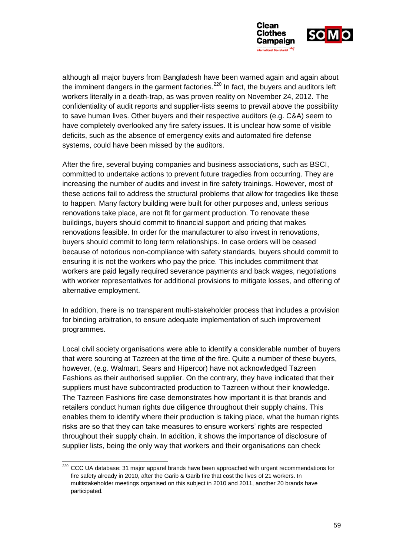

although all major buyers from Bangladesh have been warned again and again about the imminent dangers in the garment factories.<sup>220</sup> In fact, the buyers and auditors left workers literally in a death-trap, as was proven reality on November 24, 2012. The confidentiality of audit reports and supplier-lists seems to prevail above the possibility to save human lives. Other buyers and their respective auditors (e.g. C&A) seem to have completely overlooked any fire safety issues. It is unclear how some of visible deficits, such as the absence of emergency exits and automated fire defense systems, could have been missed by the auditors.

After the fire, several buying companies and business associations, such as BSCI, committed to undertake actions to prevent future tragedies from occurring. They are increasing the number of audits and invest in fire safety trainings. However, most of these actions fail to address the structural problems that allow for tragedies like these to happen. Many factory building were built for other purposes and, unless serious renovations take place, are not fit for garment production. To renovate these buildings, buyers should commit to financial support and pricing that makes renovations feasible. In order for the manufacturer to also invest in renovations, buyers should commit to long term relationships. In case orders will be ceased because of notorious non-compliance with safety standards, buyers should commit to ensuring it is not the workers who pay the price. This includes commitment that workers are paid legally required severance payments and back wages, negotiations with worker representatives for additional provisions to mitigate losses, and offering of alternative employment.

In addition, there is no transparent multi-stakeholder process that includes a provision for binding arbitration, to ensure adequate implementation of such improvement programmes.

Local civil society organisations were able to identify a considerable number of buyers that were sourcing at Tazreen at the time of the fire. Quite a number of these buyers, however, (e.g. Walmart, Sears and Hipercor) have not acknowledged Tazreen Fashions as their authorised supplier. On the contrary, they have indicated that their suppliers must have subcontracted production to Tazreen without their knowledge. The Tazreen Fashions fire case demonstrates how important it is that brands and retailers conduct human rights due diligence throughout their supply chains. This enables them to identify where their production is taking place, what the human rights risks are so that they can take measures to ensure workers' rights are respected throughout their supply chain. In addition, it shows the importance of disclosure of supplier lists, being the only way that workers and their organisations can check

-

 $220$  CCC UA database: 31 major apparel brands have been approached with urgent recommendations for fire safety already in 2010, after the Garib & Garib fire that cost the lives of 21 workers. In multistakeholder meetings organised on this subject in 2010 and 2011, another 20 brands have participated.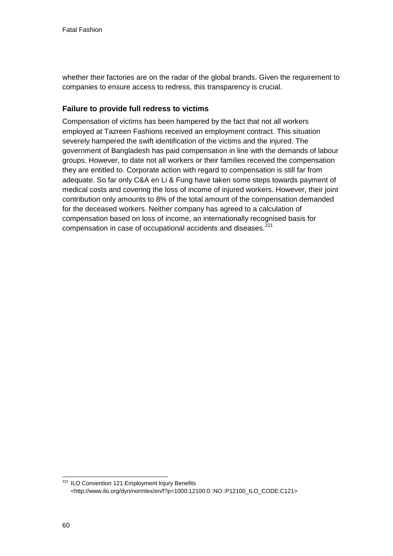<span id="page-60-0"></span>whether their factories are on the radar of the global brands. Given the requirement to companies to ensure access to redress, this transparency is crucial.

### **Failure to provide full redress to victims**

Compensation of victims has been hampered by the fact that not all workers employed at Tazreen Fashions received an employment contract. This situation severely hampered the swift identification of the victims and the injured. The government of Bangladesh has paid compensation in line with the demands of labour groups. However, to date not all workers or their families received the compensation they are entitled to. Corporate action with regard to compensation is still far from adequate. So far only C&A en Li & Fung have taken some steps towards payment of medical costs and covering the loss of income of injured workers. However, their joint contribution only amounts to 8% of the total amount of the compensation demanded for the deceased workers. Neither company has agreed to a calculation of compensation based on loss of income, an internationally recognised basis for compensation in case of occupational accidents and diseases.<sup>221</sup>

<span id="page-60-1"></span>1

<sup>&</sup>lt;sup>221</sup> ILO Convention 121 Employment Injury Benefits <http://www.ilo.org/dyn/normlex/en/f?p=1000:12100:0::NO::P12100\_ILO\_CODE:C121>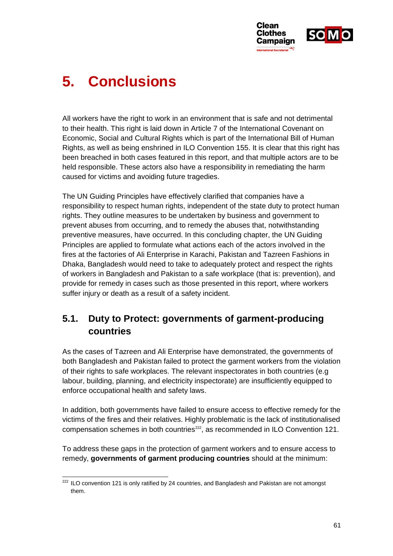

# **5. Conclusions**

All workers have the right to work in an environment that is safe and not detrimental to their health. This right is laid down in Article 7 of the International Covenant on Economic, Social and Cultural Rights which is part of the International Bill of Human Rights, as well as being enshrined in ILO Convention 155. It is clear that this right has been breached in both cases featured in this report, and that multiple actors are to be held responsible. These actors also have a responsibility in remediating the harm caused for victims and avoiding future tragedies.

The UN Guiding Principles have effectively clarified that companies have a responsibility to respect human rights, independent of the state duty to protect human rights. They outline measures to be undertaken by business and government to prevent abuses from occurring, and to remedy the abuses that, notwithstanding preventive measures, have occurred. In this concluding chapter, the UN Guiding Principles are applied to formulate what actions each of the actors involved in the fires at the factories of Ali Enterprise in Karachi, Pakistan and Tazreen Fashions in Dhaka, Bangladesh would need to take to adequately protect and respect the rights of workers in Bangladesh and Pakistan to a safe workplace (that is: prevention), and provide for remedy in cases such as those presented in this report, where workers suffer injury or death as a result of a safety incident.

# **5.1. Duty to Protect: governments of garment-producing countries**

As the cases of Tazreen and Ali Enterprise have demonstrated, the governments of both Bangladesh and Pakistan failed to protect the garment workers from the violation of their rights to safe workplaces. The relevant inspectorates in both countries (e.g labour, building, planning, and electricity inspectorate) are insufficiently equipped to enforce occupational health and safety laws.

In addition, both governments have failed to ensure access to effective remedy for the victims of the fires and their relatives. Highly problematic is the lack of institutionalised compensation schemes in both countries $^{222}$ , as recommended in ILO Convention 121.

To address these gaps in the protection of garment workers and to ensure access to remedy, **governments of garment producing countries** should at the minimum:

<sup>1</sup>  $222$  ILO convention 121 is only ratified by 24 countries, and Bangladesh and Pakistan are not amongst them.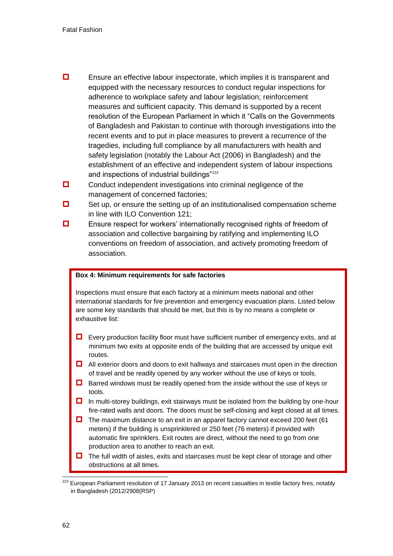- **E**nsure an effective labour inspectorate, which implies it is transparent and equipped with the necessary resources to conduct regular inspections for adherence to workplace safety and labour legislation; reinforcement measures and sufficient capacity. This demand is supported by a recent resolution of the European Parliament in which it "Calls on the Governments of Bangladesh and Pakistan to continue with thorough investigations into the recent events and to put in place measures to prevent a recurrence of the tragedies, including full compliance by all manufacturers with health and safety legislation (notably the Labour Act (2006) in Bangladesh) and the establishment of an effective and independent system of labour inspections and inspections of industrial buildings"<sup>223</sup>
- $\Box$  Conduct independent investigations into criminal negligence of the management of concerned factories;
- $\Box$  Set up, or ensure the setting up of an institutionalised compensation scheme in line with ILO Convention 121;
- $\Box$  Ensure respect for workers' internationally recognised rights of freedom of association and collective bargaining by ratifying and implementing ILO conventions on freedom of association, and actively promoting freedom of association.

#### **Box 4: Minimum requirements for safe factories**

Inspections must ensure that each factory at a minimum meets national and other international standards for fire prevention and emergency evacuation plans. Listed below are some key standards that should be met, but this is by no means a complete or exhaustive list:

- $\Box$  Every production facility floor must have sufficient number of emergency exits, and at minimum two exits at opposite ends of the building that are accessed by unique exit routes.
- <span id="page-62-0"></span> $\Box$  All exterior doors and doors to exit hallways and staircases must open in the direction of travel and be readily opened by any worker without the use of keys or tools.
- $\Box$  Barred windows must be readily opened from the inside without the use of keys or tools.
- $\Box$  In multi-storey buildings, exit stairways must be isolated from the building by one-hour fire-rated walls and doors. The doors must be self-closing and kept closed at all times.
- $\Box$  The maximum distance to an exit in an apparel factory cannot exceed 200 feet (61) meters) if the building is unsprinklered or 250 feet (76 meters) if provided with automatic fire sprinklers. Exit routes are direct, without the need to go from one production area to another to reach an exit.
- $\Box$  The full width of aisles, exits and staircases must be kept clear of storage and other obstructions at all times.

1

<sup>&</sup>lt;sup>223</sup> European Parliament resolution of 17 January 2013 on recent casualties in textile factory fires, notably in Bangladesh (2012/2908(RSP)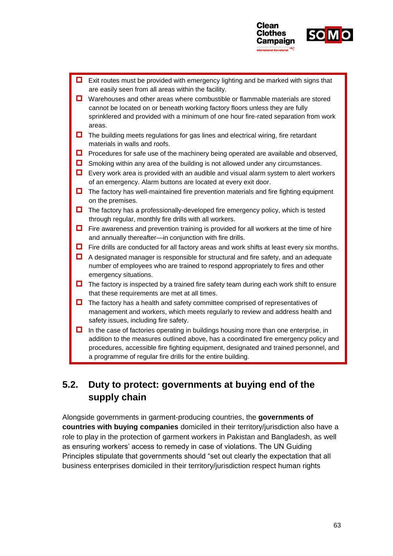

 Exit routes must be provided with emergency lighting and be marked with signs that are easily seen from all areas within the facility. ■ Warehouses and other areas where combustible or flammable materials are stored cannot be located on or beneath working factory floors unless they are fully sprinklered and provided with a minimum of one hour fire-rated separation from work areas.  $\Box$  The building meets regulations for gas lines and electrical wiring, fire retardant materials in walls and roofs.  $\Box$  Procedures for safe use of the machinery being operated are available and observed,  $\Box$  Smoking within any area of the building is not allowed under any circumstances.  $\Box$  Every work area is provided with an audible and visual alarm system to alert workers of an emergency. Alarm buttons are located at every exit door.  $\Box$  The factory has well-maintained fire prevention materials and fire fighting equipment on the premises.  $\Box$  The factory has a professionally-developed fire emergency policy, which is tested through regular, monthly fire drills with all workers.  $\Box$  Fire awareness and prevention training is provided for all workers at the time of hire and annually thereafter—in conjunction with fire drills.  $\Box$  Fire drills are conducted for all factory areas and work shifts at least every six months.  $\Box$  A designated manager is responsible for structural and fire safety, and an adequate number of employees who are trained to respond appropriately to fires and other emergency situations.  $\Box$  The factory is inspected by a trained fire safety team during each work shift to ensure that these requirements are met at all times.  $\Box$  The factory has a health and safety committee comprised of representatives of management and workers, which meets regularly to review and address health and safety issues, including fire safety.  $\Box$  In the case of factories operating in buildings housing more than one enterprise, in addition to the measures outlined above, has a coordinated fire emergency policy and procedures, accessible fire fighting equipment, designated and trained personnel, and a programme of regular fire drills for the entire building.

# <span id="page-63-0"></span>**5.2. Duty to protect: governments at buying end of the supply chain**

Alongside governments in garment-producing countries, the **governments of countries with buying companies** domiciled in their territory/jurisdiction also have a role to play in the protection of garment workers in Pakistan and Bangladesh, as well as ensuring workers' access to remedy in case of violations. The UN Guiding Principles stipulate that governments should "set out clearly the expectation that all business enterprises domiciled in their territory/jurisdiction respect human rights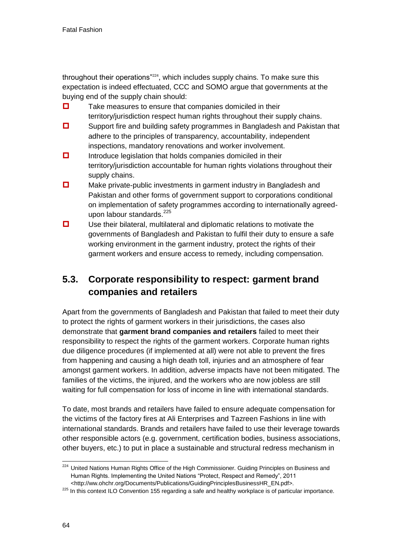throughout their operations"<sup>224</sup>, which includes supply chains. To make sure this expectation is indeed effectuated, CCC and SOMO argue that governments at the buying end of the supply chain should:

- $\Box$  Take measures to ensure that companies domiciled in their territory/jurisdiction respect human rights throughout their supply chains.
- **D** Support fire and building safety programmes in Bangladesh and Pakistan that adhere to the principles of transparency, accountability, independent inspections, mandatory renovations and worker involvement.
- $\Box$  Introduce legislation that holds companies domiciled in their territory/jurisdiction accountable for human rights violations throughout their supply chains.
- Make private-public investments in garment industry in Bangladesh and Pakistan and other forms of government support to corporations conditional on implementation of safety programmes according to internationally agreedupon labour standards.<sup>225</sup>
- $\Box$  Use their bilateral, multilateral and diplomatic relations to motivate the governments of Bangladesh and Pakistan to fulfil their duty to ensure a safe working environment in the garment industry, protect the rights of their garment workers and ensure access to remedy, including compensation.

# **5.3. Corporate responsibility to respect: garment brand companies and retailers**

Apart from the governments of Bangladesh and Pakistan that failed to meet their duty to protect the rights of garment workers in their jurisdictions, the cases also demonstrate that **garment brand companies and retailers** failed to meet their responsibility to respect the rights of the garment workers. Corporate human rights due diligence procedures (if implemented at all) were not able to prevent the fires from happening and causing a high death toll, injuries and an atmosphere of fear amongst garment workers. In addition, adverse impacts have not been mitigated. The families of the victims, the injured, and the workers who are now jobless are still waiting for full compensation for loss of income in line with international standards.

To date, most brands and retailers have failed to ensure adequate compensation for the victims of the factory fires at Ali Enterprises and Tazreen Fashions in line with international standards. Brands and retailers have failed to use their leverage towards other responsible actors (e.g. government, certification bodies, business associations, other buyers, etc.) to put in place a sustainable and structural redress mechanism in

<sup>-</sup><sup>224</sup> United Nations Human Rights Office of the High Commissioner. Guiding Principles on Business and Human Rights. Implementing the United Nations "Protect, Respect and Remedy", 2011 <http://ww.ohchr.org/Documents/Publications/GuidingPrinciplesBusinessHR\_EN.pdf>.

<sup>&</sup>lt;sup>225</sup> In this context ILO Convention 155 regarding a safe and healthy workplace is of particular importance.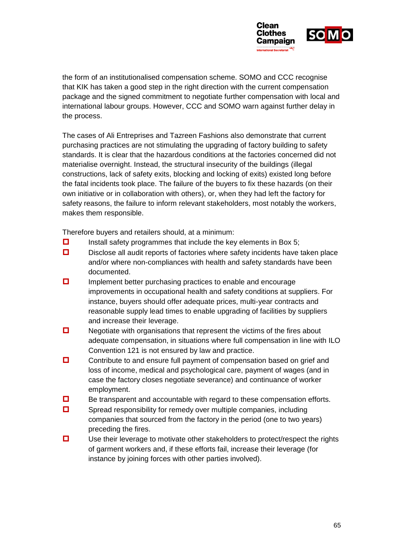

the form of an institutionalised compensation scheme. SOMO and CCC recognise that KIK has taken a good step in the right direction with the current compensation package and the signed commitment to negotiate further compensation with local and international labour groups. However, CCC and SOMO warn against further delay in the process.

The cases of Ali Entreprises and Tazreen Fashions also demonstrate that current purchasing practices are not stimulating the upgrading of factory building to safety standards. It is clear that the hazardous conditions at the factories concerned did not materialise overnight. Instead, the structural insecurity of the buildings (illegal constructions, lack of safety exits, blocking and locking of exits) existed long before the fatal incidents took place. The failure of the buyers to fix these hazards (on their own initiative or in collaboration with others), or, when they had left the factory for safety reasons, the failure to inform relevant stakeholders, most notably the workers, makes them responsible.

<span id="page-65-0"></span>Therefore buyers and retailers should, at a minimum:

- $\Box$  Install safety programmes that include the key elements in Box 5;
- $\Box$  Disclose all audit reports of factories where safety incidents have taken place and/or where non-compliances with health and safety standards have been documented.
- $\Box$  Implement better purchasing practices to enable and encourage improvements in occupational health and safety conditions at suppliers. For instance, buyers should offer adequate prices, multi-year contracts and reasonable supply lead times to enable upgrading of facilities by suppliers and increase their leverage.
- $\Box$  Negotiate with organisations that represent the victims of the fires about adequate compensation, in situations where full compensation in line with ILO Convention 121 is not ensured by law and practice.
- **D** Contribute to and ensure full payment of compensation based on grief and loss of income, medical and psychological care, payment of wages (and in case the factory closes negotiate severance) and continuance of worker employment.
- $\Box$  Be transparent and accountable with regard to these compensation efforts.
- $\square$  Spread responsibility for remedy over multiple companies, including companies that sourced from the factory in the period (one to two years) preceding the fires.
- $\square$  Use their leverage to motivate other stakeholders to protect/respect the rights of garment workers and, if these efforts fail, increase their leverage (for instance by joining forces with other parties involved).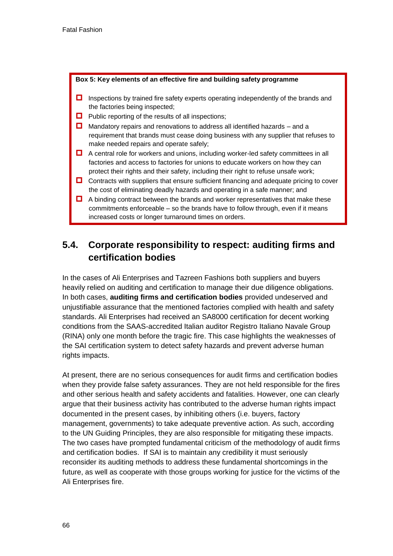#### **Box 5: Key elements of an effective fire and building safety programme**

- $\Box$  Inspections by trained fire safety experts operating independently of the brands and the factories being inspected;
- $\Box$  Public reporting of the results of all inspections;
- $\Box$  Mandatory repairs and renovations to address all identified hazards and a requirement that brands must cease doing business with any supplier that refuses to make needed repairs and operate safely;
- $\Box$  A central role for workers and unions, including worker-led safety committees in all factories and access to factories for unions to educate workers on how they can protect their rights and their safety, including their right to refuse unsafe work;
- $\Box$  Contracts with suppliers that ensure sufficient financing and adequate pricing to cover the cost of eliminating deadly hazards and operating in a safe manner; and
- $\Box$  A binding contract between the brands and worker representatives that make these commitments enforceable – so the brands have to follow through, even if it means increased costs or longer turnaround times on orders.

# **5.4. Corporate responsibility to respect: auditing firms and certification bodies**

<span id="page-66-0"></span>In the cases of Ali Enterprises and Tazreen Fashions both suppliers and buyers heavily relied on auditing and certification to manage their due diligence obligations. In both cases, **auditing firms and certification bodies** provided undeserved and unjustifiable assurance that the mentioned factories complied with health and safety standards. Ali Enterprises had received an SA8000 certification for decent working conditions from the SAAS-accredited Italian auditor Registro Italiano Navale Group (RINA) only one month before the tragic fire. This case highlights the weaknesses of the SAI certification system to detect safety hazards and prevent adverse human rights impacts.

At present, there are no serious consequences for audit firms and certification bodies when they provide false safety assurances. They are not held responsible for the fires and other serious health and safety accidents and fatalities. However, one can clearly argue that their business activity has contributed to the adverse human rights impact documented in the present cases, by inhibiting others (i.e. buyers, factory management, governments) to take adequate preventive action. As such, according to the UN Guiding Principles, they are also responsible for mitigating these impacts. The two cases have prompted fundamental criticism of the methodology of audit firms and certification bodies. If SAI is to maintain any credibility it must seriously reconsider its auditing methods to address these fundamental shortcomings in the future, as well as cooperate with those groups working for justice for the victims of the Ali Enterprises fire.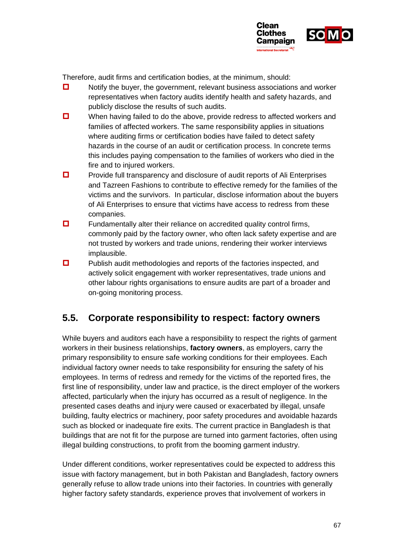

Therefore, audit firms and certification bodies, at the minimum, should:

- $\Box$  Notify the buyer, the government, relevant business associations and worker representatives when factory audits identify health and safety hazards, and publicly disclose the results of such audits.
- $\Box$  When having failed to do the above, provide redress to affected workers and families of affected workers. The same responsibility applies in situations where auditing firms or certification bodies have failed to detect safety hazards in the course of an audit or certification process. In concrete terms this includes paying compensation to the families of workers who died in the fire and to injured workers.
- $\Box$  Provide full transparency and disclosure of audit reports of Ali Enterprises and Tazreen Fashions to contribute to effective remedy for the families of the victims and the survivors. In particular, disclose information about the buyers of Ali Enterprises to ensure that victims have access to redress from these companies.
- $\Box$  Fundamentally alter their reliance on accredited quality control firms, commonly paid by the factory owner, who often lack safety expertise and are not trusted by workers and trade unions, rendering their worker interviews implausible.
- $\Box$  Publish audit methodologies and reports of the factories inspected, and actively solicit engagement with worker representatives, trade unions and other labour rights organisations to ensure audits are part of a broader and on-going monitoring process.

# **5.5. Corporate responsibility to respect: factory owners**

<span id="page-67-0"></span>While buyers and auditors each have a responsibility to respect the rights of garment workers in their business relationships, **factory owners**, as employers, carry the primary responsibility to ensure safe working conditions for their employees. Each individual factory owner needs to take responsibility for ensuring the safety of his employees. In terms of redress and remedy for the victims of the reported fires, the first line of responsibility, under law and practice, is the direct employer of the workers affected, particularly when the injury has occurred as a result of negligence. In the presented cases deaths and injury were caused or exacerbated by illegal, unsafe building, faulty electrics or machinery, poor safety procedures and avoidable hazards such as blocked or inadequate fire exits. The current practice in Bangladesh is that buildings that are not fit for the purpose are turned into garment factories, often using illegal building constructions, to profit from the booming garment industry.

Under different conditions, worker representatives could be expected to address this issue with factory management, but in both Pakistan and Bangladesh, factory owners generally refuse to allow trade unions into their factories. In countries with generally higher factory safety standards, experience proves that involvement of workers in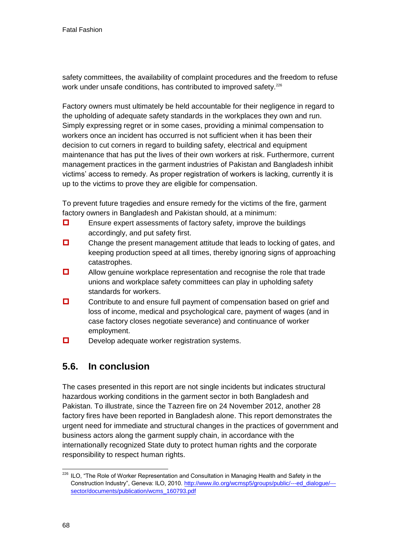safety committees, the availability of complaint procedures and the freedom to refuse work under unsafe conditions, has contributed to improved safety.<sup>226</sup>

Factory owners must ultimately be held accountable for their negligence in regard to the upholding of adequate safety standards in the workplaces they own and run. Simply expressing regret or in some cases, providing a minimal compensation to workers once an incident has occurred is not sufficient when it has been their decision to cut corners in regard to building safety, electrical and equipment maintenance that has put the lives of their own workers at risk. Furthermore, current management practices in the garment industries of Pakistan and Bangladesh inhibit victims' access to remedy. As proper registration of workers is lacking, currently it is up to the victims to prove they are eligible for compensation.

To prevent future tragedies and ensure remedy for the victims of the fire, garment factory owners in Bangladesh and Pakistan should, at a minimum:

- $\Box$  Ensure expert assessments of factory safety, improve the buildings accordingly, and put safety first.
- $\Box$  Change the present management attitude that leads to locking of gates, and keeping production speed at all times, thereby ignoring signs of approaching catastrophes.
- **D** Allow genuine workplace representation and recognise the role that trade unions and workplace safety committees can play in upholding safety standards for workers.
- $\Box$  Contribute to and ensure full payment of compensation based on grief and loss of income, medical and psychological care, payment of wages (and in case factory closes negotiate severance) and continuance of worker employment.
- $\Box$  Develop adequate worker registration systems.

# **5.6. In conclusion**

The cases presented in this report are not single incidents but indicates structural hazardous working conditions in the garment sector in both Bangladesh and Pakistan. To illustrate, since the Tazreen fire on 24 November 2012, another 28 factory fires have been reported in Bangladesh alone. This report demonstrates the urgent need for immediate and structural changes in the practices of government and business actors along the garment supply chain, in accordance with the internationally recognized State duty to protect human rights and the corporate responsibility to respect human rights.

<sup>-</sup><sup>226</sup> ILO, "The Role of Worker Representation and Consultation in Managing Health and Safety in the Construction Industry", Geneva: ILO, 2010[. http://www.ilo.org/wcmsp5/groups/public/---ed\\_dialogue/--](http://www.ilo.org/wcmsp5/groups/public/---ed_dialogue/---sector/documents/publication/wcms_160793.pdf) [sector/documents/publication/wcms\\_160793.pdf](http://www.ilo.org/wcmsp5/groups/public/---ed_dialogue/---sector/documents/publication/wcms_160793.pdf)